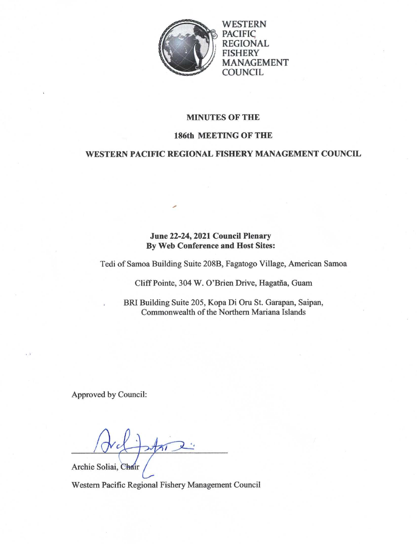

WESTERN **PACIFIC** REGIONAL **FISHERY** MANAGEMENT COUNCIL

### **MINUTES OF THE**

### **186th MEETING OF THE**

# WESTERN PACIFIC REGIONAL FISHERY MANAGEMENT COUNCIL

# June 22-24, 2021 Council Plenary **By Web Conference and Host Sites:**

Tedi of Samoa Building Suite 208B, Fagatogo Village, American Samoa

Cliff Pointe, 304 W. O'Brien Drive, Hagatña, Guam

BRI Building Suite 205, Kopa Di Oru St. Garapan, Saipan, Commonwealth of the Northern Mariana Islands

Approved by Council:

Archie Soliai, Chair

Western Pacific Regional Fishery Management Council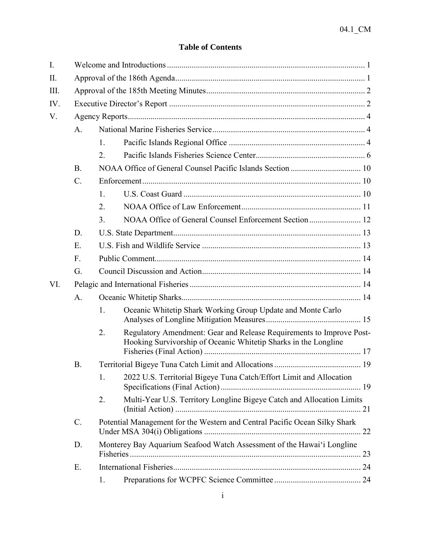# **Table of Contents**

| $I_{\cdot}$ |                 |                                                                            |                                                                                                                                         |  |  |  |
|-------------|-----------------|----------------------------------------------------------------------------|-----------------------------------------------------------------------------------------------------------------------------------------|--|--|--|
| II.         |                 |                                                                            |                                                                                                                                         |  |  |  |
| Ш.          |                 |                                                                            |                                                                                                                                         |  |  |  |
| IV.         |                 |                                                                            |                                                                                                                                         |  |  |  |
| V.          |                 |                                                                            |                                                                                                                                         |  |  |  |
|             | A <sub>1</sub>  |                                                                            |                                                                                                                                         |  |  |  |
|             |                 | 1.                                                                         |                                                                                                                                         |  |  |  |
|             |                 | 2.                                                                         |                                                                                                                                         |  |  |  |
|             | <b>B.</b>       |                                                                            |                                                                                                                                         |  |  |  |
|             | $\mathcal{C}$ . |                                                                            |                                                                                                                                         |  |  |  |
|             |                 | 1.                                                                         |                                                                                                                                         |  |  |  |
|             |                 | 2.                                                                         |                                                                                                                                         |  |  |  |
|             |                 | 3 <sub>1</sub>                                                             |                                                                                                                                         |  |  |  |
|             | D.              |                                                                            |                                                                                                                                         |  |  |  |
|             | E.              |                                                                            |                                                                                                                                         |  |  |  |
|             | $F_{\cdot}$     |                                                                            |                                                                                                                                         |  |  |  |
|             | G.              |                                                                            |                                                                                                                                         |  |  |  |
| VI.         |                 |                                                                            |                                                                                                                                         |  |  |  |
|             | A.              |                                                                            |                                                                                                                                         |  |  |  |
|             |                 | 1.                                                                         | Oceanic Whitetip Shark Working Group Update and Monte Carlo                                                                             |  |  |  |
|             |                 | 2.                                                                         | Regulatory Amendment: Gear and Release Requirements to Improve Post-<br>Hooking Survivorship of Oceanic Whitetip Sharks in the Longline |  |  |  |
|             | <b>B.</b>       |                                                                            |                                                                                                                                         |  |  |  |
|             |                 | 1.                                                                         | 2022 U.S. Territorial Bigeye Tuna Catch/Effort Limit and Allocation                                                                     |  |  |  |
|             |                 | 2.                                                                         | Multi-Year U.S. Territory Longline Bigeye Catch and Allocation Limits                                                                   |  |  |  |
|             | $\mathcal{C}$ . | Potential Management for the Western and Central Pacific Ocean Silky Shark |                                                                                                                                         |  |  |  |
|             | D.              | Monterey Bay Aquarium Seafood Watch Assessment of the Hawai'i Longline     |                                                                                                                                         |  |  |  |
|             | E.              |                                                                            |                                                                                                                                         |  |  |  |
|             |                 | 1.                                                                         |                                                                                                                                         |  |  |  |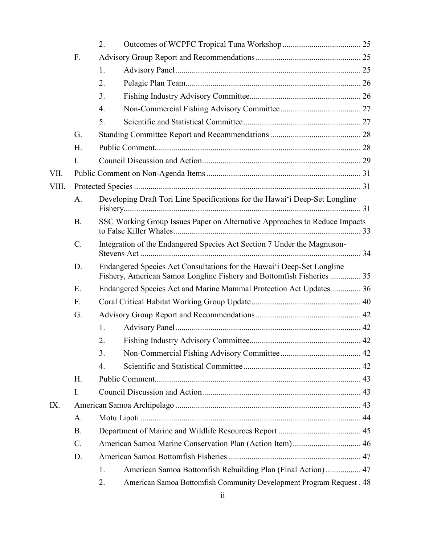|       |           | 2.                                                                                                                                              |                                                                             |  |  |  |  |
|-------|-----------|-------------------------------------------------------------------------------------------------------------------------------------------------|-----------------------------------------------------------------------------|--|--|--|--|
|       | F.        |                                                                                                                                                 |                                                                             |  |  |  |  |
|       |           | 1.                                                                                                                                              |                                                                             |  |  |  |  |
|       |           | 2.                                                                                                                                              |                                                                             |  |  |  |  |
|       |           | 3.                                                                                                                                              |                                                                             |  |  |  |  |
|       |           | 4.                                                                                                                                              |                                                                             |  |  |  |  |
|       |           | 5.                                                                                                                                              |                                                                             |  |  |  |  |
|       | G.        |                                                                                                                                                 |                                                                             |  |  |  |  |
|       | H.        |                                                                                                                                                 |                                                                             |  |  |  |  |
|       | I.        |                                                                                                                                                 |                                                                             |  |  |  |  |
| VII.  |           |                                                                                                                                                 |                                                                             |  |  |  |  |
| VIII. |           |                                                                                                                                                 |                                                                             |  |  |  |  |
|       | A.        |                                                                                                                                                 | Developing Draft Tori Line Specifications for the Hawai'i Deep-Set Longline |  |  |  |  |
|       | <b>B.</b> |                                                                                                                                                 | SSC Working Group Issues Paper on Alternative Approaches to Reduce Impacts  |  |  |  |  |
|       | $C$ .     | Integration of the Endangered Species Act Section 7 Under the Magnuson-                                                                         |                                                                             |  |  |  |  |
|       | D.        | Endangered Species Act Consultations for the Hawai'i Deep-Set Longline<br>Fishery, American Samoa Longline Fishery and Bottomfish Fisheries  35 |                                                                             |  |  |  |  |
|       | E.        | Endangered Species Act and Marine Mammal Protection Act Updates  36                                                                             |                                                                             |  |  |  |  |
|       | F.        |                                                                                                                                                 |                                                                             |  |  |  |  |
|       | G.        |                                                                                                                                                 |                                                                             |  |  |  |  |
|       |           | 1.                                                                                                                                              |                                                                             |  |  |  |  |
|       |           | 2.                                                                                                                                              |                                                                             |  |  |  |  |
|       |           | 3.                                                                                                                                              |                                                                             |  |  |  |  |
|       |           | 4.                                                                                                                                              |                                                                             |  |  |  |  |
|       | Η.        |                                                                                                                                                 |                                                                             |  |  |  |  |
|       | I.        |                                                                                                                                                 |                                                                             |  |  |  |  |
| IX.   |           |                                                                                                                                                 |                                                                             |  |  |  |  |
|       | A.        |                                                                                                                                                 |                                                                             |  |  |  |  |
|       | <b>B.</b> |                                                                                                                                                 |                                                                             |  |  |  |  |
|       | $C$ .     |                                                                                                                                                 |                                                                             |  |  |  |  |
|       | D.        |                                                                                                                                                 |                                                                             |  |  |  |  |
|       |           | 1.                                                                                                                                              | American Samoa Bottomfish Rebuilding Plan (Final Action)  47                |  |  |  |  |
|       |           | 2.                                                                                                                                              | American Samoa Bottomfish Community Development Program Request . 48        |  |  |  |  |
|       |           |                                                                                                                                                 |                                                                             |  |  |  |  |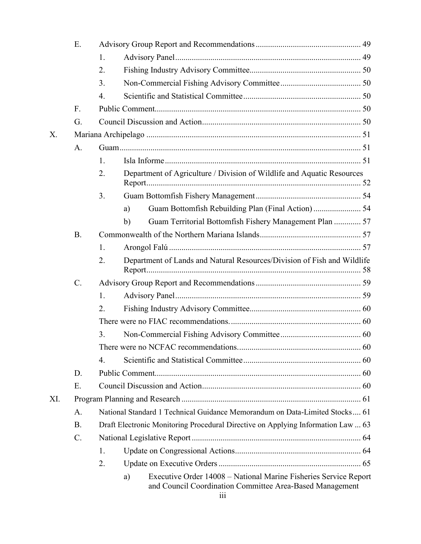|     | Ε.              |                                                                                                                                           |                                                                         |  |  |  |  |
|-----|-----------------|-------------------------------------------------------------------------------------------------------------------------------------------|-------------------------------------------------------------------------|--|--|--|--|
|     |                 | 1.                                                                                                                                        |                                                                         |  |  |  |  |
|     |                 | 2.                                                                                                                                        |                                                                         |  |  |  |  |
|     |                 | 3.                                                                                                                                        |                                                                         |  |  |  |  |
|     |                 | $\overline{4}$ .                                                                                                                          |                                                                         |  |  |  |  |
|     | $F_{\cdot}$     |                                                                                                                                           |                                                                         |  |  |  |  |
|     | G.              |                                                                                                                                           |                                                                         |  |  |  |  |
| X.  |                 |                                                                                                                                           |                                                                         |  |  |  |  |
|     | A.              |                                                                                                                                           |                                                                         |  |  |  |  |
|     |                 | 1.                                                                                                                                        |                                                                         |  |  |  |  |
|     |                 | 2.                                                                                                                                        | Department of Agriculture / Division of Wildlife and Aquatic Resources  |  |  |  |  |
|     |                 | 3.                                                                                                                                        |                                                                         |  |  |  |  |
|     |                 |                                                                                                                                           | a)                                                                      |  |  |  |  |
|     |                 |                                                                                                                                           | Guam Territorial Bottomfish Fishery Management Plan  57<br>b)           |  |  |  |  |
|     | <b>B.</b>       |                                                                                                                                           |                                                                         |  |  |  |  |
|     |                 | 1.                                                                                                                                        |                                                                         |  |  |  |  |
|     |                 | 2.                                                                                                                                        | Department of Lands and Natural Resources/Division of Fish and Wildlife |  |  |  |  |
|     | $\mathcal{C}$ . |                                                                                                                                           |                                                                         |  |  |  |  |
|     |                 | 1.                                                                                                                                        |                                                                         |  |  |  |  |
|     |                 | 2.                                                                                                                                        |                                                                         |  |  |  |  |
|     |                 |                                                                                                                                           |                                                                         |  |  |  |  |
|     |                 | 3.                                                                                                                                        |                                                                         |  |  |  |  |
|     |                 |                                                                                                                                           |                                                                         |  |  |  |  |
|     |                 | 4.                                                                                                                                        |                                                                         |  |  |  |  |
|     | D.              |                                                                                                                                           |                                                                         |  |  |  |  |
|     | Ε.              |                                                                                                                                           |                                                                         |  |  |  |  |
| XI. |                 |                                                                                                                                           |                                                                         |  |  |  |  |
|     | A.              | National Standard 1 Technical Guidance Memorandum on Data-Limited Stocks 61                                                               |                                                                         |  |  |  |  |
|     | <b>B.</b>       | Draft Electronic Monitoring Procedural Directive on Applying Information Law  63                                                          |                                                                         |  |  |  |  |
|     | $C$ .           |                                                                                                                                           |                                                                         |  |  |  |  |
|     |                 | 1.                                                                                                                                        |                                                                         |  |  |  |  |
|     |                 | 2.                                                                                                                                        |                                                                         |  |  |  |  |
|     |                 | Executive Order 14008 – National Marine Fisheries Service Report<br>a)<br>and Council Coordination Committee Area-Based Management<br>111 |                                                                         |  |  |  |  |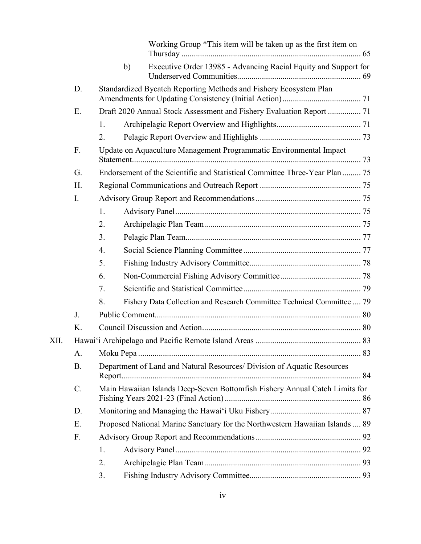|      |           |                                                                              |    | Working Group *This item will be taken up as the first item on          |  |  |  |
|------|-----------|------------------------------------------------------------------------------|----|-------------------------------------------------------------------------|--|--|--|
|      |           |                                                                              | b) | Executive Order 13985 - Advancing Racial Equity and Support for         |  |  |  |
|      | D.        | Standardized Bycatch Reporting Methods and Fishery Ecosystem Plan            |    |                                                                         |  |  |  |
|      | Ε.        |                                                                              |    |                                                                         |  |  |  |
|      |           | 1.                                                                           |    |                                                                         |  |  |  |
|      |           | 2.                                                                           |    |                                                                         |  |  |  |
|      | F.        | Update on Aquaculture Management Programmatic Environmental Impact           |    |                                                                         |  |  |  |
|      | G.        | Endorsement of the Scientific and Statistical Committee Three-Year Plan  75  |    |                                                                         |  |  |  |
|      | H.        |                                                                              |    |                                                                         |  |  |  |
|      | I.        |                                                                              |    |                                                                         |  |  |  |
|      |           | 1.                                                                           |    |                                                                         |  |  |  |
|      |           | 2.                                                                           |    |                                                                         |  |  |  |
|      |           | 3.                                                                           |    |                                                                         |  |  |  |
|      |           | 4.                                                                           |    |                                                                         |  |  |  |
|      |           | 5.                                                                           |    |                                                                         |  |  |  |
|      |           | 6.                                                                           |    |                                                                         |  |  |  |
|      |           | 7.                                                                           |    |                                                                         |  |  |  |
|      |           | 8.                                                                           |    | Fishery Data Collection and Research Committee Technical Committee  79  |  |  |  |
|      | J.        |                                                                              |    |                                                                         |  |  |  |
|      | K.        |                                                                              |    |                                                                         |  |  |  |
| XII. |           |                                                                              |    |                                                                         |  |  |  |
|      | A.        |                                                                              |    |                                                                         |  |  |  |
|      | <b>B.</b> |                                                                              |    | Department of Land and Natural Resources/ Division of Aquatic Resources |  |  |  |
|      | $C$ .     | Main Hawaiian Islands Deep-Seven Bottomfish Fishery Annual Catch Limits for  |    |                                                                         |  |  |  |
|      | D.        |                                                                              |    |                                                                         |  |  |  |
|      | Ε.        | Proposed National Marine Sanctuary for the Northwestern Hawaiian Islands  89 |    |                                                                         |  |  |  |
|      | F.        |                                                                              |    |                                                                         |  |  |  |
|      |           | 1.                                                                           |    |                                                                         |  |  |  |
|      |           | 2.                                                                           |    |                                                                         |  |  |  |
|      |           | 3.                                                                           |    |                                                                         |  |  |  |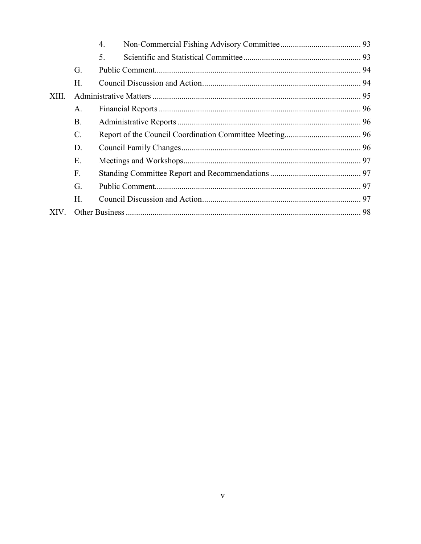|       |                 | $\overline{4}$ . |  |
|-------|-----------------|------------------|--|
|       |                 | 5.               |  |
|       | G.              |                  |  |
|       | H.              |                  |  |
| XIII. |                 |                  |  |
|       | A.              |                  |  |
|       | <b>B.</b>       |                  |  |
|       | $\mathcal{C}$ . |                  |  |
|       | D.              |                  |  |
|       | Ε.              |                  |  |
|       | $F_{\cdot}$     |                  |  |
|       | G.              |                  |  |
|       | $H_{\cdot}$     |                  |  |
| XIV - |                 |                  |  |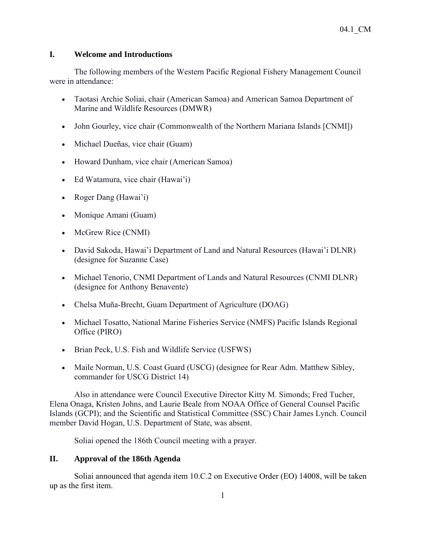# **I. Welcome and Introductions**

The following members of the Western Pacific Regional Fishery Management Council were in attendance:

- Taotasi Archie Soliai, chair (American Samoa) and American Samoa Department of Marine and Wildlife Resources (DMWR)
- John Gourley, vice chair (Commonwealth of the Northern Mariana Islands [CNMI])
- Michael Dueñas, vice chair (Guam)
- Howard Dunham, vice chair (American Samoa)
- Ed Watamura, vice chair (Hawai'i)
- Roger Dang (Hawai'i)
- Monique Amani (Guam)
- McGrew Rice (CNMI)
- David Sakoda, Hawai'i Department of Land and Natural Resources (Hawai'i DLNR) (designee for Suzanne Case)
- Michael Tenorio, CNMI Department of Lands and Natural Resources (CNMI DLNR) (designee for Anthony Benavente)
- Chelsa Muña-Brecht, Guam Department of Agriculture (DOAG)
- Michael Tosatto, National Marine Fisheries Service (NMFS) Pacific Islands Regional Office (PIRO)
- Brian Peck, U.S. Fish and Wildlife Service (USFWS)
- Maile Norman, U.S. Coast Guard (USCG) (designee for Rear Adm. Matthew Sibley, commander for USCG District 14)

Also in attendance were Council Executive Director Kitty M. Simonds; Fred Tucher, Elena Onaga, Kristen Johns, and Laurie Beale from NOAA Office of General Counsel Pacific Islands (GCPI); and the Scientific and Statistical Committee (SSC) Chair James Lynch. Council member David Hogan, U.S. Department of State, was absent.

Soliai opened the 186th Council meeting with a prayer.

# **II. Approval of the 186th Agenda**

Soliai announced that agenda item 10.C.2 on Executive Order (EO) 14008, will be taken up as the first item.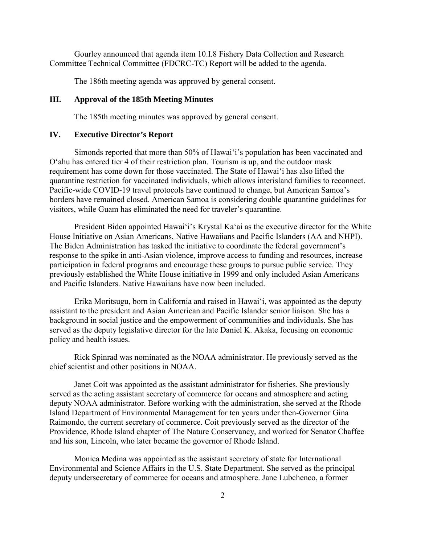Gourley announced that agenda item 10.I.8 Fishery Data Collection and Research Committee Technical Committee (FDCRC-TC) Report will be added to the agenda.

The 186th meeting agenda was approved by general consent.

#### **III. Approval of the 185th Meeting Minutes**

The 185th meeting minutes was approved by general consent.

### **IV. Executive Director's Report**

Simonds reported that more than 50% of Hawaiʻi's population has been vaccinated and O'ahu has entered tier 4 of their restriction plan. Tourism is up, and the outdoor mask requirement has come down for those vaccinated. The State of Hawai'i has also lifted the quarantine restriction for vaccinated individuals, which allows interisland families to reconnect. Pacific-wide COVID-19 travel protocols have continued to change, but American Samoa's borders have remained closed. American Samoa is considering double quarantine guidelines for visitors, while Guam has eliminated the need for traveler's quarantine.

President Biden appointed Hawai'i's Krystal Ka'ai as the executive director for the White House Initiative on Asian Americans, Native Hawaiians and Pacific Islanders (AA and NHPI). The Biden Administration has tasked the initiative to coordinate the federal government's response to the spike in anti-Asian violence, improve access to funding and resources, increase participation in federal programs and encourage these groups to pursue public service. They previously established the White House initiative in 1999 and only included Asian Americans and Pacific Islanders. Native Hawaiians have now been included.

Erika Moritsugu, born in California and raised in Hawaiʻi, was appointed as the deputy assistant to the president and Asian American and Pacific Islander senior liaison. She has a background in social justice and the empowerment of communities and individuals. She has served as the deputy legislative director for the late Daniel K. Akaka, focusing on economic policy and health issues.

Rick Spinrad was nominated as the NOAA administrator. He previously served as the chief scientist and other positions in NOAA.

Janet Coit was appointed as the assistant administrator for fisheries. She previously served as the acting assistant secretary of commerce for oceans and atmosphere and acting deputy NOAA administrator. Before working with the administration, she served at the Rhode Island Department of Environmental Management for ten years under then-Governor Gina Raimondo, the current secretary of commerce. Coit previously served as the director of the Providence, Rhode Island chapter of The Nature Conservancy, and worked for Senator Chaffee and his son, Lincoln, who later became the governor of Rhode Island.

Monica Medina was appointed as the assistant secretary of state for International Environmental and Science Affairs in the U.S. State Department. She served as the principal deputy undersecretary of commerce for oceans and atmosphere. Jane Lubchenco, a former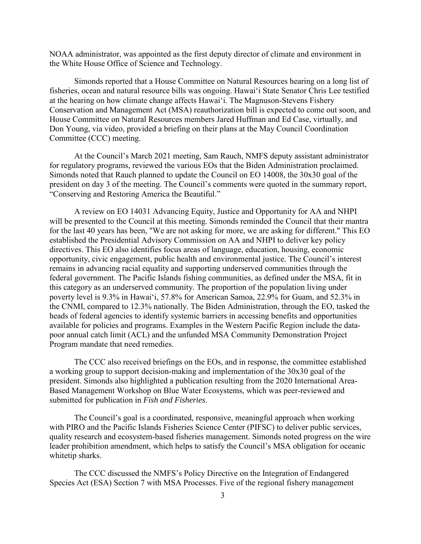NOAA administrator, was appointed as the first deputy director of climate and environment in the White House Office of Science and Technology.

Simonds reported that a House Committee on Natural Resources hearing on a long list of fisheries, ocean and natural resource bills was ongoing. Hawaiʻi State Senator Chris Lee testified at the hearing on how climate change affects Hawaiʻi. The Magnuson-Stevens Fishery Conservation and Management Act (MSA) reauthorization bill is expected to come out soon, and House Committee on Natural Resources members Jared Huffman and Ed Case, virtually, and Don Young, via video, provided a briefing on their plans at the May Council Coordination Committee (CCC) meeting.

At the Council's March 2021 meeting, Sam Rauch, NMFS deputy assistant administrator for regulatory programs, reviewed the various EOs that the Biden Administration proclaimed. Simonds noted that Rauch planned to update the Council on EO 14008, the 30x30 goal of the president on day 3 of the meeting. The Council's comments were quoted in the summary report, "Conserving and Restoring America the Beautiful."

A review on EO 14031 Advancing Equity, Justice and Opportunity for AA and NHPI will be presented to the Council at this meeting. Simonds reminded the Council that their mantra for the last 40 years has been, "We are not asking for more, we are asking for different." This EO established the Presidential Advisory Commission on AA and NHPI to deliver key policy directives. This EO also identifies focus areas of language, education, housing, economic opportunity, civic engagement, public health and environmental justice. The Council's interest remains in advancing racial equality and supporting underserved communities through the federal government. The Pacific Islands fishing communities, as defined under the MSA, fit in this category as an underserved community. The proportion of the population living under poverty level is 9.3% in Hawaiʻi, 57.8% for American Samoa, 22.9% for Guam, and 52.3% in the CNMI, compared to 12.3% nationally. The Biden Administration, through the EO, tasked the heads of federal agencies to identify systemic barriers in accessing benefits and opportunities available for policies and programs. Examples in the Western Pacific Region include the datapoor annual catch limit (ACL) and the unfunded MSA Community Demonstration Project Program mandate that need remedies.

The CCC also received briefings on the EOs, and in response, the committee established a working group to support decision-making and implementation of the 30x30 goal of the president. Simonds also highlighted a publication resulting from the 2020 International Area-Based Management Workshop on Blue Water Ecosystems, which was peer-reviewed and submitted for publication in *Fish and Fisheries*.

The Council's goal is a coordinated, responsive, meaningful approach when working with PIRO and the Pacific Islands Fisheries Science Center (PIFSC) to deliver public services, quality research and ecosystem-based fisheries management. Simonds noted progress on the wire leader prohibition amendment, which helps to satisfy the Council's MSA obligation for oceanic whitetip sharks.

The CCC discussed the NMFS's Policy Directive on the Integration of Endangered Species Act (ESA) Section 7 with MSA Processes. Five of the regional fishery management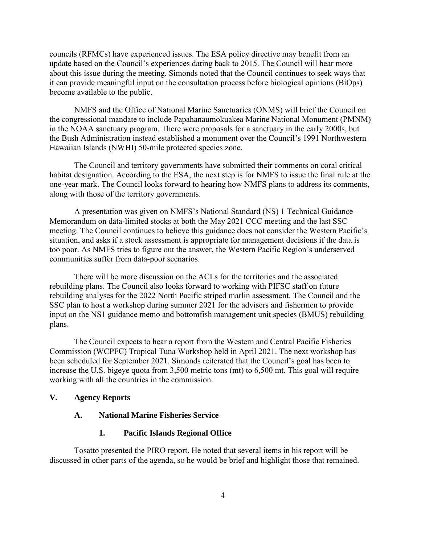councils (RFMCs) have experienced issues. The ESA policy directive may benefit from an update based on the Council's experiences dating back to 2015. The Council will hear more about this issue during the meeting. Simonds noted that the Council continues to seek ways that it can provide meaningful input on the consultation process before biological opinions (BiOps) become available to the public.

NMFS and the Office of National Marine Sanctuaries (ONMS) will brief the Council on the congressional mandate to include Papahanaumokuakea Marine National Monument (PMNM) in the NOAA sanctuary program. There were proposals for a sanctuary in the early 2000s, but the Bush Administration instead established a monument over the Council's 1991 Northwestern Hawaiian Islands (NWHI) 50-mile protected species zone.

The Council and territory governments have submitted their comments on coral critical habitat designation. According to the ESA, the next step is for NMFS to issue the final rule at the one-year mark. The Council looks forward to hearing how NMFS plans to address its comments, along with those of the territory governments.

A presentation was given on NMFS's National Standard (NS) 1 Technical Guidance Memorandum on data-limited stocks at both the May 2021 CCC meeting and the last SSC meeting. The Council continues to believe this guidance does not consider the Western Pacific's situation, and asks if a stock assessment is appropriate for management decisions if the data is too poor. As NMFS tries to figure out the answer, the Western Pacific Region's underserved communities suffer from data-poor scenarios.

There will be more discussion on the ACLs for the territories and the associated rebuilding plans. The Council also looks forward to working with PIFSC staff on future rebuilding analyses for the 2022 North Pacific striped marlin assessment. The Council and the SSC plan to host a workshop during summer 2021 for the advisers and fishermen to provide input on the NS1 guidance memo and bottomfish management unit species (BMUS) rebuilding plans.

The Council expects to hear a report from the Western and Central Pacific Fisheries Commission (WCPFC) Tropical Tuna Workshop held in April 2021. The next workshop has been scheduled for September 2021. Simonds reiterated that the Council's goal has been to increase the U.S. bigeye quota from 3,500 metric tons (mt) to 6,500 mt. This goal will require working with all the countries in the commission.

#### **V. Agency Reports**

#### **A. National Marine Fisheries Service**

#### **1. Pacific Islands Regional Office**

Tosatto presented the PIRO report. He noted that several items in his report will be discussed in other parts of the agenda, so he would be brief and highlight those that remained.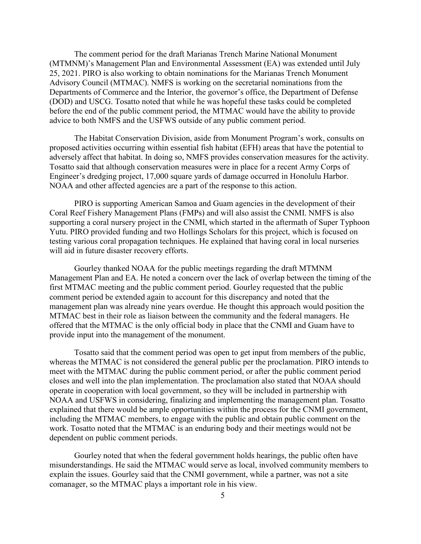The comment period for the draft Marianas Trench Marine National Monument (MTMNM)'s Management Plan and Environmental Assessment (EA) was extended until July 25, 2021. PIRO is also working to obtain nominations for the Marianas Trench Monument Advisory Council (MTMAC). NMFS is working on the secretarial nominations from the Departments of Commerce and the Interior, the governor's office, the Department of Defense (DOD) and USCG. Tosatto noted that while he was hopeful these tasks could be completed before the end of the public comment period, the MTMAC would have the ability to provide advice to both NMFS and the USFWS outside of any public comment period.

The Habitat Conservation Division, aside from Monument Program's work, consults on proposed activities occurring within essential fish habitat (EFH) areas that have the potential to adversely affect that habitat. In doing so, NMFS provides conservation measures for the activity. Tosatto said that although conservation measures were in place for a recent Army Corps of Engineer's dredging project, 17,000 square yards of damage occurred in Honolulu Harbor. NOAA and other affected agencies are a part of the response to this action.

PIRO is supporting American Samoa and Guam agencies in the development of their Coral Reef Fishery Management Plans (FMPs) and will also assist the CNMI. NMFS is also supporting a coral nursery project in the CNMI, which started in the aftermath of Super Typhoon Yutu. PIRO provided funding and two Hollings Scholars for this project, which is focused on testing various coral propagation techniques. He explained that having coral in local nurseries will aid in future disaster recovery efforts.

Gourley thanked NOAA for the public meetings regarding the draft MTMNM Management Plan and EA. He noted a concern over the lack of overlap between the timing of the first MTMAC meeting and the public comment period. Gourley requested that the public comment period be extended again to account for this discrepancy and noted that the management plan was already nine years overdue. He thought this approach would position the MTMAC best in their role as liaison between the community and the federal managers. He offered that the MTMAC is the only official body in place that the CNMI and Guam have to provide input into the management of the monument.

Tosatto said that the comment period was open to get input from members of the public, whereas the MTMAC is not considered the general public per the proclamation. PIRO intends to meet with the MTMAC during the public comment period, or after the public comment period closes and well into the plan implementation. The proclamation also stated that NOAA should operate in cooperation with local government, so they will be included in partnership with NOAA and USFWS in considering, finalizing and implementing the management plan. Tosatto explained that there would be ample opportunities within the process for the CNMI government, including the MTMAC members, to engage with the public and obtain public comment on the work. Tosatto noted that the MTMAC is an enduring body and their meetings would not be dependent on public comment periods.

Gourley noted that when the federal government holds hearings, the public often have misunderstandings. He said the MTMAC would serve as local, involved community members to explain the issues. Gourley said that the CNMI government, while a partner, was not a site comanager, so the MTMAC plays a important role in his view.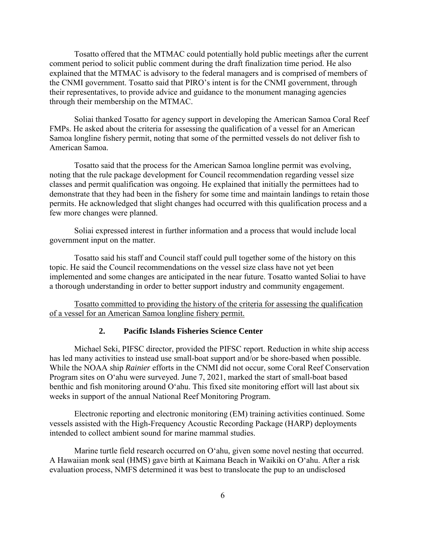Tosatto offered that the MTMAC could potentially hold public meetings after the current comment period to solicit public comment during the draft finalization time period. He also explained that the MTMAC is advisory to the federal managers and is comprised of members of the CNMI government. Tosatto said that PIRO's intent is for the CNMI government, through their representatives, to provide advice and guidance to the monument managing agencies through their membership on the MTMAC.

Soliai thanked Tosatto for agency support in developing the American Samoa Coral Reef FMPs. He asked about the criteria for assessing the qualification of a vessel for an American Samoa longline fishery permit, noting that some of the permitted vessels do not deliver fish to American Samoa.

Tosatto said that the process for the American Samoa longline permit was evolving, noting that the rule package development for Council recommendation regarding vessel size classes and permit qualification was ongoing. He explained that initially the permittees had to demonstrate that they had been in the fishery for some time and maintain landings to retain those permits. He acknowledged that slight changes had occurred with this qualification process and a few more changes were planned.

Soliai expressed interest in further information and a process that would include local government input on the matter.

Tosatto said his staff and Council staff could pull together some of the history on this topic. He said the Council recommendations on the vessel size class have not yet been implemented and some changes are anticipated in the near future. Tosatto wanted Soliai to have a thorough understanding in order to better support industry and community engagement.

Tosatto committed to providing the history of the criteria for assessing the qualification of a vessel for an American Samoa longline fishery permit.

#### **2. Pacific Islands Fisheries Science Center**

Michael Seki, PIFSC director, provided the PIFSC report. Reduction in white ship access has led many activities to instead use small-boat support and/or be shore-based when possible. While the NOAA ship *Rainier* efforts in the CNMI did not occur, some Coral Reef Conservation Program sites on O'ahu were surveyed. June 7, 2021, marked the start of small-boat based benthic and fish monitoring around O'ahu. This fixed site monitoring effort will last about six weeks in support of the annual National Reef Monitoring Program.

Electronic reporting and electronic monitoring (EM) training activities continued. Some vessels assisted with the High-Frequency Acoustic Recording Package (HARP) deployments intended to collect ambient sound for marine mammal studies.

Marine turtle field research occurred on O'ahu, given some novel nesting that occurred. A Hawaiian monk seal (HMS) gave birth at Kaimana Beach in Waikiki on O'ahu. After a risk evaluation process, NMFS determined it was best to translocate the pup to an undisclosed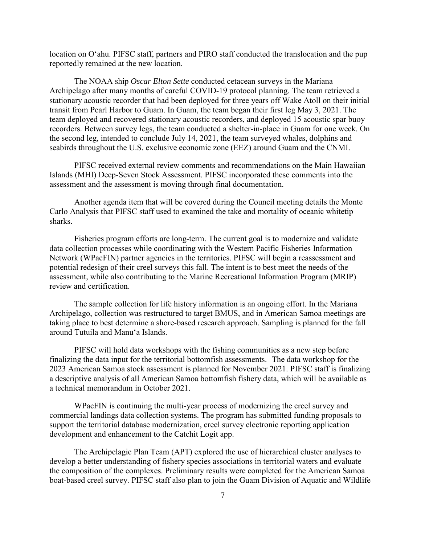location on O'ahu. PIFSC staff, partners and PIRO staff conducted the translocation and the pup reportedly remained at the new location.

The NOAA ship *Oscar Elton Sette* conducted cetacean surveys in the Mariana Archipelago after many months of careful COVID-19 protocol planning. The team retrieved a stationary acoustic recorder that had been deployed for three years off Wake Atoll on their initial transit from Pearl Harbor to Guam. In Guam, the team began their first leg May 3, 2021. The team deployed and recovered stationary acoustic recorders, and deployed 15 acoustic spar buoy recorders. Between survey legs, the team conducted a shelter-in-place in Guam for one week. On the second leg, intended to conclude July 14, 2021, the team surveyed whales, dolphins and seabirds throughout the U.S. exclusive economic zone (EEZ) around Guam and the CNMI.

PIFSC received external review comments and recommendations on the Main Hawaiian Islands (MHI) Deep-Seven Stock Assessment. PIFSC incorporated these comments into the assessment and the assessment is moving through final documentation.

Another agenda item that will be covered during the Council meeting details the Monte Carlo Analysis that PIFSC staff used to examined the take and mortality of oceanic whitetip sharks.

Fisheries program efforts are long-term. The current goal is to modernize and validate data collection processes while coordinating with the Western Pacific Fisheries Information Network (WPacFIN) partner agencies in the territories. PIFSC will begin a reassessment and potential redesign of their creel surveys this fall. The intent is to best meet the needs of the assessment, while also contributing to the Marine Recreational Information Program (MRIP) review and certification.

The sample collection for life history information is an ongoing effort. In the Mariana Archipelago, collection was restructured to target BMUS, and in American Samoa meetings are taking place to best determine a shore-based research approach. Sampling is planned for the fall around Tutuila and Manu'a Islands.

PIFSC will hold data workshops with the fishing communities as a new step before finalizing the data input for the territorial bottomfish assessments. The data workshop for the 2023 American Samoa stock assessment is planned for November 2021. PIFSC staff is finalizing a descriptive analysis of all American Samoa bottomfish fishery data, which will be available as a technical memorandum in October 2021.

WPacFIN is continuing the multi-year process of modernizing the creel survey and commercial landings data collection systems. The program has submitted funding proposals to support the territorial database modernization, creel survey electronic reporting application development and enhancement to the Catchit Logit app.

The Archipelagic Plan Team (APT) explored the use of hierarchical cluster analyses to develop a better understanding of fishery species associations in territorial waters and evaluate the composition of the complexes. Preliminary results were completed for the American Samoa boat-based creel survey. PIFSC staff also plan to join the Guam Division of Aquatic and Wildlife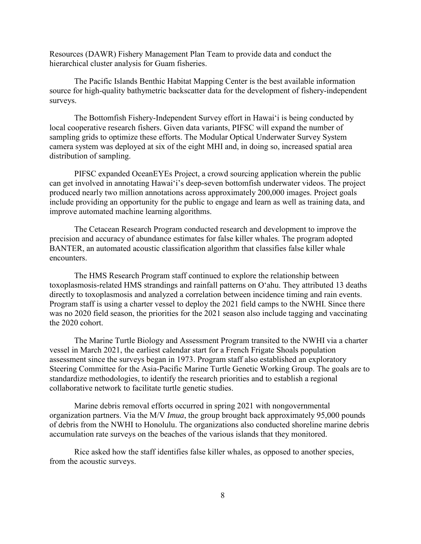Resources (DAWR) Fishery Management Plan Team to provide data and conduct the hierarchical cluster analysis for Guam fisheries.

The Pacific Islands Benthic Habitat Mapping Center is the best available information source for high-quality bathymetric backscatter data for the development of fishery-independent surveys.

The Bottomfish Fishery-Independent Survey effort in Hawaiʻi is being conducted by local cooperative research fishers. Given data variants, PIFSC will expand the number of sampling grids to optimize these efforts. The Modular Optical Underwater Survey System camera system was deployed at six of the eight MHI and, in doing so, increased spatial area distribution of sampling.

PIFSC expanded OceanEYEs Project, a crowd sourcing application wherein the public can get involved in annotating Hawaiʻi's deep-seven bottomfish underwater videos. The project produced nearly two million annotations across approximately 200,000 images. Project goals include providing an opportunity for the public to engage and learn as well as training data, and improve automated machine learning algorithms.

The Cetacean Research Program conducted research and development to improve the precision and accuracy of abundance estimates for false killer whales. The program adopted BANTER, an automated acoustic classification algorithm that classifies false killer whale encounters.

The HMS Research Program staff continued to explore the relationship between toxoplasmosis-related HMS strandings and rainfall patterns on O'ahu. They attributed 13 deaths directly to toxoplasmosis and analyzed a correlation between incidence timing and rain events. Program staff is using a charter vessel to deploy the 2021 field camps to the NWHI. Since there was no 2020 field season, the priorities for the 2021 season also include tagging and vaccinating the 2020 cohort.

The Marine Turtle Biology and Assessment Program transited to the NWHI via a charter vessel in March 2021, the earliest calendar start for a French Frigate Shoals population assessment since the surveys began in 1973. Program staff also established an exploratory Steering Committee for the Asia-Pacific Marine Turtle Genetic Working Group. The goals are to standardize methodologies, to identify the research priorities and to establish a regional collaborative network to facilitate turtle genetic studies.

Marine debris removal efforts occurred in spring 2021 with nongovernmental organization partners. Via the M/V *Imua*, the group brought back approximately 95,000 pounds of debris from the NWHI to Honolulu. The organizations also conducted shoreline marine debris accumulation rate surveys on the beaches of the various islands that they monitored.

Rice asked how the staff identifies false killer whales, as opposed to another species, from the acoustic surveys.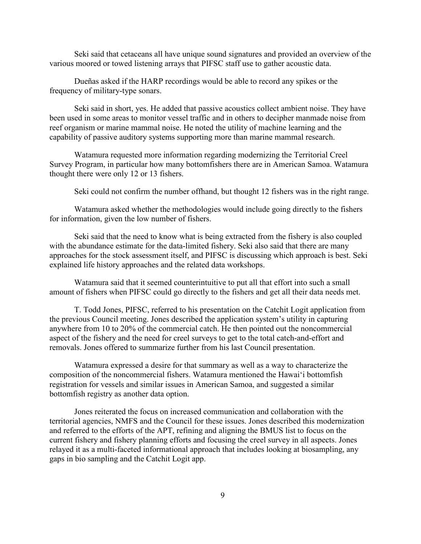Seki said that cetaceans all have unique sound signatures and provided an overview of the various moored or towed listening arrays that PIFSC staff use to gather acoustic data.

Dueñas asked if the HARP recordings would be able to record any spikes or the frequency of military-type sonars.

Seki said in short, yes. He added that passive acoustics collect ambient noise. They have been used in some areas to monitor vessel traffic and in others to decipher manmade noise from reef organism or marine mammal noise. He noted the utility of machine learning and the capability of passive auditory systems supporting more than marine mammal research.

Watamura requested more information regarding modernizing the Territorial Creel Survey Program, in particular how many bottomfishers there are in American Samoa. Watamura thought there were only 12 or 13 fishers.

Seki could not confirm the number offhand, but thought 12 fishers was in the right range.

Watamura asked whether the methodologies would include going directly to the fishers for information, given the low number of fishers.

Seki said that the need to know what is being extracted from the fishery is also coupled with the abundance estimate for the data-limited fishery. Seki also said that there are many approaches for the stock assessment itself, and PIFSC is discussing which approach is best. Seki explained life history approaches and the related data workshops.

Watamura said that it seemed counterintuitive to put all that effort into such a small amount of fishers when PIFSC could go directly to the fishers and get all their data needs met.

T. Todd Jones, PIFSC, referred to his presentation on the Catchit Logit application from the previous Council meeting. Jones described the application system's utility in capturing anywhere from 10 to 20% of the commercial catch. He then pointed out the noncommercial aspect of the fishery and the need for creel surveys to get to the total catch-and-effort and removals. Jones offered to summarize further from his last Council presentation.

Watamura expressed a desire for that summary as well as a way to characterize the composition of the noncommercial fishers. Watamura mentioned the Hawaiʻi bottomfish registration for vessels and similar issues in American Samoa, and suggested a similar bottomfish registry as another data option.

Jones reiterated the focus on increased communication and collaboration with the territorial agencies, NMFS and the Council for these issues. Jones described this modernization and referred to the efforts of the APT, refining and aligning the BMUS list to focus on the current fishery and fishery planning efforts and focusing the creel survey in all aspects. Jones relayed it as a multi-faceted informational approach that includes looking at biosampling, any gaps in bio sampling and the Catchit Logit app.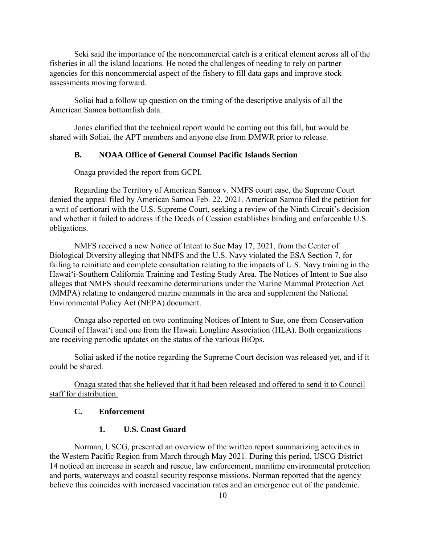Seki said the importance of the noncommercial catch is a critical element across all of the fisheries in all the island locations. He noted the challenges of needing to rely on partner agencies for this noncommercial aspect of the fishery to fill data gaps and improve stock assessments moving forward.

Soliai had a follow up question on the timing of the descriptive analysis of all the American Samoa bottomfish data.

Jones clarified that the technical report would be coming out this fall, but would be shared with Soliai, the APT members and anyone else from DMWR prior to release.

### **B. NOAA Office of General Counsel Pacific Islands Section**

Onaga provided the report from GCPI.

Regarding the Territory of American Samoa v. NMFS court case, the Supreme Court denied the appeal filed by American Samoa Feb. 22, 2021. American Samoa filed the petition for a writ of certiorari with the U.S. Supreme Court, seeking a review of the Ninth Circuit's decision and whether it failed to address if the Deeds of Cession establishes binding and enforceable U.S. obligations.

NMFS received a new Notice of Intent to Sue May 17, 2021, from the Center of Biological Diversity alleging that NMFS and the U.S. Navy violated the ESA Section 7, for failing to reinitiate and complete consultation relating to the impacts of U.S. Navy training in the Hawaiʻi-Southern California Training and Testing Study Area. The Notices of Intent to Sue also alleges that NMFS should reexamine determinations under the Marine Mammal Protection Act (MMPA) relating to endangered marine mammals in the area and supplement the National Environmental Policy Act (NEPA) document.

Onaga also reported on two continuing Notices of Intent to Sue, one from Conservation Council of Hawaiʻi and one from the Hawaii Longline Association (HLA). Both organizations are receiving periodic updates on the status of the various BiOps.

Soliai asked if the notice regarding the Supreme Court decision was released yet, and if it could be shared.

Onaga stated that she believed that it had been released and offered to send it to Council staff for distribution.

#### **C. Enforcement**

#### **1. U.S. Coast Guard**

Norman, USCG, presented an overview of the written report summarizing activities in the Western Pacific Region from March through May 2021. During this period, USCG District 14 noticed an increase in search and rescue, law enforcement, maritime environmental protection and ports, waterways and coastal security response missions. Norman reported that the agency believe this coincides with increased vaccination rates and an emergence out of the pandemic.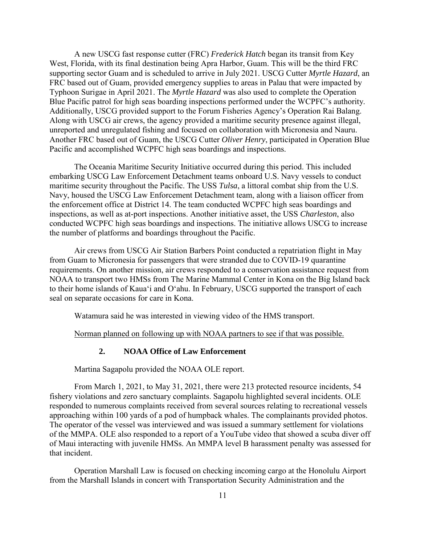A new USCG fast response cutter (FRC) *Frederick Hatch* began its transit from Key West, Florida, with its final destination being Apra Harbor, Guam. This will be the third FRC supporting sector Guam and is scheduled to arrive in July 2021. USCG Cutter *Myrtle Hazard*, an FRC based out of Guam, provided emergency supplies to areas in Palau that were impacted by Typhoon Surigae in April 2021. The *Myrtle Hazard* was also used to complete the Operation Blue Pacific patrol for high seas boarding inspections performed under the WCPFC's authority. Additionally, USCG provided support to the Forum Fisheries Agency's Operation Rai Balang. Along with USCG air crews, the agency provided a maritime security presence against illegal, unreported and unregulated fishing and focused on collaboration with Micronesia and Nauru. Another FRC based out of Guam, the USCG Cutter *Oliver Henry*, participated in Operation Blue Pacific and accomplished WCPFC high seas boardings and inspections.

The Oceania Maritime Security Initiative occurred during this period. This included embarking USCG Law Enforcement Detachment teams onboard U.S. Navy vessels to conduct maritime security throughout the Pacific. The USS *Tulsa*, a littoral combat ship from the U.S. Navy, housed the USCG Law Enforcement Detachment team, along with a liaison officer from the enforcement office at District 14. The team conducted WCPFC high seas boardings and inspections, as well as at-port inspections. Another initiative asset, the USS *Charleston*, also conducted WCPFC high seas boardings and inspections. The initiative allows USCG to increase the number of platforms and boardings throughout the Pacific.

Air crews from USCG Air Station Barbers Point conducted a repatriation flight in May from Guam to Micronesia for passengers that were stranded due to COVID-19 quarantine requirements. On another mission, air crews responded to a conservation assistance request from NOAA to transport two HMSs from The Marine Mammal Center in Kona on the Big Island back to their home islands of Kaua'i and O'ahu. In February, USCG supported the transport of each seal on separate occasions for care in Kona.

Watamura said he was interested in viewing video of the HMS transport.

Norman planned on following up with NOAA partners to see if that was possible.

## **2. NOAA Office of Law Enforcement**

Martina Sagapolu provided the NOAA OLE report.

From March 1, 2021, to May 31, 2021, there were 213 protected resource incidents, 54 fishery violations and zero sanctuary complaints. Sagapolu highlighted several incidents. OLE responded to numerous complaints received from several sources relating to recreational vessels approaching within 100 yards of a pod of humpback whales. The complainants provided photos. The operator of the vessel was interviewed and was issued a summary settlement for violations of the MMPA. OLE also responded to a report of a YouTube video that showed a scuba diver off of Maui interacting with juvenile HMSs. An MMPA level B harassment penalty was assessed for that incident.

Operation Marshall Law is focused on checking incoming cargo at the Honolulu Airport from the Marshall Islands in concert with Transportation Security Administration and the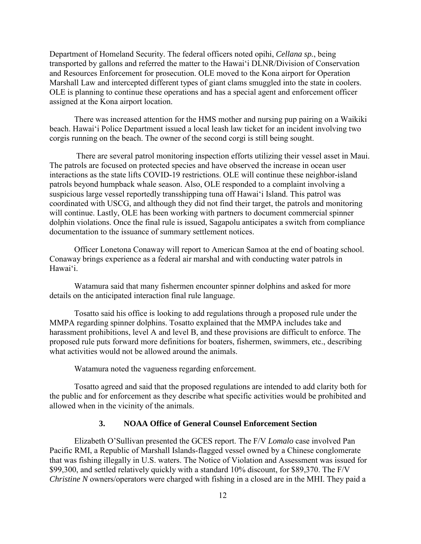Department of Homeland Security. The federal officers noted opihi, *Cellana sp.*, being transported by gallons and referred the matter to the Hawaiʻi DLNR/Division of Conservation and Resources Enforcement for prosecution. OLE moved to the Kona airport for Operation Marshall Law and intercepted different types of giant clams smuggled into the state in coolers. OLE is planning to continue these operations and has a special agent and enforcement officer assigned at the Kona airport location.

There was increased attention for the HMS mother and nursing pup pairing on a Waikiki beach. Hawai'i Police Department issued a local leash law ticket for an incident involving two corgis running on the beach. The owner of the second corgi is still being sought.

There are several patrol monitoring inspection efforts utilizing their vessel asset in Maui. The patrols are focused on protected species and have observed the increase in ocean user interactions as the state lifts COVID-19 restrictions. OLE will continue these neighbor-island patrols beyond humpback whale season. Also, OLE responded to a complaint involving a suspicious large vessel reportedly transshipping tuna off Hawaiʻi Island. This patrol was coordinated with USCG, and although they did not find their target, the patrols and monitoring will continue. Lastly, OLE has been working with partners to document commercial spinner dolphin violations. Once the final rule is issued, Sagapolu anticipates a switch from compliance documentation to the issuance of summary settlement notices.

Officer Lonetona Conaway will report to American Samoa at the end of boating school. Conaway brings experience as a federal air marshal and with conducting water patrols in Hawaiʻi.

Watamura said that many fishermen encounter spinner dolphins and asked for more details on the anticipated interaction final rule language.

Tosatto said his office is looking to add regulations through a proposed rule under the MMPA regarding spinner dolphins. Tosatto explained that the MMPA includes take and harassment prohibitions, level A and level B, and these provisions are difficult to enforce. The proposed rule puts forward more definitions for boaters, fishermen, swimmers, etc., describing what activities would not be allowed around the animals.

Watamura noted the vagueness regarding enforcement.

Tosatto agreed and said that the proposed regulations are intended to add clarity both for the public and for enforcement as they describe what specific activities would be prohibited and allowed when in the vicinity of the animals.

### **3. NOAA Office of General Counsel Enforcement Section**

Elizabeth O'Sullivan presented the GCES report. The F/V *Lomalo* case involved Pan Pacific RMI, a Republic of Marshall Islands-flagged vessel owned by a Chinese conglomerate that was fishing illegally in U.S. waters. The Notice of Violation and Assessment was issued for \$99,300, and settled relatively quickly with a standard 10% discount, for \$89,370. The F/V *Christine N* owners/operators were charged with fishing in a closed are in the MHI. They paid a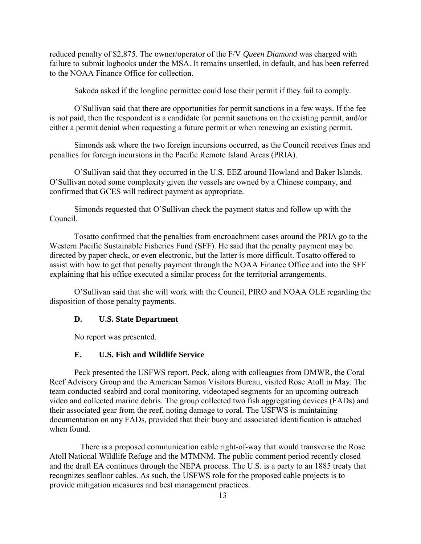reduced penalty of \$2,875. The owner/operator of the F/V *Queen Diamond* was charged with failure to submit logbooks under the MSA. It remains unsettled, in default, and has been referred to the NOAA Finance Office for collection.

Sakoda asked if the longline permittee could lose their permit if they fail to comply.

O'Sullivan said that there are opportunities for permit sanctions in a few ways. If the fee is not paid, then the respondent is a candidate for permit sanctions on the existing permit, and/or either a permit denial when requesting a future permit or when renewing an existing permit.

Simonds ask where the two foreign incursions occurred, as the Council receives fines and penalties for foreign incursions in the Pacific Remote Island Areas (PRIA).

O'Sullivan said that they occurred in the U.S. EEZ around Howland and Baker Islands. O'Sullivan noted some complexity given the vessels are owned by a Chinese company, and confirmed that GCES will redirect payment as appropriate.

Simonds requested that O'Sullivan check the payment status and follow up with the Council.

Tosatto confirmed that the penalties from encroachment cases around the PRIA go to the Western Pacific Sustainable Fisheries Fund (SFF). He said that the penalty payment may be directed by paper check, or even electronic, but the latter is more difficult. Tosatto offered to assist with how to get that penalty payment through the NOAA Finance Office and into the SFF explaining that his office executed a similar process for the territorial arrangements.

O'Sullivan said that she will work with the Council, PIRO and NOAA OLE regarding the disposition of those penalty payments.

#### **D. U.S. State Department**

No report was presented.

#### **E. U.S. Fish and Wildlife Service**

Peck presented the USFWS report. Peck, along with colleagues from DMWR, the Coral Reef Advisory Group and the American Samoa Visitors Bureau, visited Rose Atoll in May. The team conducted seabird and coral monitoring, videotaped segments for an upcoming outreach video and collected marine debris. The group collected two fish aggregating devices (FADs) and their associated gear from the reef, noting damage to coral. The USFWS is maintaining documentation on any FADs, provided that their buoy and associated identification is attached when found.

 There is a proposed communication cable right-of-way that would transverse the Rose Atoll National Wildlife Refuge and the MTMNM. The public comment period recently closed and the draft EA continues through the NEPA process. The U.S. is a party to an 1885 treaty that recognizes seafloor cables. As such, the USFWS role for the proposed cable projects is to provide mitigation measures and best management practices.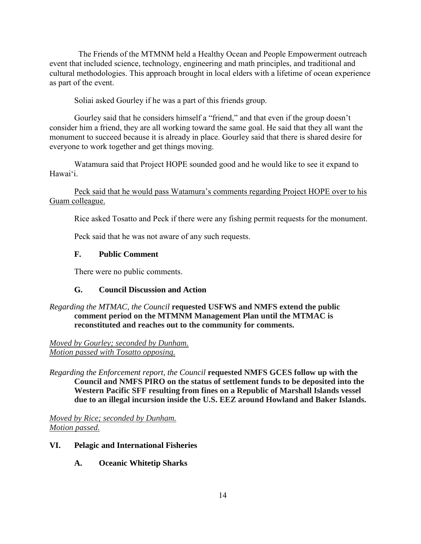The Friends of the MTMNM held a Healthy Ocean and People Empowerment outreach event that included science, technology, engineering and math principles, and traditional and cultural methodologies. This approach brought in local elders with a lifetime of ocean experience as part of the event.

Soliai asked Gourley if he was a part of this friends group.

Gourley said that he considers himself a "friend," and that even if the group doesn't consider him a friend, they are all working toward the same goal. He said that they all want the monument to succeed because it is already in place. Gourley said that there is shared desire for everyone to work together and get things moving.

Watamura said that Project HOPE sounded good and he would like to see it expand to Hawaiʻi.

Peck said that he would pass Watamura's comments regarding Project HOPE over to his Guam colleague.

Rice asked Tosatto and Peck if there were any fishing permit requests for the monument.

Peck said that he was not aware of any such requests.

# **F. Public Comment**

There were no public comments.

### **G. Council Discussion and Action**

### *Regarding the MTMAC, the Council* **requested USFWS and NMFS extend the public comment period on the MTMNM Management Plan until the MTMAC is reconstituted and reaches out to the community for comments.**

*Moved by Gourley; seconded by Dunham. Motion passed with Tosatto opposing.*

*Regarding the Enforcement report, the Council* **requested NMFS GCES follow up with the Council and NMFS PIRO on the status of settlement funds to be deposited into the Western Pacific SFF resulting from fines on a Republic of Marshall Islands vessel due to an illegal incursion inside the U.S. EEZ around Howland and Baker Islands.** 

*Moved by Rice; seconded by Dunham. Motion passed.*

#### **VI. Pelagic and International Fisheries**

**A. Oceanic Whitetip Sharks**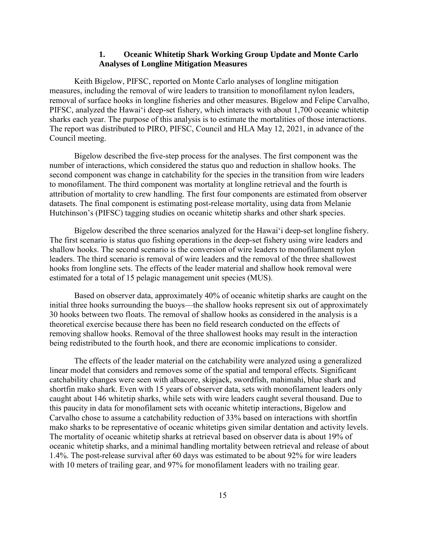#### **1. Oceanic Whitetip Shark Working Group Update and Monte Carlo Analyses of Longline Mitigation Measures**

Keith Bigelow, PIFSC, reported on Monte Carlo analyses of longline mitigation measures, including the removal of wire leaders to transition to monofilament nylon leaders, removal of surface hooks in longline fisheries and other measures. Bigelow and Felipe Carvalho, PIFSC, analyzed the Hawaiʻi deep-set fishery, which interacts with about 1,700 oceanic whitetip sharks each year. The purpose of this analysis is to estimate the mortalities of those interactions. The report was distributed to PIRO, PIFSC, Council and HLA May 12, 2021, in advance of the Council meeting.

Bigelow described the five-step process for the analyses. The first component was the number of interactions, which considered the status quo and reduction in shallow hooks. The second component was change in catchability for the species in the transition from wire leaders to monofilament. The third component was mortality at longline retrieval and the fourth is attribution of mortality to crew handling. The first four components are estimated from observer datasets. The final component is estimating post-release mortality, using data from Melanie Hutchinson's (PIFSC) tagging studies on oceanic whitetip sharks and other shark species.

Bigelow described the three scenarios analyzed for the Hawaiʻi deep-set longline fishery. The first scenario is status quo fishing operations in the deep-set fishery using wire leaders and shallow hooks. The second scenario is the conversion of wire leaders to monofilament nylon leaders. The third scenario is removal of wire leaders and the removal of the three shallowest hooks from longline sets. The effects of the leader material and shallow hook removal were estimated for a total of 15 pelagic management unit species (MUS).

Based on observer data, approximately 40% of oceanic whitetip sharks are caught on the initial three hooks surrounding the buoys—the shallow hooks represent six out of approximately 30 hooks between two floats. The removal of shallow hooks as considered in the analysis is a theoretical exercise because there has been no field research conducted on the effects of removing shallow hooks. Removal of the three shallowest hooks may result in the interaction being redistributed to the fourth hook, and there are economic implications to consider.

The effects of the leader material on the catchability were analyzed using a generalized linear model that considers and removes some of the spatial and temporal effects. Significant catchability changes were seen with albacore, skipjack, swordfish, mahimahi, blue shark and shortfin mako shark. Even with 15 years of observer data, sets with monofilament leaders only caught about 146 whitetip sharks, while sets with wire leaders caught several thousand. Due to this paucity in data for monofilament sets with oceanic whitetip interactions, Bigelow and Carvalho chose to assume a catchability reduction of 33% based on interactions with shortfin mako sharks to be representative of oceanic whitetips given similar dentation and activity levels. The mortality of oceanic whitetip sharks at retrieval based on observer data is about 19% of oceanic whitetip sharks, and a minimal handling mortality between retrieval and release of about 1.4%. The post-release survival after 60 days was estimated to be about 92% for wire leaders with 10 meters of trailing gear, and 97% for monofilament leaders with no trailing gear.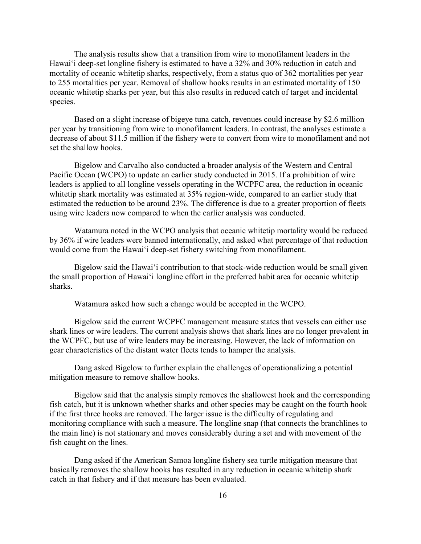The analysis results show that a transition from wire to monofilament leaders in the Hawaiʻi deep-set longline fishery is estimated to have a 32% and 30% reduction in catch and mortality of oceanic whitetip sharks, respectively, from a status quo of 362 mortalities per year to 255 mortalities per year. Removal of shallow hooks results in an estimated mortality of 150 oceanic whitetip sharks per year, but this also results in reduced catch of target and incidental species.

Based on a slight increase of bigeye tuna catch, revenues could increase by \$2.6 million per year by transitioning from wire to monofilament leaders. In contrast, the analyses estimate a decrease of about \$11.5 million if the fishery were to convert from wire to monofilament and not set the shallow hooks.

Bigelow and Carvalho also conducted a broader analysis of the Western and Central Pacific Ocean (WCPO) to update an earlier study conducted in 2015. If a prohibition of wire leaders is applied to all longline vessels operating in the WCPFC area, the reduction in oceanic whitetip shark mortality was estimated at 35% region-wide, compared to an earlier study that estimated the reduction to be around 23%. The difference is due to a greater proportion of fleets using wire leaders now compared to when the earlier analysis was conducted.

Watamura noted in the WCPO analysis that oceanic whitetip mortality would be reduced by 36% if wire leaders were banned internationally, and asked what percentage of that reduction would come from the Hawaiʻi deep-set fishery switching from monofilament.

Bigelow said the Hawaiʻi contribution to that stock-wide reduction would be small given the small proportion of Hawaiʻi longline effort in the preferred habit area for oceanic whitetip sharks.

Watamura asked how such a change would be accepted in the WCPO.

Bigelow said the current WCPFC management measure states that vessels can either use shark lines or wire leaders. The current analysis shows that shark lines are no longer prevalent in the WCPFC, but use of wire leaders may be increasing. However, the lack of information on gear characteristics of the distant water fleets tends to hamper the analysis.

Dang asked Bigelow to further explain the challenges of operationalizing a potential mitigation measure to remove shallow hooks.

Bigelow said that the analysis simply removes the shallowest hook and the corresponding fish catch, but it is unknown whether sharks and other species may be caught on the fourth hook if the first three hooks are removed. The larger issue is the difficulty of regulating and monitoring compliance with such a measure. The longline snap (that connects the branchlines to the main line) is not stationary and moves considerably during a set and with movement of the fish caught on the lines.

Dang asked if the American Samoa longline fishery sea turtle mitigation measure that basically removes the shallow hooks has resulted in any reduction in oceanic whitetip shark catch in that fishery and if that measure has been evaluated.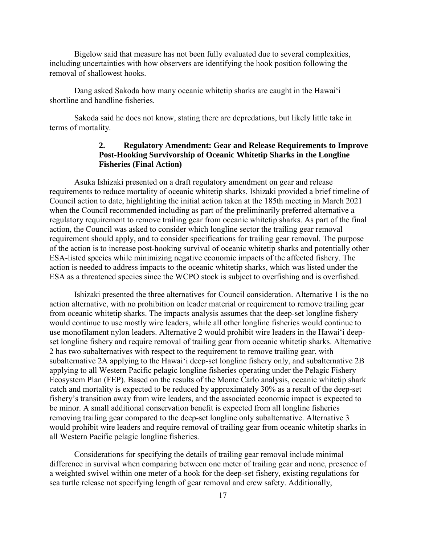Bigelow said that measure has not been fully evaluated due to several complexities, including uncertainties with how observers are identifying the hook position following the removal of shallowest hooks.

Dang asked Sakoda how many oceanic whitetip sharks are caught in the Hawaiʻi shortline and handline fisheries.

Sakoda said he does not know, stating there are depredations, but likely little take in terms of mortality.

### **2. Regulatory Amendment: Gear and Release Requirements to Improve Post-Hooking Survivorship of Oceanic Whitetip Sharks in the Longline Fisheries (Final Action)**

Asuka Ishizaki presented on a draft regulatory amendment on gear and release requirements to reduce mortality of oceanic whitetip sharks. Ishizaki provided a brief timeline of Council action to date, highlighting the initial action taken at the 185th meeting in March 2021 when the Council recommended including as part of the preliminarily preferred alternative a regulatory requirement to remove trailing gear from oceanic whitetip sharks. As part of the final action, the Council was asked to consider which longline sector the trailing gear removal requirement should apply, and to consider specifications for trailing gear removal. The purpose of the action is to increase post-hooking survival of oceanic whitetip sharks and potentially other ESA-listed species while minimizing negative economic impacts of the affected fishery. The action is needed to address impacts to the oceanic whitetip sharks, which was listed under the ESA as a threatened species since the WCPO stock is subject to overfishing and is overfished.

Ishizaki presented the three alternatives for Council consideration. Alternative 1 is the no action alternative, with no prohibition on leader material or requirement to remove trailing gear from oceanic whitetip sharks. The impacts analysis assumes that the deep-set longline fishery would continue to use mostly wire leaders, while all other longline fisheries would continue to use monofilament nylon leaders. Alternative 2 would prohibit wire leaders in the Hawaiʻi deepset longline fishery and require removal of trailing gear from oceanic whitetip sharks. Alternative 2 has two subalternatives with respect to the requirement to remove trailing gear, with subalternative 2A applying to the Hawaiʻi deep-set longline fishery only, and subalternative 2B applying to all Western Pacific pelagic longline fisheries operating under the Pelagic Fishery Ecosystem Plan (FEP). Based on the results of the Monte Carlo analysis, oceanic whitetip shark catch and mortality is expected to be reduced by approximately 30% as a result of the deep-set fishery's transition away from wire leaders, and the associated economic impact is expected to be minor. A small additional conservation benefit is expected from all longline fisheries removing trailing gear compared to the deep-set longline only subalternative. Alternative 3 would prohibit wire leaders and require removal of trailing gear from oceanic whitetip sharks in all Western Pacific pelagic longline fisheries.

Considerations for specifying the details of trailing gear removal include minimal difference in survival when comparing between one meter of trailing gear and none, presence of a weighted swivel within one meter of a hook for the deep-set fishery, existing regulations for sea turtle release not specifying length of gear removal and crew safety. Additionally,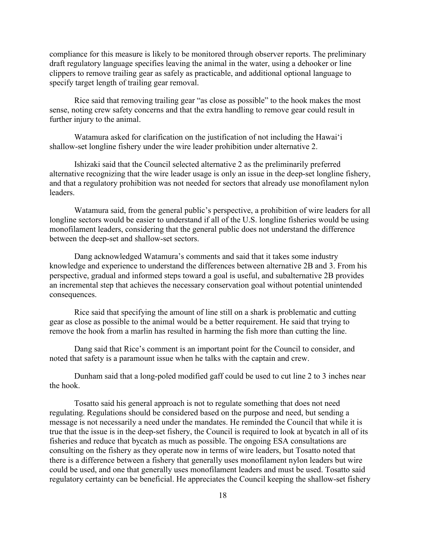compliance for this measure is likely to be monitored through observer reports. The preliminary draft regulatory language specifies leaving the animal in the water, using a dehooker or line clippers to remove trailing gear as safely as practicable, and additional optional language to specify target length of trailing gear removal.

Rice said that removing trailing gear "as close as possible" to the hook makes the most sense, noting crew safety concerns and that the extra handling to remove gear could result in further injury to the animal.

Watamura asked for clarification on the justification of not including the Hawaiʻi shallow-set longline fishery under the wire leader prohibition under alternative 2.

Ishizaki said that the Council selected alternative 2 as the preliminarily preferred alternative recognizing that the wire leader usage is only an issue in the deep-set longline fishery, and that a regulatory prohibition was not needed for sectors that already use monofilament nylon leaders.

Watamura said, from the general public's perspective, a prohibition of wire leaders for all longline sectors would be easier to understand if all of the U.S. longline fisheries would be using monofilament leaders, considering that the general public does not understand the difference between the deep-set and shallow-set sectors.

Dang acknowledged Watamura's comments and said that it takes some industry knowledge and experience to understand the differences between alternative 2B and 3. From his perspective, gradual and informed steps toward a goal is useful, and subalternative 2B provides an incremental step that achieves the necessary conservation goal without potential unintended consequences.

Rice said that specifying the amount of line still on a shark is problematic and cutting gear as close as possible to the animal would be a better requirement. He said that trying to remove the hook from a marlin has resulted in harming the fish more than cutting the line.

Dang said that Rice's comment is an important point for the Council to consider, and noted that safety is a paramount issue when he talks with the captain and crew.

Dunham said that a long-poled modified gaff could be used to cut line 2 to 3 inches near the hook.

Tosatto said his general approach is not to regulate something that does not need regulating. Regulations should be considered based on the purpose and need, but sending a message is not necessarily a need under the mandates. He reminded the Council that while it is true that the issue is in the deep-set fishery, the Council is required to look at bycatch in all of its fisheries and reduce that bycatch as much as possible. The ongoing ESA consultations are consulting on the fishery as they operate now in terms of wire leaders, but Tosatto noted that there is a difference between a fishery that generally uses monofilament nylon leaders but wire could be used, and one that generally uses monofilament leaders and must be used. Tosatto said regulatory certainty can be beneficial. He appreciates the Council keeping the shallow-set fishery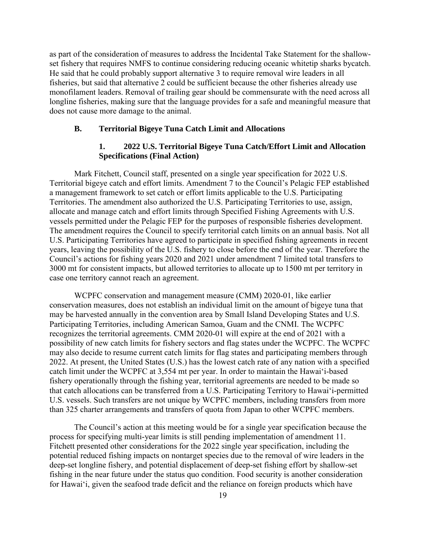as part of the consideration of measures to address the Incidental Take Statement for the shallowset fishery that requires NMFS to continue considering reducing oceanic whitetip sharks bycatch. He said that he could probably support alternative 3 to require removal wire leaders in all fisheries, but said that alternative 2 could be sufficient because the other fisheries already use monofilament leaders. Removal of trailing gear should be commensurate with the need across all longline fisheries, making sure that the language provides for a safe and meaningful measure that does not cause more damage to the animal.

### **B. Territorial Bigeye Tuna Catch Limit and Allocations**

### **1. 2022 U.S. Territorial Bigeye Tuna Catch/Effort Limit and Allocation Specifications (Final Action)**

Mark Fitchett, Council staff, presented on a single year specification for 2022 U.S. Territorial bigeye catch and effort limits. Amendment 7 to the Council's Pelagic FEP established a management framework to set catch or effort limits applicable to the U.S. Participating Territories. The amendment also authorized the U.S. Participating Territories to use, assign, allocate and manage catch and effort limits through Specified Fishing Agreements with U.S. vessels permitted under the Pelagic FEP for the purposes of responsible fisheries development. The amendment requires the Council to specify territorial catch limits on an annual basis. Not all U.S. Participating Territories have agreed to participate in specified fishing agreements in recent years, leaving the possibility of the U.S. fishery to close before the end of the year. Therefore the Council's actions for fishing years 2020 and 2021 under amendment 7 limited total transfers to 3000 mt for consistent impacts, but allowed territories to allocate up to 1500 mt per territory in case one territory cannot reach an agreement.

WCPFC conservation and management measure (CMM) 2020-01, like earlier conservation measures, does not establish an individual limit on the amount of bigeye tuna that may be harvested annually in the convention area by Small Island Developing States and U.S. Participating Territories, including American Samoa, Guam and the CNMI. The WCPFC recognizes the territorial agreements. CMM 2020-01 will expire at the end of 2021 with a possibility of new catch limits for fishery sectors and flag states under the WCPFC. The WCPFC may also decide to resume current catch limits for flag states and participating members through 2022. At present, the United States (U.S.) has the lowest catch rate of any nation with a specified catch limit under the WCPFC at 3,554 mt per year. In order to maintain the Hawaiʻi-based fishery operationally through the fishing year, territorial agreements are needed to be made so that catch allocations can be transferred from a U.S. Participating Territory to Hawaiʻi-permitted U.S. vessels. Such transfers are not unique by WCPFC members, including transfers from more than 325 charter arrangements and transfers of quota from Japan to other WCPFC members.

The Council's action at this meeting would be for a single year specification because the process for specifying multi-year limits is still pending implementation of amendment 11. Fitchett presented other considerations for the 2022 single year specification, including the potential reduced fishing impacts on nontarget species due to the removal of wire leaders in the deep-set longline fishery, and potential displacement of deep-set fishing effort by shallow-set fishing in the near future under the status quo condition. Food security is another consideration for Hawaiʻi, given the seafood trade deficit and the reliance on foreign products which have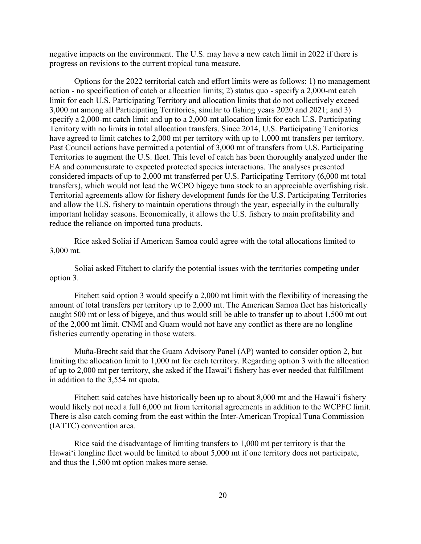negative impacts on the environment. The U.S. may have a new catch limit in 2022 if there is progress on revisions to the current tropical tuna measure.

Options for the 2022 territorial catch and effort limits were as follows: 1) no management action - no specification of catch or allocation limits; 2) status quo - specify a 2,000-mt catch limit for each U.S. Participating Territory and allocation limits that do not collectively exceed 3,000 mt among all Participating Territories, similar to fishing years 2020 and 2021; and 3) specify a 2,000-mt catch limit and up to a 2,000-mt allocation limit for each U.S. Participating Territory with no limits in total allocation transfers. Since 2014, U.S. Participating Territories have agreed to limit catches to 2,000 mt per territory with up to 1,000 mt transfers per territory. Past Council actions have permitted a potential of 3,000 mt of transfers from U.S. Participating Territories to augment the U.S. fleet. This level of catch has been thoroughly analyzed under the EA and commensurate to expected protected species interactions. The analyses presented considered impacts of up to 2,000 mt transferred per U.S. Participating Territory (6,000 mt total transfers), which would not lead the WCPO bigeye tuna stock to an appreciable overfishing risk. Territorial agreements allow for fishery development funds for the U.S. Participating Territories and allow the U.S. fishery to maintain operations through the year, especially in the culturally important holiday seasons. Economically, it allows the U.S. fishery to main profitability and reduce the reliance on imported tuna products.

Rice asked Soliai if American Samoa could agree with the total allocations limited to 3,000 mt.

Soliai asked Fitchett to clarify the potential issues with the territories competing under option 3.

Fitchett said option 3 would specify a 2,000 mt limit with the flexibility of increasing the amount of total transfers per territory up to 2,000 mt. The American Samoa fleet has historically caught 500 mt or less of bigeye, and thus would still be able to transfer up to about 1,500 mt out of the 2,000 mt limit. CNMI and Guam would not have any conflict as there are no longline fisheries currently operating in those waters.

Muña-Brecht said that the Guam Advisory Panel (AP) wanted to consider option 2, but limiting the allocation limit to 1,000 mt for each territory. Regarding option 3 with the allocation of up to 2,000 mt per territory, she asked if the Hawaiʻi fishery has ever needed that fulfillment in addition to the 3,554 mt quota.

Fitchett said catches have historically been up to about 8,000 mt and the Hawaiʻi fishery would likely not need a full 6,000 mt from territorial agreements in addition to the WCPFC limit. There is also catch coming from the east within the Inter-American Tropical Tuna Commission (IATTC) convention area.

Rice said the disadvantage of limiting transfers to 1,000 mt per territory is that the Hawaiʻi longline fleet would be limited to about 5,000 mt if one territory does not participate, and thus the 1,500 mt option makes more sense.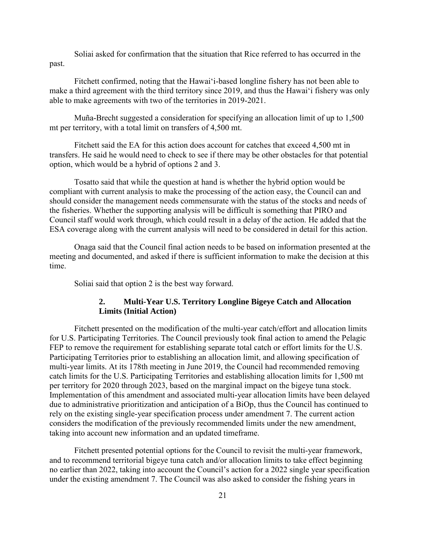Soliai asked for confirmation that the situation that Rice referred to has occurred in the past.

Fitchett confirmed, noting that the Hawaiʻi-based longline fishery has not been able to make a third agreement with the third territory since 2019, and thus the Hawaiʻi fishery was only able to make agreements with two of the territories in 2019-2021.

Muña-Brecht suggested a consideration for specifying an allocation limit of up to 1,500 mt per territory, with a total limit on transfers of 4,500 mt.

Fitchett said the EA for this action does account for catches that exceed 4,500 mt in transfers. He said he would need to check to see if there may be other obstacles for that potential option, which would be a hybrid of options 2 and 3.

Tosatto said that while the question at hand is whether the hybrid option would be compliant with current analysis to make the processing of the action easy, the Council can and should consider the management needs commensurate with the status of the stocks and needs of the fisheries. Whether the supporting analysis will be difficult is something that PIRO and Council staff would work through, which could result in a delay of the action. He added that the ESA coverage along with the current analysis will need to be considered in detail for this action.

Onaga said that the Council final action needs to be based on information presented at the meeting and documented, and asked if there is sufficient information to make the decision at this time.

Soliai said that option 2 is the best way forward.

### **2. Multi-Year U.S. Territory Longline Bigeye Catch and Allocation Limits (Initial Action)**

Fitchett presented on the modification of the multi-year catch/effort and allocation limits for U.S. Participating Territories. The Council previously took final action to amend the Pelagic FEP to remove the requirement for establishing separate total catch or effort limits for the U.S. Participating Territories prior to establishing an allocation limit, and allowing specification of multi-year limits. At its 178th meeting in June 2019, the Council had recommended removing catch limits for the U.S. Participating Territories and establishing allocation limits for 1,500 mt per territory for 2020 through 2023, based on the marginal impact on the bigeye tuna stock. Implementation of this amendment and associated multi-year allocation limits have been delayed due to administrative prioritization and anticipation of a BiOp, thus the Council has continued to rely on the existing single-year specification process under amendment 7. The current action considers the modification of the previously recommended limits under the new amendment, taking into account new information and an updated timeframe.

Fitchett presented potential options for the Council to revisit the multi-year framework, and to recommend territorial bigeye tuna catch and/or allocation limits to take effect beginning no earlier than 2022, taking into account the Council's action for a 2022 single year specification under the existing amendment 7. The Council was also asked to consider the fishing years in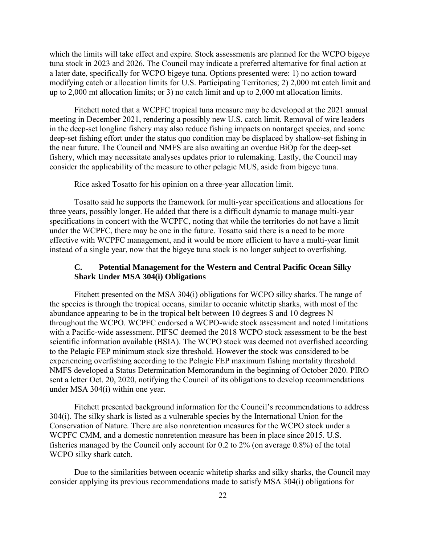which the limits will take effect and expire. Stock assessments are planned for the WCPO bigeye tuna stock in 2023 and 2026. The Council may indicate a preferred alternative for final action at a later date, specifically for WCPO bigeye tuna. Options presented were: 1) no action toward modifying catch or allocation limits for U.S. Participating Territories; 2) 2,000 mt catch limit and up to 2,000 mt allocation limits; or 3) no catch limit and up to 2,000 mt allocation limits.

Fitchett noted that a WCPFC tropical tuna measure may be developed at the 2021 annual meeting in December 2021, rendering a possibly new U.S. catch limit. Removal of wire leaders in the deep-set longline fishery may also reduce fishing impacts on nontarget species, and some deep-set fishing effort under the status quo condition may be displaced by shallow-set fishing in the near future. The Council and NMFS are also awaiting an overdue BiOp for the deep-set fishery, which may necessitate analyses updates prior to rulemaking. Lastly, the Council may consider the applicability of the measure to other pelagic MUS, aside from bigeye tuna.

Rice asked Tosatto for his opinion on a three-year allocation limit.

Tosatto said he supports the framework for multi-year specifications and allocations for three years, possibly longer. He added that there is a difficult dynamic to manage multi-year specifications in concert with the WCPFC, noting that while the territories do not have a limit under the WCPFC, there may be one in the future. Tosatto said there is a need to be more effective with WCPFC management, and it would be more efficient to have a multi-year limit instead of a single year, now that the bigeye tuna stock is no longer subject to overfishing.

### **C. Potential Management for the Western and Central Pacific Ocean Silky Shark Under MSA 304(i) Obligations**

Fitchett presented on the MSA 304(i) obligations for WCPO silky sharks. The range of the species is through the tropical oceans, similar to oceanic whitetip sharks, with most of the abundance appearing to be in the tropical belt between 10 degrees S and 10 degrees N throughout the WCPO. WCPFC endorsed a WCPO-wide stock assessment and noted limitations with a Pacific-wide assessment. PIFSC deemed the 2018 WCPO stock assessment to be the best scientific information available (BSIA). The WCPO stock was deemed not overfished according to the Pelagic FEP minimum stock size threshold. However the stock was considered to be experiencing overfishing according to the Pelagic FEP maximum fishing mortality threshold. NMFS developed a Status Determination Memorandum in the beginning of October 2020. PIRO sent a letter Oct. 20, 2020, notifying the Council of its obligations to develop recommendations under MSA 304(i) within one year.

Fitchett presented background information for the Council's recommendations to address 304(i). The silky shark is listed as a vulnerable species by the International Union for the Conservation of Nature. There are also nonretention measures for the WCPO stock under a WCPFC CMM, and a domestic nonretention measure has been in place since 2015. U.S. fisheries managed by the Council only account for 0.2 to 2% (on average 0.8%) of the total WCPO silky shark catch.

Due to the similarities between oceanic whitetip sharks and silky sharks, the Council may consider applying its previous recommendations made to satisfy MSA 304(i) obligations for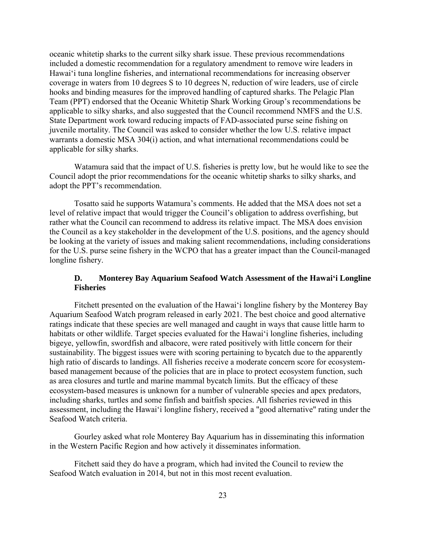oceanic whitetip sharks to the current silky shark issue. These previous recommendations included a domestic recommendation for a regulatory amendment to remove wire leaders in Hawaiʻi tuna longline fisheries, and international recommendations for increasing observer coverage in waters from 10 degrees S to 10 degrees N, reduction of wire leaders, use of circle hooks and binding measures for the improved handling of captured sharks. The Pelagic Plan Team (PPT) endorsed that the Oceanic Whitetip Shark Working Group's recommendations be applicable to silky sharks, and also suggested that the Council recommend NMFS and the U.S. State Department work toward reducing impacts of FAD-associated purse seine fishing on juvenile mortality. The Council was asked to consider whether the low U.S. relative impact warrants a domestic MSA 304(i) action, and what international recommendations could be applicable for silky sharks.

Watamura said that the impact of U.S. fisheries is pretty low, but he would like to see the Council adopt the prior recommendations for the oceanic whitetip sharks to silky sharks, and adopt the PPT's recommendation.

Tosatto said he supports Watamura's comments. He added that the MSA does not set a level of relative impact that would trigger the Council's obligation to address overfishing, but rather what the Council can recommend to address its relative impact. The MSA does envision the Council as a key stakeholder in the development of the U.S. positions, and the agency should be looking at the variety of issues and making salient recommendations, including considerations for the U.S. purse seine fishery in the WCPO that has a greater impact than the Council-managed longline fishery.

### **D. Monterey Bay Aquarium Seafood Watch Assessment of the Hawaiʻi Longline Fisheries**

Fitchett presented on the evaluation of the Hawaiʻi longline fishery by the Monterey Bay Aquarium Seafood Watch program released in early 2021. The best choice and good alternative ratings indicate that these species are well managed and caught in ways that cause little harm to habitats or other wildlife. Target species evaluated for the Hawaiʻi longline fisheries, including bigeye, yellowfin, swordfish and albacore, were rated positively with little concern for their sustainability. The biggest issues were with scoring pertaining to bycatch due to the apparently high ratio of discards to landings. All fisheries receive a moderate concern score for ecosystembased management because of the policies that are in place to protect ecosystem function, such as area closures and turtle and marine mammal bycatch limits. But the efficacy of these ecosystem-based measures is unknown for a number of vulnerable species and apex predators, including sharks, turtles and some finfish and baitfish species. All fisheries reviewed in this assessment, including the Hawaiʻi longline fishery, received a "good alternative" rating under the Seafood Watch criteria.

Gourley asked what role Monterey Bay Aquarium has in disseminating this information in the Western Pacific Region and how actively it disseminates information.

Fitchett said they do have a program, which had invited the Council to review the Seafood Watch evaluation in 2014, but not in this most recent evaluation.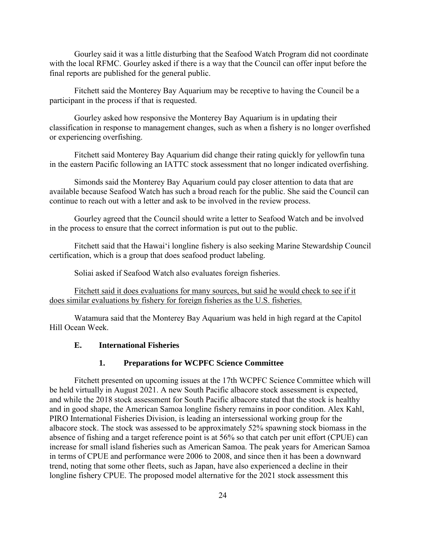Gourley said it was a little disturbing that the Seafood Watch Program did not coordinate with the local RFMC. Gourley asked if there is a way that the Council can offer input before the final reports are published for the general public.

Fitchett said the Monterey Bay Aquarium may be receptive to having the Council be a participant in the process if that is requested.

Gourley asked how responsive the Monterey Bay Aquarium is in updating their classification in response to management changes, such as when a fishery is no longer overfished or experiencing overfishing.

Fitchett said Monterey Bay Aquarium did change their rating quickly for yellowfin tuna in the eastern Pacific following an IATTC stock assessment that no longer indicated overfishing.

Simonds said the Monterey Bay Aquarium could pay closer attention to data that are available because Seafood Watch has such a broad reach for the public. She said the Council can continue to reach out with a letter and ask to be involved in the review process.

Gourley agreed that the Council should write a letter to Seafood Watch and be involved in the process to ensure that the correct information is put out to the public.

Fitchett said that the Hawaiʻi longline fishery is also seeking Marine Stewardship Council certification, which is a group that does seafood product labeling.

Soliai asked if Seafood Watch also evaluates foreign fisheries.

Fitchett said it does evaluations for many sources, but said he would check to see if it does similar evaluations by fishery for foreign fisheries as the U.S. fisheries.

Watamura said that the Monterey Bay Aquarium was held in high regard at the Capitol Hill Ocean Week.

### **E. International Fisheries**

### **1. Preparations for WCPFC Science Committee**

Fitchett presented on upcoming issues at the 17th WCPFC Science Committee which will be held virtually in August 2021. A new South Pacific albacore stock assessment is expected, and while the 2018 stock assessment for South Pacific albacore stated that the stock is healthy and in good shape, the American Samoa longline fishery remains in poor condition. Alex Kahl, PIRO International Fisheries Division, is leading an intersessional working group for the albacore stock. The stock was assessed to be approximately 52% spawning stock biomass in the absence of fishing and a target reference point is at 56% so that catch per unit effort (CPUE) can increase for small island fisheries such as American Samoa. The peak years for American Samoa in terms of CPUE and performance were 2006 to 2008, and since then it has been a downward trend, noting that some other fleets, such as Japan, have also experienced a decline in their longline fishery CPUE. The proposed model alternative for the 2021 stock assessment this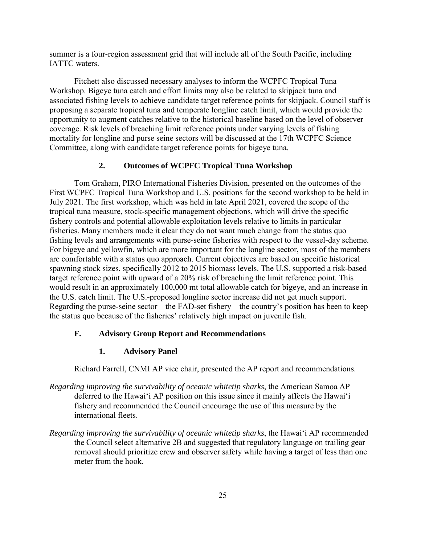summer is a four-region assessment grid that will include all of the South Pacific, including IATTC waters.

Fitchett also discussed necessary analyses to inform the WCPFC Tropical Tuna Workshop. Bigeye tuna catch and effort limits may also be related to skipjack tuna and associated fishing levels to achieve candidate target reference points for skipjack. Council staff is proposing a separate tropical tuna and temperate longline catch limit, which would provide the opportunity to augment catches relative to the historical baseline based on the level of observer coverage. Risk levels of breaching limit reference points under varying levels of fishing mortality for longline and purse seine sectors will be discussed at the 17th WCPFC Science Committee, along with candidate target reference points for bigeye tuna.

#### **2. Outcomes of WCPFC Tropical Tuna Workshop**

Tom Graham, PIRO International Fisheries Division, presented on the outcomes of the First WCPFC Tropical Tuna Workshop and U.S. positions for the second workshop to be held in July 2021. The first workshop, which was held in late April 2021, covered the scope of the tropical tuna measure, stock-specific management objections, which will drive the specific fishery controls and potential allowable exploitation levels relative to limits in particular fisheries. Many members made it clear they do not want much change from the status quo fishing levels and arrangements with purse-seine fisheries with respect to the vessel-day scheme. For bigeye and yellowfin, which are more important for the longline sector, most of the members are comfortable with a status quo approach. Current objectives are based on specific historical spawning stock sizes, specifically 2012 to 2015 biomass levels. The U.S. supported a risk-based target reference point with upward of a 20% risk of breaching the limit reference point. This would result in an approximately 100,000 mt total allowable catch for bigeye, and an increase in the U.S. catch limit. The U.S.-proposed longline sector increase did not get much support. Regarding the purse-seine sector—the FAD-set fishery—the country's position has been to keep the status quo because of the fisheries' relatively high impact on juvenile fish.

### **F. Advisory Group Report and Recommendations**

#### **1. Advisory Panel**

Richard Farrell, CNMI AP vice chair, presented the AP report and recommendations.

- *Regarding improving the survivability of oceanic whitetip sharks*, the American Samoa AP deferred to the Hawaiʻi AP position on this issue since it mainly affects the Hawaiʻi fishery and recommended the Council encourage the use of this measure by the international fleets.
- *Regarding improving the survivability of oceanic whitetip sharks*, the Hawaiʻi AP recommended the Council select alternative 2B and suggested that regulatory language on trailing gear removal should prioritize crew and observer safety while having a target of less than one meter from the hook.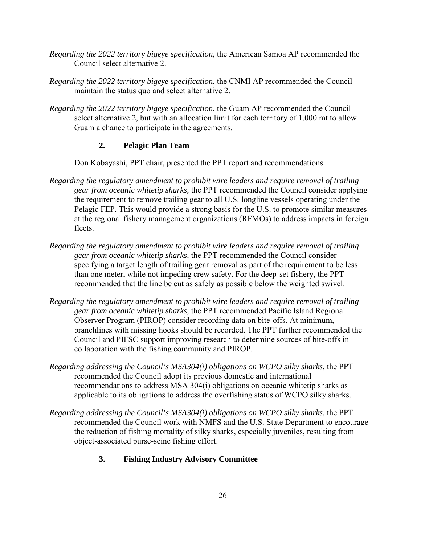- *Regarding the 2022 territory bigeye specification*, the American Samoa AP recommended the Council select alternative 2.
- *Regarding the 2022 territory bigeye specification*, the CNMI AP recommended the Council maintain the status quo and select alternative 2.
- *Regarding the 2022 territory bigeye specification*, the Guam AP recommended the Council select alternative 2, but with an allocation limit for each territory of 1,000 mt to allow Guam a chance to participate in the agreements.

# **2. Pelagic Plan Team**

Don Kobayashi, PPT chair, presented the PPT report and recommendations.

- *Regarding the regulatory amendment to prohibit wire leaders and require removal of trailing gear from oceanic whitetip sharks,* the PPT recommended the Council consider applying the requirement to remove trailing gear to all U.S. longline vessels operating under the Pelagic FEP. This would provide a strong basis for the U.S. to promote similar measures at the regional fishery management organizations (RFMOs) to address impacts in foreign fleets.
- *Regarding the regulatory amendment to prohibit wire leaders and require removal of trailing gear from oceanic whitetip sharks,* the PPT recommended the Council consider specifying a target length of trailing gear removal as part of the requirement to be less than one meter, while not impeding crew safety. For the deep-set fishery, the PPT recommended that the line be cut as safely as possible below the weighted swivel.
- *Regarding the regulatory amendment to prohibit wire leaders and require removal of trailing gear from oceanic whitetip sharks,* the PPT recommended Pacific Island Regional Observer Program (PIROP) consider recording data on bite-offs. At minimum, branchlines with missing hooks should be recorded. The PPT further recommended the Council and PIFSC support improving research to determine sources of bite-offs in collaboration with the fishing community and PIROP.
- *Regarding addressing the Council's MSA304(i) obligations on WCPO silky sharks,* the PPT recommended the Council adopt its previous domestic and international recommendations to address MSA 304(i) obligations on oceanic whitetip sharks as applicable to its obligations to address the overfishing status of WCPO silky sharks.
- *Regarding addressing the Council's MSA304(i) obligations on WCPO silky sharks, the PPT* recommended the Council work with NMFS and the U.S. State Department to encourage the reduction of fishing mortality of silky sharks, especially juveniles, resulting from object-associated purse-seine fishing effort.
	- **3. Fishing Industry Advisory Committee**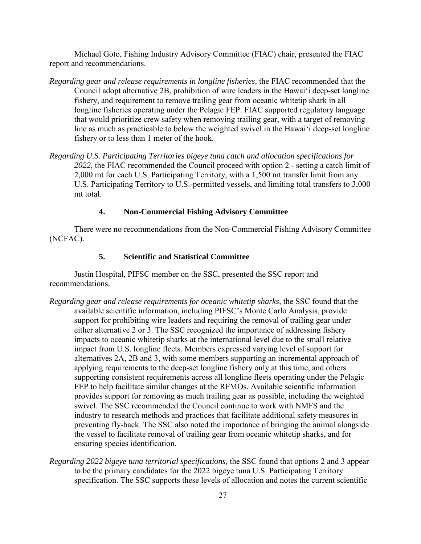Michael Goto, Fishing Industry Advisory Committee (FIAC) chair, presented the FIAC report and recommendations.

- *Regarding gear and release requirements in longline fisheries,* the FIAC recommended that the Council adopt alternative 2B, prohibition of wire leaders in the Hawaiʻi deep-set longline fishery, and requirement to remove trailing gear from oceanic whitetip shark in all longline fisheries operating under the Pelagic FEP. FIAC supported regulatory language that would prioritize crew safety when removing trailing gear, with a target of removing line as much as practicable to below the weighted swivel in the Hawaiʻi deep-set longline fishery or to less than 1 meter of the hook.
- *Regarding U.S. Participating Territories bigeye tuna catch and allocation specifications for 2022,* the FIAC recommended the Council proceed with option 2 - setting a catch limit of 2,000 mt for each U.S. Participating Territory, with a 1,500 mt transfer limit from any U.S. Participating Territory to U.S.-permitted vessels, and limiting total transfers to 3,000 mt total.

### **4. Non-Commercial Fishing Advisory Committee**

There were no recommendations from the Non-Commercial Fishing Advisory Committee (NCFAC).

### **5. Scientific and Statistical Committee**

Justin Hospital, PIFSC member on the SSC, presented the SSC report and recommendations.

- *Regarding gear and release requirements for oceanic whitetip sharks,* the SSC found that the available scientific information, including PIFSC's Monte Carlo Analysis, provide support for prohibiting wire leaders and requiring the removal of trailing gear under either alternative 2 or 3. The SSC recognized the importance of addressing fishery impacts to oceanic whitetip sharks at the international level due to the small relative impact from U.S. longline fleets. Members expressed varying level of support for alternatives 2A, 2B and 3, with some members supporting an incremental approach of applying requirements to the deep-set longline fishery only at this time, and others supporting consistent requirements across all longline fleets operating under the Pelagic FEP to help facilitate similar changes at the RFMOs. Available scientific information provides support for removing as much trailing gear as possible, including the weighted swivel. The SSC recommended the Council continue to work with NMFS and the industry to research methods and practices that facilitate additional safety measures in preventing fly-back. The SSC also noted the importance of bringing the animal alongside the vessel to facilitate removal of trailing gear from oceanic whitetip sharks, and for ensuring species identification.
- *Regarding 2022 bigeye tuna territorial specifications,* the SSC found that options 2 and 3 appear to be the primary candidates for the 2022 bigeye tuna U.S. Participating Territory specification. The SSC supports these levels of allocation and notes the current scientific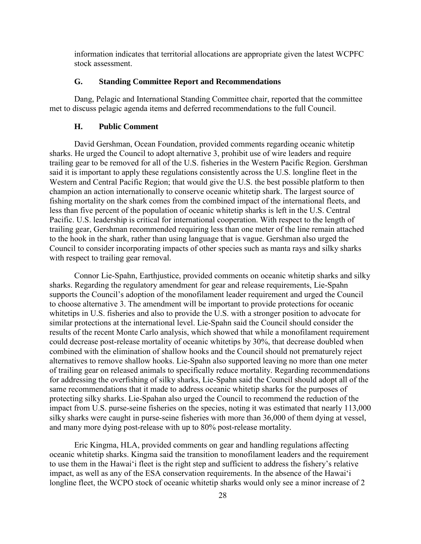information indicates that territorial allocations are appropriate given the latest WCPFC stock assessment.

#### **G. Standing Committee Report and Recommendations**

Dang, Pelagic and International Standing Committee chair, reported that the committee met to discuss pelagic agenda items and deferred recommendations to the full Council.

#### **H. Public Comment**

David Gershman, Ocean Foundation, provided comments regarding oceanic whitetip sharks. He urged the Council to adopt alternative 3, prohibit use of wire leaders and require trailing gear to be removed for all of the U.S. fisheries in the Western Pacific Region. Gershman said it is important to apply these regulations consistently across the U.S. longline fleet in the Western and Central Pacific Region; that would give the U.S. the best possible platform to then champion an action internationally to conserve oceanic whitetip shark. The largest source of fishing mortality on the shark comes from the combined impact of the international fleets, and less than five percent of the population of oceanic whitetip sharks is left in the U.S. Central Pacific. U.S. leadership is critical for international cooperation. With respect to the length of trailing gear, Gershman recommended requiring less than one meter of the line remain attached to the hook in the shark, rather than using language that is vague. Gershman also urged the Council to consider incorporating impacts of other species such as manta rays and silky sharks with respect to trailing gear removal.

Connor Lie-Spahn, Earthjustice, provided comments on oceanic whitetip sharks and silky sharks. Regarding the regulatory amendment for gear and release requirements, Lie-Spahn supports the Council's adoption of the monofilament leader requirement and urged the Council to choose alternative 3. The amendment will be important to provide protections for oceanic whitetips in U.S. fisheries and also to provide the U.S. with a stronger position to advocate for similar protections at the international level. Lie-Spahn said the Council should consider the results of the recent Monte Carlo analysis, which showed that while a monofilament requirement could decrease post-release mortality of oceanic whitetips by 30%, that decrease doubled when combined with the elimination of shallow hooks and the Council should not prematurely reject alternatives to remove shallow hooks. Lie-Spahn also supported leaving no more than one meter of trailing gear on released animals to specifically reduce mortality. Regarding recommendations for addressing the overfishing of silky sharks, Lie-Spahn said the Council should adopt all of the same recommendations that it made to address oceanic whitetip sharks for the purposes of protecting silky sharks. Lie-Spahan also urged the Council to recommend the reduction of the impact from U.S. purse-seine fisheries on the species, noting it was estimated that nearly 113,000 silky sharks were caught in purse-seine fisheries with more than 36,000 of them dying at vessel, and many more dying post-release with up to 80% post-release mortality.

Eric Kingma, HLA, provided comments on gear and handling regulations affecting oceanic whitetip sharks. Kingma said the transition to monofilament leaders and the requirement to use them in the Hawaiʻi fleet is the right step and sufficient to address the fishery's relative impact, as well as any of the ESA conservation requirements. In the absence of the Hawaiʻi longline fleet, the WCPO stock of oceanic whitetip sharks would only see a minor increase of 2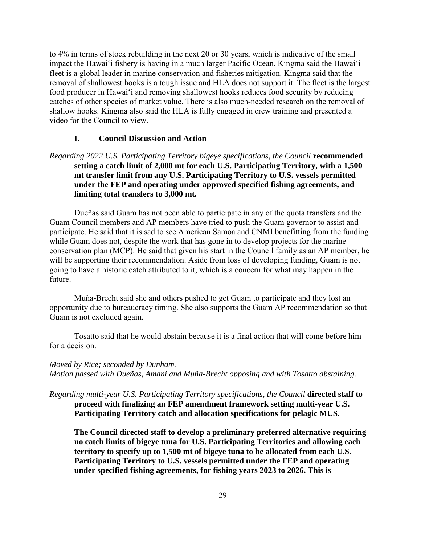to 4% in terms of stock rebuilding in the next 20 or 30 years, which is indicative of the small impact the Hawaiʻi fishery is having in a much larger Pacific Ocean. Kingma said the Hawaiʻi fleet is a global leader in marine conservation and fisheries mitigation. Kingma said that the removal of shallowest hooks is a tough issue and HLA does not support it. The fleet is the largest food producer in Hawaiʻi and removing shallowest hooks reduces food security by reducing catches of other species of market value. There is also much-needed research on the removal of shallow hooks. Kingma also said the HLA is fully engaged in crew training and presented a video for the Council to view.

#### **I. Council Discussion and Action**

# *Regarding 2022 U.S. Participating Territory bigeye specifications, the Council recommended* **setting a catch limit of 2,000 mt for each U.S. Participating Territory, with a 1,500 mt transfer limit from any U.S. Participating Territory to U.S. vessels permitted under the FEP and operating under approved specified fishing agreements, and limiting total transfers to 3,000 mt.**

Dueñas said Guam has not been able to participate in any of the quota transfers and the Guam Council members and AP members have tried to push the Guam governor to assist and participate. He said that it is sad to see American Samoa and CNMI benefitting from the funding while Guam does not, despite the work that has gone in to develop projects for the marine conservation plan (MCP). He said that given his start in the Council family as an AP member, he will be supporting their recommendation. Aside from loss of developing funding, Guam is not going to have a historic catch attributed to it, which is a concern for what may happen in the future.

Muña-Brecht said she and others pushed to get Guam to participate and they lost an opportunity due to bureaucracy timing. She also supports the Guam AP recommendation so that Guam is not excluded again.

Tosatto said that he would abstain because it is a final action that will come before him for a decision.

### *Moved by Rice; seconded by Dunham. Motion passed with Dueñas, Amani and Muña-Brecht opposing and with Tosatto abstaining.*

*Regarding multi-year U.S. Participating Territory specifications, the Council* **directed staff to proceed with finalizing an FEP amendment framework setting multi-year U.S. Participating Territory catch and allocation specifications for pelagic MUS.** 

**The Council directed staff to develop a preliminary preferred alternative requiring no catch limits of bigeye tuna for U.S. Participating Territories and allowing each territory to specify up to 1,500 mt of bigeye tuna to be allocated from each U.S. Participating Territory to U.S. vessels permitted under the FEP and operating under specified fishing agreements, for fishing years 2023 to 2026. This is**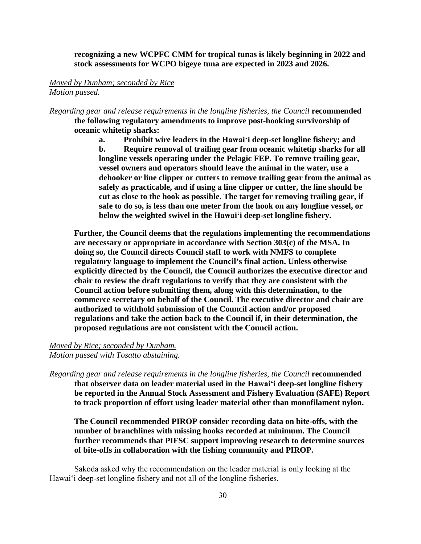**recognizing a new WCPFC CMM for tropical tunas is likely beginning in 2022 and stock assessments for WCPO bigeye tuna are expected in 2023 and 2026.** 

#### *Moved by Dunham; seconded by Rice Motion passed.*

*Regarding gear and release requirements in the longline fisheries, the Council recommended* **the following regulatory amendments to improve post-hooking survivorship of oceanic whitetip sharks:**

> **a. Prohibit wire leaders in the Hawaiʻi deep-set longline fishery; and b. Require removal of trailing gear from oceanic whitetip sharks for all longline vessels operating under the Pelagic FEP. To remove trailing gear, vessel owners and operators should leave the animal in the water, use a dehooker or line clipper or cutters to remove trailing gear from the animal as safely as practicable, and if using a line clipper or cutter, the line should be cut as close to the hook as possible. The target for removing trailing gear, if safe to do so, is less than one meter from the hook on any longline vessel, or below the weighted swivel in the Hawaiʻi deep-set longline fishery.**

**Further, the Council deems that the regulations implementing the recommendations are necessary or appropriate in accordance with Section 303(c) of the MSA. In doing so, the Council directs Council staff to work with NMFS to complete regulatory language to implement the Council's final action. Unless otherwise explicitly directed by the Council, the Council authorizes the executive director and chair to review the draft regulations to verify that they are consistent with the Council action before submitting them, along with this determination, to the commerce secretary on behalf of the Council. The executive director and chair are authorized to withhold submission of the Council action and/or proposed regulations and take the action back to the Council if, in their determination, the proposed regulations are not consistent with the Council action.** 

#### *Moved by Rice; seconded by Dunham. Motion passed with Tosatto abstaining.*

*Regarding gear and release requirements in the longline fisheries, the Council recommended* **that observer data on leader material used in the Hawaiʻi deep-set longline fishery be reported in the Annual Stock Assessment and Fishery Evaluation (SAFE) Report to track proportion of effort using leader material other than monofilament nylon.** 

**The Council recommended PIROP consider recording data on bite-offs, with the number of branchlines with missing hooks recorded at minimum. The Council further recommends that PIFSC support improving research to determine sources of bite-offs in collaboration with the fishing community and PIROP.**

 Sakoda asked why the recommendation on the leader material is only looking at the Hawaiʻi deep-set longline fishery and not all of the longline fisheries.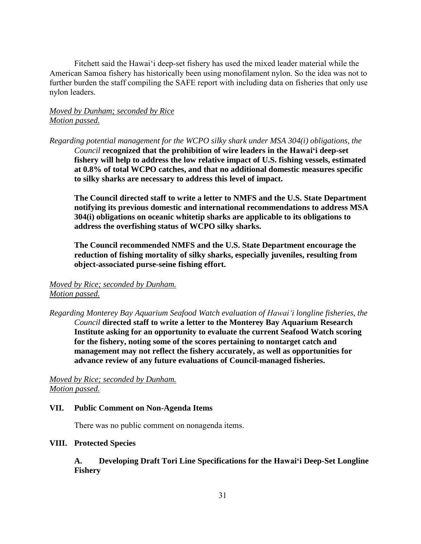Fitchett said the Hawaiʻi deep-set fishery has used the mixed leader material while the American Samoa fishery has historically been using monofilament nylon. So the idea was not to further burden the staff compiling the SAFE report with including data on fisheries that only use nylon leaders.

# *Moved by Dunham; seconded by Rice Motion passed.*

*Regarding potential management for the WCPO silky shark under MSA 304(i) obligations, the Council* **recognized that the prohibition of wire leaders in the Hawaiʻi deep-set fishery will help to address the low relative impact of U.S. fishing vessels, estimated at 0.8% of total WCPO catches, and that no additional domestic measures specific to silky sharks are necessary to address this level of impact.**

**The Council directed staff to write a letter to NMFS and the U.S. State Department notifying its previous domestic and international recommendations to address MSA 304(i) obligations on oceanic whitetip sharks are applicable to its obligations to address the overfishing status of WCPO silky sharks.** 

**The Council recommended NMFS and the U.S. State Department encourage the reduction of fishing mortality of silky sharks, especially juveniles, resulting from object-associated purse-seine fishing effort.**

*Moved by Rice; seconded by Dunham. Motion passed.* 

*Regarding Monterey Bay Aquarium Seafood Watch evaluation of Hawaiʻi longline fisheries, the Council* **directed staff to write a letter to the Monterey Bay Aquarium Research Institute asking for an opportunity to evaluate the current Seafood Watch scoring for the fishery, noting some of the scores pertaining to nontarget catch and management may not reflect the fishery accurately, as well as opportunities for advance review of any future evaluations of Council-managed fisheries.**

*Moved by Rice; seconded by Dunham. Motion passed.* 

#### **VII. Public Comment on Non-Agenda Items**

There was no public comment on nonagenda items.

#### **VIII. Protected Species**

**A. Developing Draft Tori Line Specifications for the Hawaiʻi Deep-Set Longline Fishery**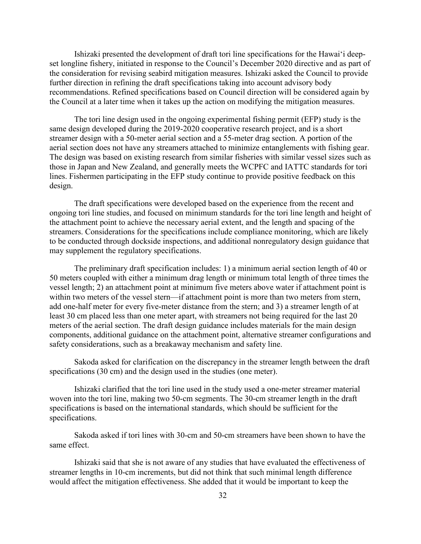Ishizaki presented the development of draft tori line specifications for the Hawaiʻi deepset longline fishery, initiated in response to the Council's December 2020 directive and as part of the consideration for revising seabird mitigation measures. Ishizaki asked the Council to provide further direction in refining the draft specifications taking into account advisory body recommendations. Refined specifications based on Council direction will be considered again by the Council at a later time when it takes up the action on modifying the mitigation measures.

The tori line design used in the ongoing experimental fishing permit (EFP) study is the same design developed during the 2019-2020 cooperative research project, and is a short streamer design with a 50-meter aerial section and a 55-meter drag section. A portion of the aerial section does not have any streamers attached to minimize entanglements with fishing gear. The design was based on existing research from similar fisheries with similar vessel sizes such as those in Japan and New Zealand, and generally meets the WCPFC and IATTC standards for tori lines. Fishermen participating in the EFP study continue to provide positive feedback on this design.

The draft specifications were developed based on the experience from the recent and ongoing tori line studies, and focused on minimum standards for the tori line length and height of the attachment point to achieve the necessary aerial extent, and the length and spacing of the streamers. Considerations for the specifications include compliance monitoring, which are likely to be conducted through dockside inspections, and additional nonregulatory design guidance that may supplement the regulatory specifications.

The preliminary draft specification includes: 1) a minimum aerial section length of 40 or 50 meters coupled with either a minimum drag length or minimum total length of three times the vessel length; 2) an attachment point at minimum five meters above water if attachment point is within two meters of the vessel stern—if attachment point is more than two meters from stern, add one-half meter for every five-meter distance from the stern; and 3) a streamer length of at least 30 cm placed less than one meter apart, with streamers not being required for the last 20 meters of the aerial section. The draft design guidance includes materials for the main design components, additional guidance on the attachment point, alternative streamer configurations and safety considerations, such as a breakaway mechanism and safety line.

Sakoda asked for clarification on the discrepancy in the streamer length between the draft specifications (30 cm) and the design used in the studies (one meter).

Ishizaki clarified that the tori line used in the study used a one-meter streamer material woven into the tori line, making two 50-cm segments. The 30-cm streamer length in the draft specifications is based on the international standards, which should be sufficient for the specifications.

Sakoda asked if tori lines with 30-cm and 50-cm streamers have been shown to have the same effect.

Ishizaki said that she is not aware of any studies that have evaluated the effectiveness of streamer lengths in 10-cm increments, but did not think that such minimal length difference would affect the mitigation effectiveness. She added that it would be important to keep the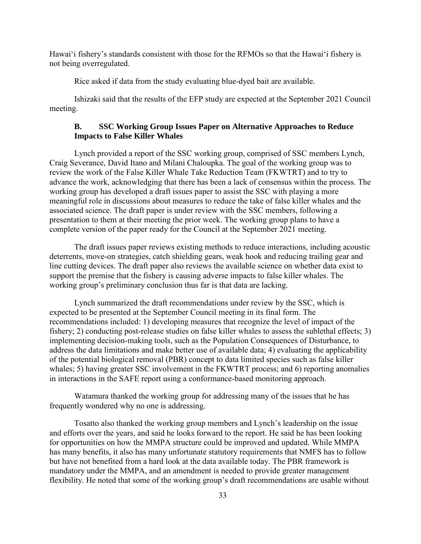Hawaiʻi fishery's standards consistent with those for the RFMOs so that the Hawaiʻi fishery is not being overregulated.

Rice asked if data from the study evaluating blue-dyed bait are available.

Ishizaki said that the results of the EFP study are expected at the September 2021 Council meeting.

### **B. SSC Working Group Issues Paper on Alternative Approaches to Reduce Impacts to False Killer Whales**

Lynch provided a report of the SSC working group, comprised of SSC members Lynch, Craig Severance, David Itano and Milani Chaloupka. The goal of the working group was to review the work of the False Killer Whale Take Reduction Team (FKWTRT) and to try to advance the work, acknowledging that there has been a lack of consensus within the process. The working group has developed a draft issues paper to assist the SSC with playing a more meaningful role in discussions about measures to reduce the take of false killer whales and the associated science. The draft paper is under review with the SSC members, following a presentation to them at their meeting the prior week. The working group plans to have a complete version of the paper ready for the Council at the September 2021 meeting.

The draft issues paper reviews existing methods to reduce interactions, including acoustic deterrents, move-on strategies, catch shielding gears, weak hook and reducing trailing gear and line cutting devices. The draft paper also reviews the available science on whether data exist to support the premise that the fishery is causing adverse impacts to false killer whales. The working group's preliminary conclusion thus far is that data are lacking.

Lynch summarized the draft recommendations under review by the SSC, which is expected to be presented at the September Council meeting in its final form. The recommendations included: 1) developing measures that recognize the level of impact of the fishery; 2) conducting post-release studies on false killer whales to assess the sublethal effects; 3) implementing decision-making tools, such as the Population Consequences of Disturbance, to address the data limitations and make better use of available data; 4) evaluating the applicability of the potential biological removal (PBR) concept to data limited species such as false killer whales; 5) having greater SSC involvement in the FKWTRT process; and 6) reporting anomalies in interactions in the SAFE report using a conformance-based monitoring approach.

Watamura thanked the working group for addressing many of the issues that he has frequently wondered why no one is addressing.

Tosatto also thanked the working group members and Lynch's leadership on the issue and efforts over the years, and said he looks forward to the report. He said he has been looking for opportunities on how the MMPA structure could be improved and updated. While MMPA has many benefits, it also has many unfortunate statutory requirements that NMFS has to follow but have not benefited from a hard look at the data available today. The PBR framework is mandatory under the MMPA, and an amendment is needed to provide greater management flexibility. He noted that some of the working group's draft recommendations are usable without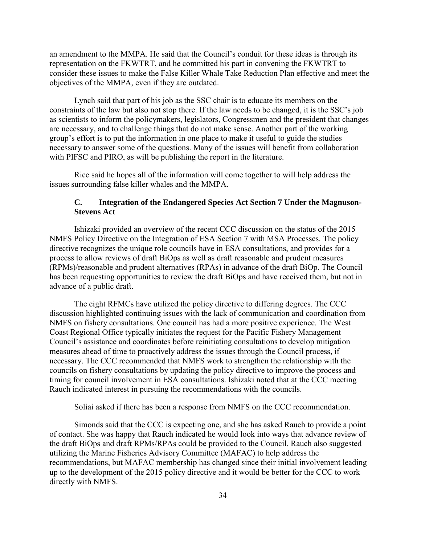an amendment to the MMPA. He said that the Council's conduit for these ideas is through its representation on the FKWTRT, and he committed his part in convening the FKWTRT to consider these issues to make the False Killer Whale Take Reduction Plan effective and meet the objectives of the MMPA, even if they are outdated.

Lynch said that part of his job as the SSC chair is to educate its members on the constraints of the law but also not stop there. If the law needs to be changed, it is the SSC's job as scientists to inform the policymakers, legislators, Congressmen and the president that changes are necessary, and to challenge things that do not make sense. Another part of the working group's effort is to put the information in one place to make it useful to guide the studies necessary to answer some of the questions. Many of the issues will benefit from collaboration with PIFSC and PIRO, as will be publishing the report in the literature.

Rice said he hopes all of the information will come together to will help address the issues surrounding false killer whales and the MMPA.

## **C. Integration of the Endangered Species Act Section 7 Under the Magnuson-Stevens Act**

Ishizaki provided an overview of the recent CCC discussion on the status of the 2015 NMFS Policy Directive on the Integration of ESA Section 7 with MSA Processes. The policy directive recognizes the unique role councils have in ESA consultations, and provides for a process to allow reviews of draft BiOps as well as draft reasonable and prudent measures (RPMs)/reasonable and prudent alternatives (RPAs) in advance of the draft BiOp. The Council has been requesting opportunities to review the draft BiOps and have received them, but not in advance of a public draft.

The eight RFMCs have utilized the policy directive to differing degrees. The CCC discussion highlighted continuing issues with the lack of communication and coordination from NMFS on fishery consultations. One council has had a more positive experience. The West Coast Regional Office typically initiates the request for the Pacific Fishery Management Council's assistance and coordinates before reinitiating consultations to develop mitigation measures ahead of time to proactively address the issues through the Council process, if necessary. The CCC recommended that NMFS work to strengthen the relationship with the councils on fishery consultations by updating the policy directive to improve the process and timing for council involvement in ESA consultations. Ishizaki noted that at the CCC meeting Rauch indicated interest in pursuing the recommendations with the councils.

Soliai asked if there has been a response from NMFS on the CCC recommendation.

Simonds said that the CCC is expecting one, and she has asked Rauch to provide a point of contact. She was happy that Rauch indicated he would look into ways that advance review of the draft BiOps and draft RPMs/RPAs could be provided to the Council. Rauch also suggested utilizing the Marine Fisheries Advisory Committee (MAFAC) to help address the recommendations, but MAFAC membership has changed since their initial involvement leading up to the development of the 2015 policy directive and it would be better for the CCC to work directly with NMFS.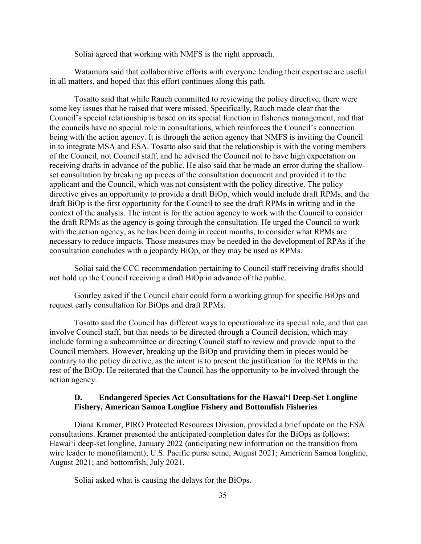Soliai agreed that working with NMFS is the right approach.

Watamura said that collaborative efforts with everyone lending their expertise are useful in all matters, and hoped that this effort continues along this path.

Tosatto said that while Rauch committed to reviewing the policy directive, there were some key issues that he raised that were missed. Specifically, Rauch made clear that the Council's special relationship is based on its special function in fisheries management, and that the councils have no special role in consultations, which reinforces the Council's connection being with the action agency. It is through the action agency that NMFS is inviting the Council in to integrate MSA and ESA. Tosatto also said that the relationship is with the voting members of the Council, not Council staff, and he advised the Council not to have high expectation on receiving drafts in advance of the public. He also said that he made an error during the shallowset consultation by breaking up pieces of the consultation document and provided it to the applicant and the Council, which was not consistent with the policy directive. The policy directive gives an opportunity to provide a draft BiOp, which would include draft RPMs, and the draft BiOp is the first opportunity for the Council to see the draft RPMs in writing and in the context of the analysis. The intent is for the action agency to work with the Council to consider the draft RPMs as the agency is going through the consultation. He urged the Council to work with the action agency, as he has been doing in recent months, to consider what RPMs are necessary to reduce impacts. Those measures may be needed in the development of RPAs if the consultation concludes with a jeopardy BiOp, or they may be used as RPMs.

Soliai said the CCC recommendation pertaining to Council staff receiving drafts should not hold up the Council receiving a draft BiOp in advance of the public.

Gourley asked if the Council chair could form a working group for specific BiOps and request early consultation for BiOps and draft RPMs.

Tosatto said the Council has different ways to operationalize its special role, and that can involve Council staff, but that needs to be directed through a Council decision, which may include forming a subcommittee or directing Council staff to review and provide input to the Council members. However, breaking up the BiOp and providing them in pieces would be contrary to the policy directive, as the intent is to present the justification for the RPMs in the rest of the BiOp. He reiterated that the Council has the opportunity to be involved through the action agency.

#### **D. Endangered Species Act Consultations for the Hawaiʻi Deep-Set Longline Fishery, American Samoa Longline Fishery and Bottomfish Fisheries**

Diana Kramer, PIRO Protected Resources Division, provided a brief update on the ESA consultations. Kramer presented the anticipated completion dates for the BiOps as follows: Hawaiʻi deep-set longline, January 2022 (anticipating new information on the transition from wire leader to monofilament); U.S. Pacific purse seine, August 2021; American Samoa longline, August 2021; and bottomfish, July 2021.

Soliai asked what is causing the delays for the BiOps.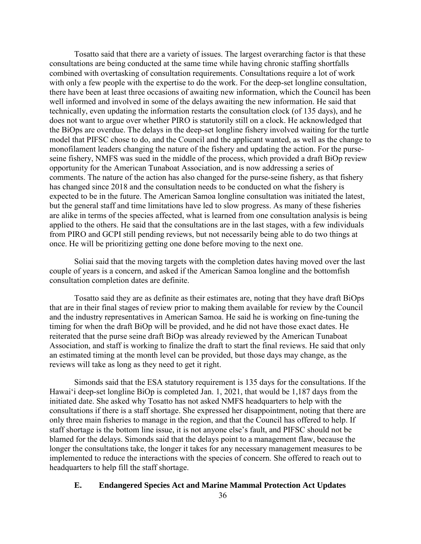Tosatto said that there are a variety of issues. The largest overarching factor is that these consultations are being conducted at the same time while having chronic staffing shortfalls combined with overtasking of consultation requirements. Consultations require a lot of work with only a few people with the expertise to do the work. For the deep-set longline consultation, there have been at least three occasions of awaiting new information, which the Council has been well informed and involved in some of the delays awaiting the new information. He said that technically, even updating the information restarts the consultation clock (of 135 days), and he does not want to argue over whether PIRO is statutorily still on a clock. He acknowledged that the BiOps are overdue. The delays in the deep-set longline fishery involved waiting for the turtle model that PIFSC chose to do, and the Council and the applicant wanted, as well as the change to monofilament leaders changing the nature of the fishery and updating the action. For the purseseine fishery, NMFS was sued in the middle of the process, which provided a draft BiOp review opportunity for the American Tunaboat Association, and is now addressing a series of comments. The nature of the action has also changed for the purse-seine fishery, as that fishery has changed since 2018 and the consultation needs to be conducted on what the fishery is expected to be in the future. The American Samoa longline consultation was initiated the latest, but the general staff and time limitations have led to slow progress. As many of these fisheries are alike in terms of the species affected, what is learned from one consultation analysis is being applied to the others. He said that the consultations are in the last stages, with a few individuals from PIRO and GCPI still pending reviews, but not necessarily being able to do two things at once. He will be prioritizing getting one done before moving to the next one.

Soliai said that the moving targets with the completion dates having moved over the last couple of years is a concern, and asked if the American Samoa longline and the bottomfish consultation completion dates are definite.

Tosatto said they are as definite as their estimates are, noting that they have draft BiOps that are in their final stages of review prior to making them available for review by the Council and the industry representatives in American Samoa. He said he is working on fine-tuning the timing for when the draft BiOp will be provided, and he did not have those exact dates. He reiterated that the purse seine draft BiOp was already reviewed by the American Tunaboat Association, and staff is working to finalize the draft to start the final reviews. He said that only an estimated timing at the month level can be provided, but those days may change, as the reviews will take as long as they need to get it right.

Simonds said that the ESA statutory requirement is 135 days for the consultations. If the Hawaiʻi deep-set longline BiOp is completed Jan. 1, 2021, that would be 1,187 days from the initiated date. She asked why Tosatto has not asked NMFS headquarters to help with the consultations if there is a staff shortage. She expressed her disappointment, noting that there are only three main fisheries to manage in the region, and that the Council has offered to help. If staff shortage is the bottom line issue, it is not anyone else's fault, and PIFSC should not be blamed for the delays. Simonds said that the delays point to a management flaw, because the longer the consultations take, the longer it takes for any necessary management measures to be implemented to reduce the interactions with the species of concern. She offered to reach out to headquarters to help fill the staff shortage.

# **E. Endangered Species Act and Marine Mammal Protection Act Updates**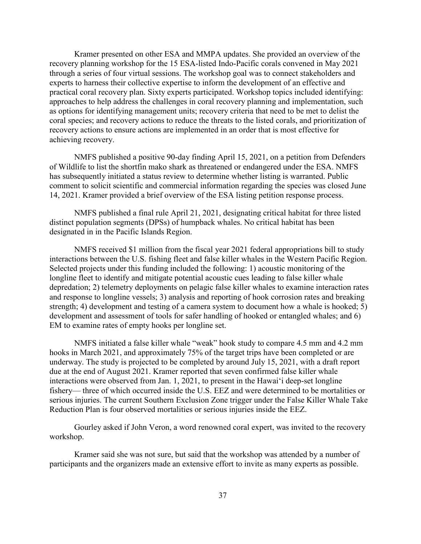Kramer presented on other ESA and MMPA updates. She provided an overview of the recovery planning workshop for the 15 ESA-listed Indo-Pacific corals convened in May 2021 through a series of four virtual sessions. The workshop goal was to connect stakeholders and experts to harness their collective expertise to inform the development of an effective and practical coral recovery plan. Sixty experts participated. Workshop topics included identifying: approaches to help address the challenges in coral recovery planning and implementation, such as options for identifying management units; recovery criteria that need to be met to delist the coral species; and recovery actions to reduce the threats to the listed corals, and prioritization of recovery actions to ensure actions are implemented in an order that is most effective for achieving recovery.

NMFS published a positive 90-day finding April 15, 2021, on a petition from Defenders of Wildlife to list the shortfin mako shark as threatened or endangered under the ESA. NMFS has subsequently initiated a status review to determine whether listing is warranted. Public comment to solicit scientific and commercial information regarding the species was closed June 14, 2021. Kramer provided a brief overview of the ESA listing petition response process.

NMFS published a final rule April 21, 2021, designating critical habitat for three listed distinct population segments (DPSs) of humpback whales. No critical habitat has been designated in in the Pacific Islands Region.

NMFS received \$1 million from the fiscal year 2021 federal appropriations bill to study interactions between the U.S. fishing fleet and false killer whales in the Western Pacific Region. Selected projects under this funding included the following: 1) acoustic monitoring of the longline fleet to identify and mitigate potential acoustic cues leading to false killer whale depredation; 2) telemetry deployments on pelagic false killer whales to examine interaction rates and response to longline vessels; 3) analysis and reporting of hook corrosion rates and breaking strength; 4) development and testing of a camera system to document how a whale is hooked; 5) development and assessment of tools for safer handling of hooked or entangled whales; and 6) EM to examine rates of empty hooks per longline set.

NMFS initiated a false killer whale "weak" hook study to compare 4.5 mm and 4.2 mm hooks in March 2021, and approximately 75% of the target trips have been completed or are underway. The study is projected to be completed by around July 15, 2021, with a draft report due at the end of August 2021. Kramer reported that seven confirmed false killer whale interactions were observed from Jan. 1, 2021, to present in the Hawaiʻi deep-set longline fishery— three of which occurred inside the U.S. EEZ and were determined to be mortalities or serious injuries. The current Southern Exclusion Zone trigger under the False Killer Whale Take Reduction Plan is four observed mortalities or serious injuries inside the EEZ.

Gourley asked if John Veron, a word renowned coral expert, was invited to the recovery workshop.

Kramer said she was not sure, but said that the workshop was attended by a number of participants and the organizers made an extensive effort to invite as many experts as possible.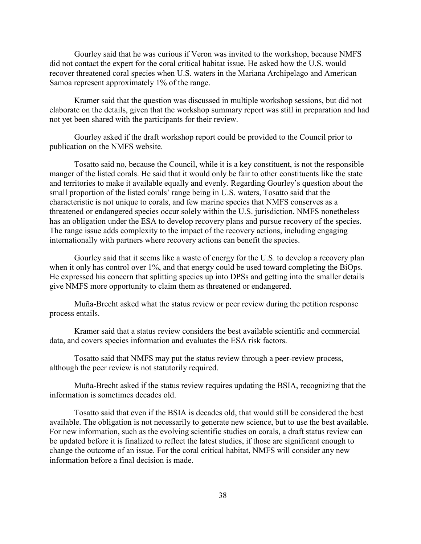Gourley said that he was curious if Veron was invited to the workshop, because NMFS did not contact the expert for the coral critical habitat issue. He asked how the U.S. would recover threatened coral species when U.S. waters in the Mariana Archipelago and American Samoa represent approximately 1% of the range.

Kramer said that the question was discussed in multiple workshop sessions, but did not elaborate on the details, given that the workshop summary report was still in preparation and had not yet been shared with the participants for their review.

Gourley asked if the draft workshop report could be provided to the Council prior to publication on the NMFS website.

Tosatto said no, because the Council, while it is a key constituent, is not the responsible manger of the listed corals. He said that it would only be fair to other constituents like the state and territories to make it available equally and evenly. Regarding Gourley's question about the small proportion of the listed corals' range being in U.S. waters, Tosatto said that the characteristic is not unique to corals, and few marine species that NMFS conserves as a threatened or endangered species occur solely within the U.S. jurisdiction. NMFS nonetheless has an obligation under the ESA to develop recovery plans and pursue recovery of the species. The range issue adds complexity to the impact of the recovery actions, including engaging internationally with partners where recovery actions can benefit the species.

Gourley said that it seems like a waste of energy for the U.S. to develop a recovery plan when it only has control over 1%, and that energy could be used toward completing the BiOps. He expressed his concern that splitting species up into DPSs and getting into the smaller details give NMFS more opportunity to claim them as threatened or endangered.

Muña-Brecht asked what the status review or peer review during the petition response process entails.

Kramer said that a status review considers the best available scientific and commercial data, and covers species information and evaluates the ESA risk factors.

Tosatto said that NMFS may put the status review through a peer-review process, although the peer review is not statutorily required.

Muña-Brecht asked if the status review requires updating the BSIA, recognizing that the information is sometimes decades old.

Tosatto said that even if the BSIA is decades old, that would still be considered the best available. The obligation is not necessarily to generate new science, but to use the best available. For new information, such as the evolving scientific studies on corals, a draft status review can be updated before it is finalized to reflect the latest studies, if those are significant enough to change the outcome of an issue. For the coral critical habitat, NMFS will consider any new information before a final decision is made.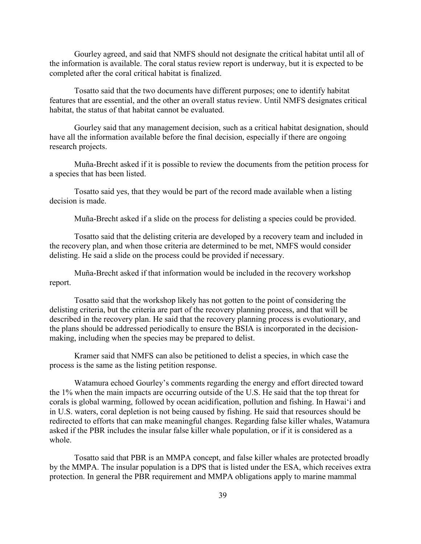Gourley agreed, and said that NMFS should not designate the critical habitat until all of the information is available. The coral status review report is underway, but it is expected to be completed after the coral critical habitat is finalized.

Tosatto said that the two documents have different purposes; one to identify habitat features that are essential, and the other an overall status review. Until NMFS designates critical habitat, the status of that habitat cannot be evaluated.

Gourley said that any management decision, such as a critical habitat designation, should have all the information available before the final decision, especially if there are ongoing research projects.

Muña-Brecht asked if it is possible to review the documents from the petition process for a species that has been listed.

Tosatto said yes, that they would be part of the record made available when a listing decision is made.

Muña-Brecht asked if a slide on the process for delisting a species could be provided.

Tosatto said that the delisting criteria are developed by a recovery team and included in the recovery plan, and when those criteria are determined to be met, NMFS would consider delisting. He said a slide on the process could be provided if necessary.

Muña-Brecht asked if that information would be included in the recovery workshop report.

Tosatto said that the workshop likely has not gotten to the point of considering the delisting criteria, but the criteria are part of the recovery planning process, and that will be described in the recovery plan. He said that the recovery planning process is evolutionary, and the plans should be addressed periodically to ensure the BSIA is incorporated in the decisionmaking, including when the species may be prepared to delist.

Kramer said that NMFS can also be petitioned to delist a species, in which case the process is the same as the listing petition response.

Watamura echoed Gourley's comments regarding the energy and effort directed toward the 1% when the main impacts are occurring outside of the U.S. He said that the top threat for corals is global warming, followed by ocean acidification, pollution and fishing. In Hawaiʻi and in U.S. waters, coral depletion is not being caused by fishing. He said that resources should be redirected to efforts that can make meaningful changes. Regarding false killer whales, Watamura asked if the PBR includes the insular false killer whale population, or if it is considered as a whole.

Tosatto said that PBR is an MMPA concept, and false killer whales are protected broadly by the MMPA. The insular population is a DPS that is listed under the ESA, which receives extra protection. In general the PBR requirement and MMPA obligations apply to marine mammal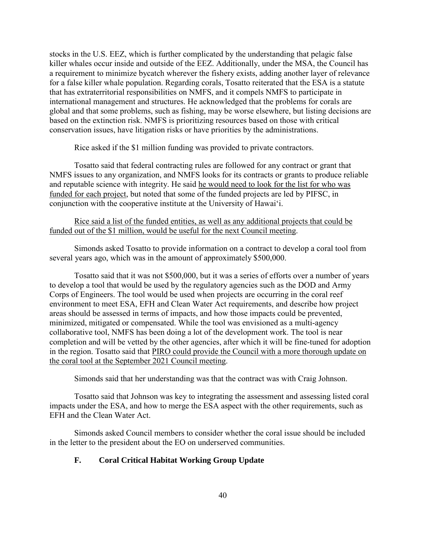stocks in the U.S. EEZ, which is further complicated by the understanding that pelagic false killer whales occur inside and outside of the EEZ. Additionally, under the MSA, the Council has a requirement to minimize bycatch wherever the fishery exists, adding another layer of relevance for a false killer whale population. Regarding corals, Tosatto reiterated that the ESA is a statute that has extraterritorial responsibilities on NMFS, and it compels NMFS to participate in international management and structures. He acknowledged that the problems for corals are global and that some problems, such as fishing, may be worse elsewhere, but listing decisions are based on the extinction risk. NMFS is prioritizing resources based on those with critical conservation issues, have litigation risks or have priorities by the administrations.

Rice asked if the \$1 million funding was provided to private contractors.

Tosatto said that federal contracting rules are followed for any contract or grant that NMFS issues to any organization, and NMFS looks for its contracts or grants to produce reliable and reputable science with integrity. He said he would need to look for the list for who was funded for each project, but noted that some of the funded projects are led by PIFSC, in conjunction with the cooperative institute at the University of Hawaiʻi.

### Rice said a list of the funded entities, as well as any additional projects that could be funded out of the \$1 million, would be useful for the next Council meeting.

Simonds asked Tosatto to provide information on a contract to develop a coral tool from several years ago, which was in the amount of approximately \$500,000.

Tosatto said that it was not \$500,000, but it was a series of efforts over a number of years to develop a tool that would be used by the regulatory agencies such as the DOD and Army Corps of Engineers. The tool would be used when projects are occurring in the coral reef environment to meet ESA, EFH and Clean Water Act requirements, and describe how project areas should be assessed in terms of impacts, and how those impacts could be prevented, minimized, mitigated or compensated. While the tool was envisioned as a multi-agency collaborative tool, NMFS has been doing a lot of the development work. The tool is near completion and will be vetted by the other agencies, after which it will be fine-tuned for adoption in the region. Tosatto said that PIRO could provide the Council with a more thorough update on the coral tool at the September 2021 Council meeting.

Simonds said that her understanding was that the contract was with Craig Johnson.

Tosatto said that Johnson was key to integrating the assessment and assessing listed coral impacts under the ESA, and how to merge the ESA aspect with the other requirements, such as EFH and the Clean Water Act.

Simonds asked Council members to consider whether the coral issue should be included in the letter to the president about the EO on underserved communities.

## **F. Coral Critical Habitat Working Group Update**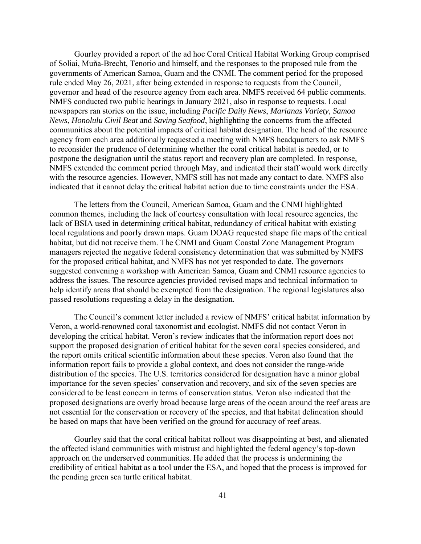Gourley provided a report of the ad hoc Coral Critical Habitat Working Group comprised of Soliai, Muña-Brecht, Tenorio and himself, and the responses to the proposed rule from the governments of American Samoa, Guam and the CNMI. The comment period for the proposed rule ended May 26, 2021, after being extended in response to requests from the Council, governor and head of the resource agency from each area. NMFS received 64 public comments. NMFS conducted two public hearings in January 2021, also in response to requests. Local newspapers ran stories on the issue, including *Pacific Daily News*, *Marianas Variety*, *Samoa News*, *Honolulu Civil Beat* and *Saving Seafood*, highlighting the concerns from the affected communities about the potential impacts of critical habitat designation. The head of the resource agency from each area additionally requested a meeting with NMFS headquarters to ask NMFS to reconsider the prudence of determining whether the coral critical habitat is needed, or to postpone the designation until the status report and recovery plan are completed. In response, NMFS extended the comment period through May, and indicated their staff would work directly with the resource agencies. However, NMFS still has not made any contact to date. NMFS also indicated that it cannot delay the critical habitat action due to time constraints under the ESA.

The letters from the Council, American Samoa, Guam and the CNMI highlighted common themes, including the lack of courtesy consultation with local resource agencies, the lack of BSIA used in determining critical habitat, redundancy of critical habitat with existing local regulations and poorly drawn maps. Guam DOAG requested shape file maps of the critical habitat, but did not receive them. The CNMI and Guam Coastal Zone Management Program managers rejected the negative federal consistency determination that was submitted by NMFS for the proposed critical habitat, and NMFS has not yet responded to date. The governors suggested convening a workshop with American Samoa, Guam and CNMI resource agencies to address the issues. The resource agencies provided revised maps and technical information to help identify areas that should be exempted from the designation. The regional legislatures also passed resolutions requesting a delay in the designation.

The Council's comment letter included a review of NMFS' critical habitat information by Veron, a world-renowned coral taxonomist and ecologist. NMFS did not contact Veron in developing the critical habitat. Veron's review indicates that the information report does not support the proposed designation of critical habitat for the seven coral species considered, and the report omits critical scientific information about these species. Veron also found that the information report fails to provide a global context, and does not consider the range-wide distribution of the species. The U.S. territories considered for designation have a minor global importance for the seven species' conservation and recovery, and six of the seven species are considered to be least concern in terms of conservation status. Veron also indicated that the proposed designations are overly broad because large areas of the ocean around the reef areas are not essential for the conservation or recovery of the species, and that habitat delineation should be based on maps that have been verified on the ground for accuracy of reef areas.

Gourley said that the coral critical habitat rollout was disappointing at best, and alienated the affected island communities with mistrust and highlighted the federal agency's top-down approach on the underserved communities. He added that the process is undermining the credibility of critical habitat as a tool under the ESA, and hoped that the process is improved for the pending green sea turtle critical habitat.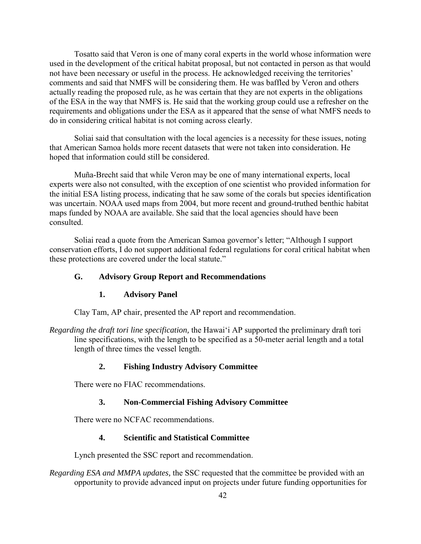Tosatto said that Veron is one of many coral experts in the world whose information were used in the development of the critical habitat proposal, but not contacted in person as that would not have been necessary or useful in the process. He acknowledged receiving the territories' comments and said that NMFS will be considering them. He was baffled by Veron and others actually reading the proposed rule, as he was certain that they are not experts in the obligations of the ESA in the way that NMFS is. He said that the working group could use a refresher on the requirements and obligations under the ESA as it appeared that the sense of what NMFS needs to do in considering critical habitat is not coming across clearly.

Soliai said that consultation with the local agencies is a necessity for these issues, noting that American Samoa holds more recent datasets that were not taken into consideration. He hoped that information could still be considered.

Muña-Brecht said that while Veron may be one of many international experts, local experts were also not consulted, with the exception of one scientist who provided information for the initial ESA listing process, indicating that he saw some of the corals but species identification was uncertain. NOAA used maps from 2004, but more recent and ground-truthed benthic habitat maps funded by NOAA are available. She said that the local agencies should have been consulted.

Soliai read a quote from the American Samoa governor's letter; "Although I support conservation efforts, I do not support additional federal regulations for coral critical habitat when these protections are covered under the local statute."

## **G. Advisory Group Report and Recommendations**

## **1. Advisory Panel**

Clay Tam, AP chair, presented the AP report and recommendation.

*Regarding the draft tori line specification,* the Hawaiʻi AP supported the preliminary draft tori line specifications, with the length to be specified as a 50-meter aerial length and a total length of three times the vessel length.

## **2. Fishing Industry Advisory Committee**

There were no FIAC recommendations.

## **3. Non-Commercial Fishing Advisory Committee**

There were no NCFAC recommendations.

## **4. Scientific and Statistical Committee**

Lynch presented the SSC report and recommendation.

*Regarding ESA and MMPA updates,* the SSC requested that the committee be provided with an opportunity to provide advanced input on projects under future funding opportunities for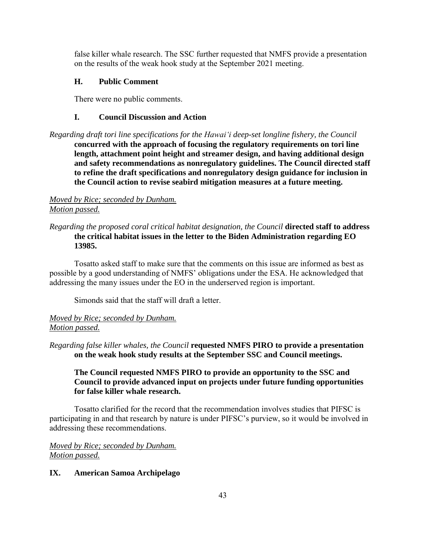false killer whale research. The SSC further requested that NMFS provide a presentation on the results of the weak hook study at the September 2021 meeting.

# **H. Public Comment**

There were no public comments.

# **I. Council Discussion and Action**

*Regarding draft tori line specifications for the Hawaiʻi deep-set longline fishery, the Council* **concurred with the approach of focusing the regulatory requirements on tori line length, attachment point height and streamer design, and having additional design and safety recommendations as nonregulatory guidelines. The Council directed staff to refine the draft specifications and nonregulatory design guidance for inclusion in the Council action to revise seabird mitigation measures at a future meeting.**

# *Moved by Rice; seconded by Dunham. Motion passed.*

# *Regarding the proposed coral critical habitat designation, the Council* **directed staff to address the critical habitat issues in the letter to the Biden Administration regarding EO 13985.**

Tosatto asked staff to make sure that the comments on this issue are informed as best as possible by a good understanding of NMFS' obligations under the ESA. He acknowledged that addressing the many issues under the EO in the underserved region is important.

Simonds said that the staff will draft a letter.

# *Moved by Rice; seconded by Dunham. Motion passed.*

# *Regarding false killer whales, the Council* **requested NMFS PIRO to provide a presentation on the weak hook study results at the September SSC and Council meetings.**

# **The Council requested NMFS PIRO to provide an opportunity to the SSC and Council to provide advanced input on projects under future funding opportunities for false killer whale research.**

Tosatto clarified for the record that the recommendation involves studies that PIFSC is participating in and that research by nature is under PIFSC's purview, so it would be involved in addressing these recommendations.

*Moved by Rice; seconded by Dunham. Motion passed.*

# **IX. American Samoa Archipelago**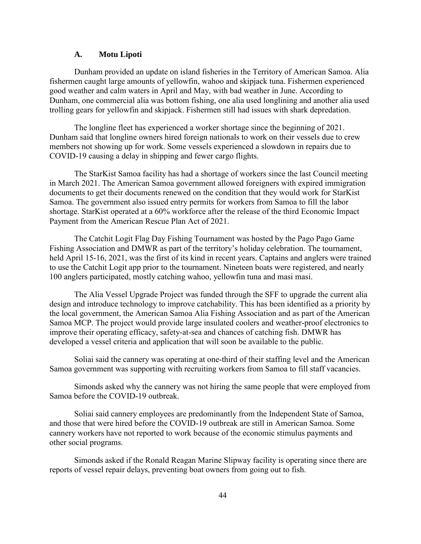#### **A. Motu Lipoti**

Dunham provided an update on island fisheries in the Territory of American Samoa. Alia fishermen caught large amounts of yellowfin, wahoo and skipjack tuna. Fishermen experienced good weather and calm waters in April and May, with bad weather in June. According to Dunham, one commercial alia was bottom fishing, one alia used longlining and another alia used trolling gears for yellowfin and skipjack. Fishermen still had issues with shark depredation.

The longline fleet has experienced a worker shortage since the beginning of 2021. Dunham said that longline owners hired foreign nationals to work on their vessels due to crew members not showing up for work. Some vessels experienced a slowdown in repairs due to COVID-19 causing a delay in shipping and fewer cargo flights.

The StarKist Samoa facility has had a shortage of workers since the last Council meeting in March 2021. The American Samoa government allowed foreigners with expired immigration documents to get their documents renewed on the condition that they would work for StarKist Samoa. The government also issued entry permits for workers from Samoa to fill the labor shortage. StarKist operated at a 60% workforce after the release of the third Economic Impact Payment from the American Rescue Plan Act of 2021.

The Catchit Logit Flag Day Fishing Tournament was hosted by the Pago Pago Game Fishing Association and DMWR as part of the territory's holiday celebration. The tournament, held April 15-16, 2021, was the first of its kind in recent years. Captains and anglers were trained to use the Catchit Logit app prior to the tournament. Nineteen boats were registered, and nearly 100 anglers participated, mostly catching wahoo, yellowfin tuna and masi masi.

The Alia Vessel Upgrade Project was funded through the SFF to upgrade the current alia design and introduce technology to improve catchability. This has been identified as a priority by the local government, the American Samoa Alia Fishing Association and as part of the American Samoa MCP. The project would provide large insulated coolers and weather-proof electronics to improve their operating efficacy, safety-at-sea and chances of catching fish. DMWR has developed a vessel criteria and application that will soon be available to the public.

Soliai said the cannery was operating at one-third of their staffing level and the American Samoa government was supporting with recruiting workers from Samoa to fill staff vacancies.

Simonds asked why the cannery was not hiring the same people that were employed from Samoa before the COVID-19 outbreak.

Soliai said cannery employees are predominantly from the Independent State of Samoa, and those that were hired before the COVID-19 outbreak are still in American Samoa. Some cannery workers have not reported to work because of the economic stimulus payments and other social programs.

Simonds asked if the Ronald Reagan Marine Slipway facility is operating since there are reports of vessel repair delays, preventing boat owners from going out to fish.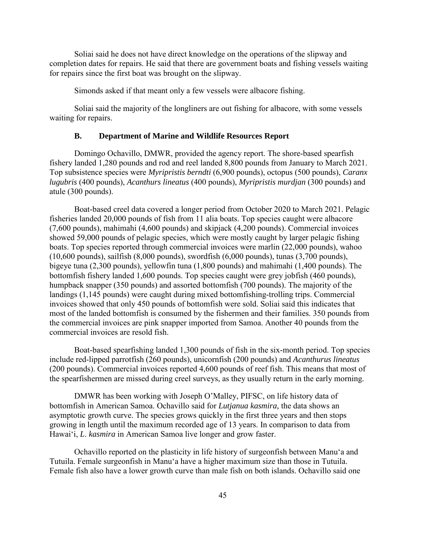Soliai said he does not have direct knowledge on the operations of the slipway and completion dates for repairs. He said that there are government boats and fishing vessels waiting for repairs since the first boat was brought on the slipway.

Simonds asked if that meant only a few vessels were albacore fishing.

Soliai said the majority of the longliners are out fishing for albacore, with some vessels waiting for repairs.

#### **B. Department of Marine and Wildlife Resources Report**

Domingo Ochavillo, DMWR, provided the agency report. The shore-based spearfish fishery landed 1,280 pounds and rod and reel landed 8,800 pounds from January to March 2021. Top subsistence species were *Myripristis berndti* (6,900 pounds), octopus (500 pounds), *Caranx lugubris* (400 pounds), *Acanthurs lineatus* (400 pounds), *Myripristis murdjan* (300 pounds) and atule (300 pounds).

Boat-based creel data covered a longer period from October 2020 to March 2021. Pelagic fisheries landed 20,000 pounds of fish from 11 alia boats. Top species caught were albacore (7,600 pounds), mahimahi (4,600 pounds) and skipjack (4,200 pounds). Commercial invoices showed 59,000 pounds of pelagic species, which were mostly caught by larger pelagic fishing boats. Top species reported through commercial invoices were marlin (22,000 pounds), wahoo (10,600 pounds), sailfish (8,000 pounds), swordfish (6,000 pounds), tunas (3,700 pounds), bigeye tuna (2,300 pounds), yellowfin tuna (1,800 pounds) and mahimahi (1,400 pounds). The bottomfish fishery landed 1,600 pounds. Top species caught were grey jobfish (460 pounds), humpback snapper (350 pounds) and assorted bottomfish (700 pounds). The majority of the landings (1,145 pounds) were caught during mixed bottomfishing-trolling trips. Commercial invoices showed that only 450 pounds of bottomfish were sold. Soliai said this indicates that most of the landed bottomfish is consumed by the fishermen and their families. 350 pounds from the commercial invoices are pink snapper imported from Samoa. Another 40 pounds from the commercial invoices are resold fish.

Boat-based spearfishing landed 1,300 pounds of fish in the six-month period. Top species include red-lipped parrotfish (260 pounds), unicornfish (200 pounds) and *Acanthurus lineatus* (200 pounds). Commercial invoices reported 4,600 pounds of reef fish. This means that most of the spearfishermen are missed during creel surveys, as they usually return in the early morning.

DMWR has been working with Joseph O'Malley, PIFSC, on life history data of bottomfish in American Samoa. Ochavillo said for *Lutjanua kasmira,* the data shows an asymptotic growth curve. The species grows quickly in the first three years and then stops growing in length until the maximum recorded age of 13 years. In comparison to data from Hawaiʻi, *L*. *kasmira* in American Samoa live longer and grow faster.

Ochavillo reported on the plasticity in life history of surgeonfish between Manu'a and Tutuila. Female surgeonfish in Manu'a have a higher maximum size than those in Tutuila. Female fish also have a lower growth curve than male fish on both islands. Ochavillo said one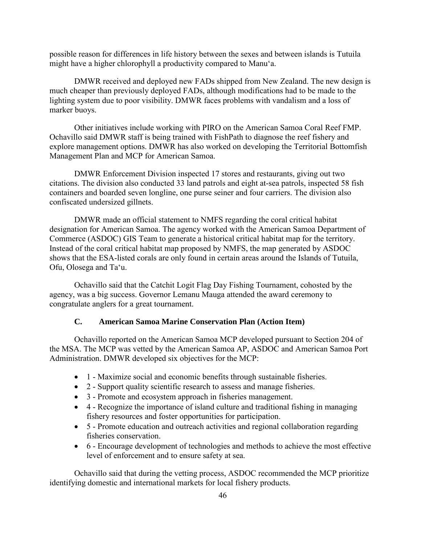possible reason for differences in life history between the sexes and between islands is Tutuila might have a higher chlorophyll a productivity compared to Manu'a.

DMWR received and deployed new FADs shipped from New Zealand. The new design is much cheaper than previously deployed FADs, although modifications had to be made to the lighting system due to poor visibility. DMWR faces problems with vandalism and a loss of marker buoys.

Other initiatives include working with PIRO on the American Samoa Coral Reef FMP. Ochavillo said DMWR staff is being trained with FishPath to diagnose the reef fishery and explore management options. DMWR has also worked on developing the Territorial Bottomfish Management Plan and MCP for American Samoa.

DMWR Enforcement Division inspected 17 stores and restaurants, giving out two citations. The division also conducted 33 land patrols and eight at-sea patrols, inspected 58 fish containers and boarded seven longline, one purse seiner and four carriers. The division also confiscated undersized gillnets.

DMWR made an official statement to NMFS regarding the coral critical habitat designation for American Samoa. The agency worked with the American Samoa Department of Commerce (ASDOC) GIS Team to generate a historical critical habitat map for the territory. Instead of the coral critical habitat map proposed by NMFS, the map generated by ASDOC shows that the ESA-listed corals are only found in certain areas around the Islands of Tutuila, Ofu, Olosega and Ta'u.

Ochavillo said that the Catchit Logit Flag Day Fishing Tournament, cohosted by the agency, was a big success. Governor Lemanu Mauga attended the award ceremony to congratulate anglers for a great tournament.

## **C. American Samoa Marine Conservation Plan (Action Item)**

Ochavillo reported on the American Samoa MCP developed pursuant to Section 204 of the MSA. The MCP was vetted by the American Samoa AP, ASDOC and American Samoa Port Administration. DMWR developed six objectives for the MCP:

- 1 Maximize social and economic benefits through sustainable fisheries.
- 2 Support quality scientific research to assess and manage fisheries.
- 3 Promote and ecosystem approach in fisheries management.
- 4 Recognize the importance of island culture and traditional fishing in managing fishery resources and foster opportunities for participation.
- 5 Promote education and outreach activities and regional collaboration regarding fisheries conservation.
- 6 Encourage development of technologies and methods to achieve the most effective level of enforcement and to ensure safety at sea.

Ochavillo said that during the vetting process, ASDOC recommended the MCP prioritize identifying domestic and international markets for local fishery products.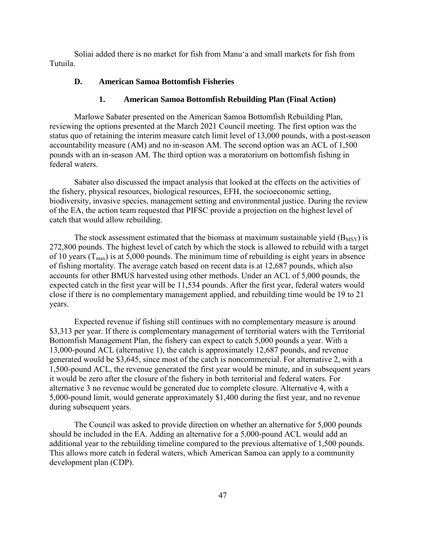Soliai added there is no market for fish from Manu'a and small markets for fish from Tutuila.

#### **D. American Samoa Bottomfish Fisheries**

#### **1. American Samoa Bottomfish Rebuilding Plan (Final Action)**

Marlowe Sabater presented on the American Samoa Bottomfish Rebuilding Plan, reviewing the options presented at the March 2021 Council meeting. The first option was the status quo of retaining the interim measure catch limit level of 13,000 pounds, with a post-season accountability measure (AM) and no in-season AM. The second option was an ACL of 1,500 pounds with an in-season AM. The third option was a moratorium on bottomfish fishing in federal waters.

Sabater also discussed the impact analysis that looked at the effects on the activities of the fishery, physical resources, biological resources, EFH, the socioeconomic setting, biodiversity, invasive species, management setting and environmental justice. During the review of the EA, the action team requested that PIFSC provide a projection on the highest level of catch that would allow rebuilding.

The stock assessment estimated that the biomass at maximum sustainable yield  $(B_{MSY})$  is 272,800 pounds. The highest level of catch by which the stock is allowed to rebuild with a target of 10 years ( $T_{\text{max}}$ ) is at 5,000 pounds. The minimum time of rebuilding is eight years in absence of fishing mortality. The average catch based on recent data is at 12,687 pounds, which also accounts for other BMUS harvested using other methods. Under an ACL of 5,000 pounds, the expected catch in the first year will be 11,534 pounds. After the first year, federal waters would close if there is no complementary management applied, and rebuilding time would be 19 to 21 years.

Expected revenue if fishing still continues with no complementary measure is around \$3,313 per year. If there is complementary management of territorial waters with the Territorial Bottomfish Management Plan, the fishery can expect to catch 5,000 pounds a year. With a 13,000-pound ACL (alternative 1), the catch is approximately 12,687 pounds, and revenue generated would be \$3,645, since most of the catch is noncommercial. For alternative 2, with a 1,500-pound ACL, the revenue generated the first year would be minute, and in subsequent years it would be zero after the closure of the fishery in both territorial and federal waters. For alternative 3 no revenue would be generated due to complete closure. Alternative 4, with a 5,000-pound limit, would generate approximately \$1,400 during the first year, and no revenue during subsequent years.

The Council was asked to provide direction on whether an alternative for 5,000 pounds should be included in the EA. Adding an alternative for a 5,000-pound ACL would add an additional year to the rebuilding timeline compared to the previous alternative of 1,500 pounds. This allows more catch in federal waters, which American Samoa can apply to a community development plan (CDP).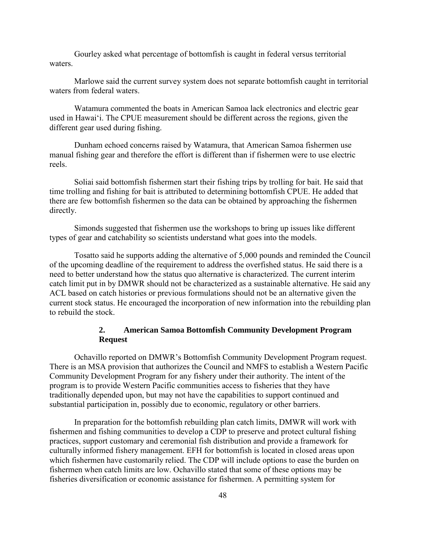Gourley asked what percentage of bottomfish is caught in federal versus territorial waters.

Marlowe said the current survey system does not separate bottomfish caught in territorial waters from federal waters.

Watamura commented the boats in American Samoa lack electronics and electric gear used in Hawaiʻi. The CPUE measurement should be different across the regions, given the different gear used during fishing.

Dunham echoed concerns raised by Watamura, that American Samoa fishermen use manual fishing gear and therefore the effort is different than if fishermen were to use electric reels.

Soliai said bottomfish fishermen start their fishing trips by trolling for bait. He said that time trolling and fishing for bait is attributed to determining bottomfish CPUE. He added that there are few bottomfish fishermen so the data can be obtained by approaching the fishermen directly.

Simonds suggested that fishermen use the workshops to bring up issues like different types of gear and catchability so scientists understand what goes into the models.

Tosatto said he supports adding the alternative of 5,000 pounds and reminded the Council of the upcoming deadline of the requirement to address the overfished status. He said there is a need to better understand how the status quo alternative is characterized. The current interim catch limit put in by DMWR should not be characterized as a sustainable alternative. He said any ACL based on catch histories or previous formulations should not be an alternative given the current stock status. He encouraged the incorporation of new information into the rebuilding plan to rebuild the stock.

## **2. American Samoa Bottomfish Community Development Program Request**

Ochavillo reported on DMWR's Bottomfish Community Development Program request. There is an MSA provision that authorizes the Council and NMFS to establish a Western Pacific Community Development Program for any fishery under their authority. The intent of the program is to provide Western Pacific communities access to fisheries that they have traditionally depended upon, but may not have the capabilities to support continued and substantial participation in, possibly due to economic, regulatory or other barriers.

In preparation for the bottomfish rebuilding plan catch limits, DMWR will work with fishermen and fishing communities to develop a CDP to preserve and protect cultural fishing practices, support customary and ceremonial fish distribution and provide a framework for culturally informed fishery management. EFH for bottomfish is located in closed areas upon which fishermen have customarily relied. The CDP will include options to ease the burden on fishermen when catch limits are low. Ochavillo stated that some of these options may be fisheries diversification or economic assistance for fishermen. A permitting system for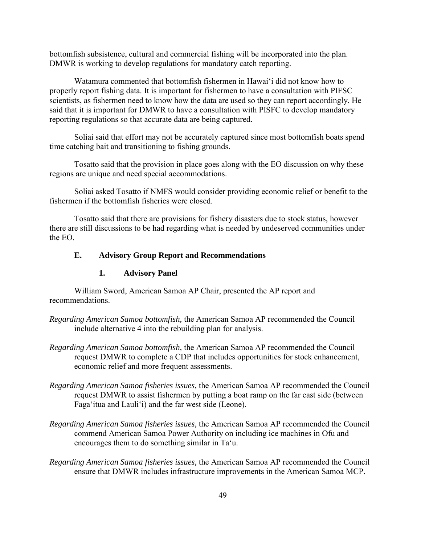bottomfish subsistence, cultural and commercial fishing will be incorporated into the plan. DMWR is working to develop regulations for mandatory catch reporting.

Watamura commented that bottomfish fishermen in Hawaiʻi did not know how to properly report fishing data. It is important for fishermen to have a consultation with PIFSC scientists, as fishermen need to know how the data are used so they can report accordingly. He said that it is important for DMWR to have a consultation with PISFC to develop mandatory reporting regulations so that accurate data are being captured.

Soliai said that effort may not be accurately captured since most bottomfish boats spend time catching bait and transitioning to fishing grounds.

Tosatto said that the provision in place goes along with the EO discussion on why these regions are unique and need special accommodations.

Soliai asked Tosatto if NMFS would consider providing economic relief or benefit to the fishermen if the bottomfish fisheries were closed.

Tosatto said that there are provisions for fishery disasters due to stock status, however there are still discussions to be had regarding what is needed by undeserved communities under the EO.

#### **E. Advisory Group Report and Recommendations**

#### **1. Advisory Panel**

William Sword, American Samoa AP Chair, presented the AP report and recommendations.

- *Regarding American Samoa bottomfish,* the American Samoa AP recommended the Council include alternative 4 into the rebuilding plan for analysis.
- *Regarding American Samoa bottomfish,* the American Samoa AP recommended the Council request DMWR to complete a CDP that includes opportunities for stock enhancement, economic relief and more frequent assessments.
- *Regarding American Samoa fisheries issues,* the American Samoa AP recommended the Council request DMWR to assist fishermen by putting a boat ramp on the far east side (between Faga'itua and Lauli'i) and the far west side (Leone).
- *Regarding American Samoa fisheries issues,* the American Samoa AP recommended the Council commend American Samoa Power Authority on including ice machines in Ofu and encourages them to do something similar in Ta'u.
- *Regarding American Samoa fisheries issues,* the American Samoa AP recommended the Council ensure that DMWR includes infrastructure improvements in the American Samoa MCP.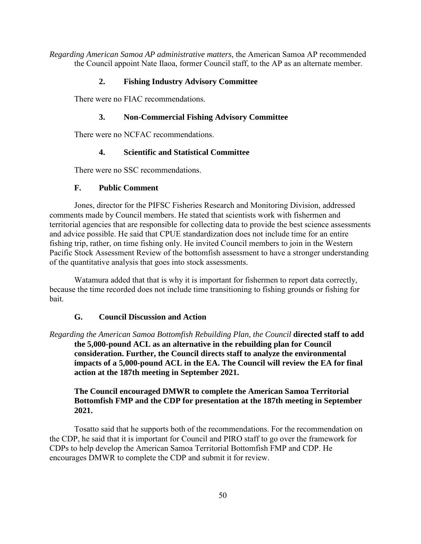*Regarding American Samoa AP administrative matters,* the American Samoa AP recommended the Council appoint Nate Ilaoa, former Council staff, to the AP as an alternate member.

# **2. Fishing Industry Advisory Committee**

There were no FIAC recommendations.

## **3. Non-Commercial Fishing Advisory Committee**

There were no NCFAC recommendations.

#### **4. Scientific and Statistical Committee**

There were no SSC recommendations.

## **F. Public Comment**

Jones, director for the PIFSC Fisheries Research and Monitoring Division, addressed comments made by Council members. He stated that scientists work with fishermen and territorial agencies that are responsible for collecting data to provide the best science assessments and advice possible. He said that CPUE standardization does not include time for an entire fishing trip, rather, on time fishing only. He invited Council members to join in the Western Pacific Stock Assessment Review of the bottomfish assessment to have a stronger understanding of the quantitative analysis that goes into stock assessments.

Watamura added that that is why it is important for fishermen to report data correctly, because the time recorded does not include time transitioning to fishing grounds or fishing for bait.

## **G. Council Discussion and Action**

*Regarding the American Samoa Bottomfish Rebuilding Plan, the Council* **directed staff to add the 5,000-pound ACL as an alternative in the rebuilding plan for Council consideration. Further, the Council directs staff to analyze the environmental impacts of a 5,000-pound ACL in the EA. The Council will review the EA for final action at the 187th meeting in September 2021.** 

# **The Council encouraged DMWR to complete the American Samoa Territorial Bottomfish FMP and the CDP for presentation at the 187th meeting in September 2021.**

Tosatto said that he supports both of the recommendations. For the recommendation on the CDP, he said that it is important for Council and PIRO staff to go over the framework for CDPs to help develop the American Samoa Territorial Bottomfish FMP and CDP. He encourages DMWR to complete the CDP and submit it for review.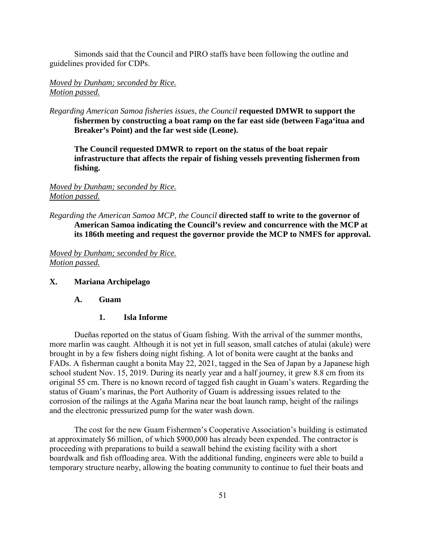Simonds said that the Council and PIRO staffs have been following the outline and guidelines provided for CDPs.

### *Moved by Dunham; seconded by Rice. Motion passed.*

*Regarding American Samoa fisheries issues, the Council* **requested DMWR to support the fishermen by constructing a boat ramp on the far east side (between Faga'itua and Breaker's Point) and the far west side (Leone).**

**The Council requested DMWR to report on the status of the boat repair infrastructure that affects the repair of fishing vessels preventing fishermen from fishing.**

### *Moved by Dunham; seconded by Rice. Motion passed.*

*Regarding the American Samoa MCP, the Council* **directed staff to write to the governor of American Samoa indicating the Council's review and concurrence with the MCP at its 186th meeting and request the governor provide the MCP to NMFS for approval.**

*Moved by Dunham; seconded by Rice. Motion passed.* 

#### **X. Mariana Archipelago**

#### **A. Guam**

#### **1. Isla Informe**

Dueñas reported on the status of Guam fishing. With the arrival of the summer months, more marlin was caught. Although it is not yet in full season, small catches of atulai (akule) were brought in by a few fishers doing night fishing. A lot of bonita were caught at the banks and FADs. A fisherman caught a bonita May 22, 2021, tagged in the Sea of Japan by a Japanese high school student Nov. 15, 2019. During its nearly year and a half journey, it grew 8.8 cm from its original 55 cm. There is no known record of tagged fish caught in Guam's waters. Regarding the status of Guam's marinas, the Port Authority of Guam is addressing issues related to the corrosion of the railings at the Agaña Marina near the boat launch ramp, height of the railings and the electronic pressurized pump for the water wash down.

The cost for the new Guam Fishermen's Cooperative Association's building is estimated at approximately \$6 million, of which \$900,000 has already been expended. The contractor is proceeding with preparations to build a seawall behind the existing facility with a short boardwalk and fish offloading area. With the additional funding, engineers were able to build a temporary structure nearby, allowing the boating community to continue to fuel their boats and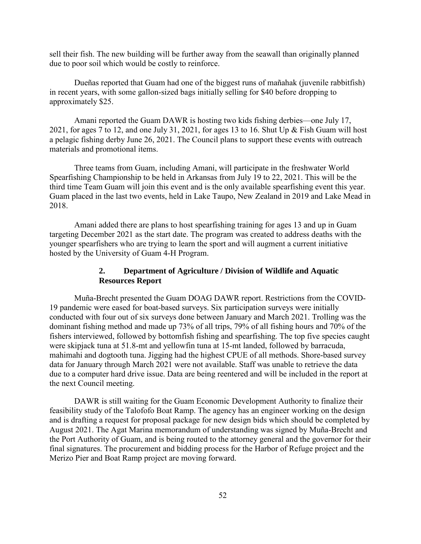sell their fish. The new building will be further away from the seawall than originally planned due to poor soil which would be costly to reinforce.

Dueñas reported that Guam had one of the biggest runs of mañahak (juvenile rabbitfish) in recent years, with some gallon-sized bags initially selling for \$40 before dropping to approximately \$25.

Amani reported the Guam DAWR is hosting two kids fishing derbies—one July 17, 2021, for ages 7 to 12, and one July 31, 2021, for ages 13 to 16. Shut Up & Fish Guam will host a pelagic fishing derby June 26, 2021. The Council plans to support these events with outreach materials and promotional items.

Three teams from Guam, including Amani, will participate in the freshwater World Spearfishing Championship to be held in Arkansas from July 19 to 22, 2021. This will be the third time Team Guam will join this event and is the only available spearfishing event this year. Guam placed in the last two events, held in Lake Taupo, New Zealand in 2019 and Lake Mead in 2018.

Amani added there are plans to host spearfishing training for ages 13 and up in Guam targeting December 2021 as the start date. The program was created to address deaths with the younger spearfishers who are trying to learn the sport and will augment a current initiative hosted by the University of Guam 4-H Program.

## **2. Department of Agriculture / Division of Wildlife and Aquatic Resources Report**

Muña-Brecht presented the Guam DOAG DAWR report. Restrictions from the COVID-19 pandemic were eased for boat-based surveys. Six participation surveys were initially conducted with four out of six surveys done between January and March 2021. Trolling was the dominant fishing method and made up 73% of all trips, 79% of all fishing hours and 70% of the fishers interviewed, followed by bottomfish fishing and spearfishing. The top five species caught were skipjack tuna at 51.8-mt and yellowfin tuna at 15-mt landed, followed by barracuda, mahimahi and dogtooth tuna. Jigging had the highest CPUE of all methods. Shore-based survey data for January through March 2021 were not available. Staff was unable to retrieve the data due to a computer hard drive issue. Data are being reentered and will be included in the report at the next Council meeting.

DAWR is still waiting for the Guam Economic Development Authority to finalize their feasibility study of the Talofofo Boat Ramp. The agency has an engineer working on the design and is drafting a request for proposal package for new design bids which should be completed by August 2021. The Agat Marina memorandum of understanding was signed by Muña-Brecht and the Port Authority of Guam, and is being routed to the attorney general and the governor for their final signatures. The procurement and bidding process for the Harbor of Refuge project and the Merizo Pier and Boat Ramp project are moving forward.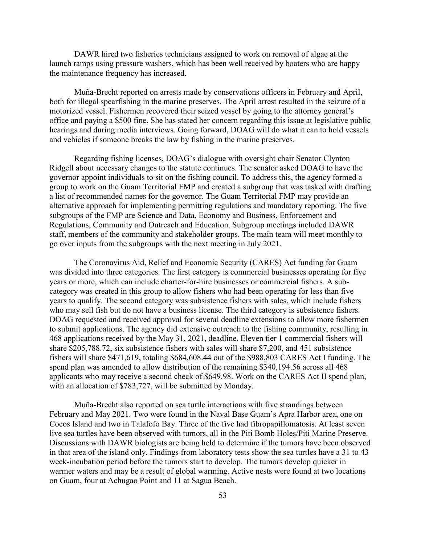DAWR hired two fisheries technicians assigned to work on removal of algae at the launch ramps using pressure washers, which has been well received by boaters who are happy the maintenance frequency has increased.

Muña-Brecht reported on arrests made by conservations officers in February and April, both for illegal spearfishing in the marine preserves. The April arrest resulted in the seizure of a motorized vessel. Fishermen recovered their seized vessel by going to the attorney general's office and paying a \$500 fine. She has stated her concern regarding this issue at legislative public hearings and during media interviews. Going forward, DOAG will do what it can to hold vessels and vehicles if someone breaks the law by fishing in the marine preserves.

Regarding fishing licenses, DOAG's dialogue with oversight chair Senator Clynton Ridgell about necessary changes to the statute continues. The senator asked DOAG to have the governor appoint individuals to sit on the fishing council. To address this, the agency formed a group to work on the Guam Territorial FMP and created a subgroup that was tasked with drafting a list of recommended names for the governor. The Guam Territorial FMP may provide an alternative approach for implementing permitting regulations and mandatory reporting. The five subgroups of the FMP are Science and Data, Economy and Business, Enforcement and Regulations, Community and Outreach and Education. Subgroup meetings included DAWR staff, members of the community and stakeholder groups. The main team will meet monthly to go over inputs from the subgroups with the next meeting in July 2021.

The Coronavirus Aid, Relief and Economic Security (CARES) Act funding for Guam was divided into three categories. The first category is commercial businesses operating for five years or more, which can include charter-for-hire businesses or commercial fishers. A subcategory was created in this group to allow fishers who had been operating for less than five years to qualify. The second category was subsistence fishers with sales, which include fishers who may sell fish but do not have a business license. The third category is subsistence fishers. DOAG requested and received approval for several deadline extensions to allow more fishermen to submit applications. The agency did extensive outreach to the fishing community, resulting in 468 applications received by the May 31, 2021, deadline. Eleven tier 1 commercial fishers will share \$205,788.72, six subsistence fishers with sales will share \$7,200, and 451 subsistence fishers will share \$471,619, totaling \$684,608.44 out of the \$988,803 CARES Act I funding. The spend plan was amended to allow distribution of the remaining \$340,194.56 across all 468 applicants who may receive a second check of \$649.98. Work on the CARES Act II spend plan, with an allocation of \$783,727, will be submitted by Monday.

Muña-Brecht also reported on sea turtle interactions with five strandings between February and May 2021. Two were found in the Naval Base Guam's Apra Harbor area, one on Cocos Island and two in Talafofo Bay. Three of the five had fibropapillomatosis. At least seven live sea turtles have been observed with tumors, all in the Piti Bomb Holes/Piti Marine Preserve. Discussions with DAWR biologists are being held to determine if the tumors have been observed in that area of the island only. Findings from laboratory tests show the sea turtles have a 31 to 43 week-incubation period before the tumors start to develop. The tumors develop quicker in warmer waters and may be a result of global warming. Active nests were found at two locations on Guam, four at Achugao Point and 11 at Sagua Beach.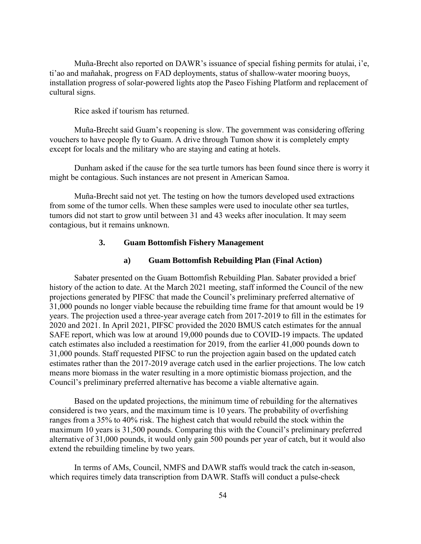Muña-Brecht also reported on DAWR's issuance of special fishing permits for atulai, i'e, ti'ao and mañahak, progress on FAD deployments, status of shallow-water mooring buoys, installation progress of solar-powered lights atop the Paseo Fishing Platform and replacement of cultural signs.

Rice asked if tourism has returned.

Muña-Brecht said Guam's reopening is slow. The government was considering offering vouchers to have people fly to Guam. A drive through Tumon show it is completely empty except for locals and the military who are staying and eating at hotels.

Dunham asked if the cause for the sea turtle tumors has been found since there is worry it might be contagious. Such instances are not present in American Samoa.

Muña-Brecht said not yet. The testing on how the tumors developed used extractions from some of the tumor cells. When these samples were used to inoculate other sea turtles, tumors did not start to grow until between 31 and 43 weeks after inoculation. It may seem contagious, but it remains unknown.

## **3. Guam Bottomfish Fishery Management**

### **a) Guam Bottomfish Rebuilding Plan (Final Action)**

Sabater presented on the Guam Bottomfish Rebuilding Plan. Sabater provided a brief history of the action to date. At the March 2021 meeting, staff informed the Council of the new projections generated by PIFSC that made the Council's preliminary preferred alternative of 31,000 pounds no longer viable because the rebuilding time frame for that amount would be 19 years. The projection used a three-year average catch from 2017-2019 to fill in the estimates for 2020 and 2021. In April 2021, PIFSC provided the 2020 BMUS catch estimates for the annual SAFE report, which was low at around 19,000 pounds due to COVID-19 impacts. The updated catch estimates also included a reestimation for 2019, from the earlier 41,000 pounds down to 31,000 pounds. Staff requested PIFSC to run the projection again based on the updated catch estimates rather than the 2017-2019 average catch used in the earlier projections. The low catch means more biomass in the water resulting in a more optimistic biomass projection, and the Council's preliminary preferred alternative has become a viable alternative again.

Based on the updated projections, the minimum time of rebuilding for the alternatives considered is two years, and the maximum time is 10 years. The probability of overfishing ranges from a 35% to 40% risk. The highest catch that would rebuild the stock within the maximum 10 years is 31,500 pounds. Comparing this with the Council's preliminary preferred alternative of 31,000 pounds, it would only gain 500 pounds per year of catch, but it would also extend the rebuilding timeline by two years.

In terms of AMs, Council, NMFS and DAWR staffs would track the catch in-season, which requires timely data transcription from DAWR. Staffs will conduct a pulse-check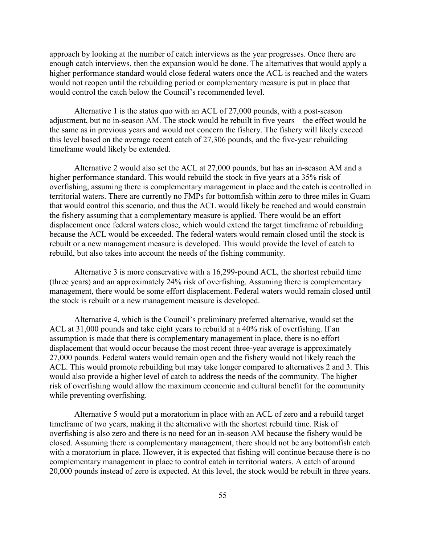approach by looking at the number of catch interviews as the year progresses. Once there are enough catch interviews, then the expansion would be done. The alternatives that would apply a higher performance standard would close federal waters once the ACL is reached and the waters would not reopen until the rebuilding period or complementary measure is put in place that would control the catch below the Council's recommended level.

Alternative 1 is the status quo with an ACL of 27,000 pounds, with a post-season adjustment, but no in-season AM. The stock would be rebuilt in five years—the effect would be the same as in previous years and would not concern the fishery. The fishery will likely exceed this level based on the average recent catch of 27,306 pounds, and the five-year rebuilding timeframe would likely be extended.

Alternative 2 would also set the ACL at 27,000 pounds, but has an in-season AM and a higher performance standard. This would rebuild the stock in five years at a 35% risk of overfishing, assuming there is complementary management in place and the catch is controlled in territorial waters. There are currently no FMPs for bottomfish within zero to three miles in Guam that would control this scenario, and thus the ACL would likely be reached and would constrain the fishery assuming that a complementary measure is applied. There would be an effort displacement once federal waters close, which would extend the target timeframe of rebuilding because the ACL would be exceeded. The federal waters would remain closed until the stock is rebuilt or a new management measure is developed. This would provide the level of catch to rebuild, but also takes into account the needs of the fishing community.

Alternative 3 is more conservative with a 16,299-pound ACL, the shortest rebuild time (three years) and an approximately 24% risk of overfishing. Assuming there is complementary management, there would be some effort displacement. Federal waters would remain closed until the stock is rebuilt or a new management measure is developed.

Alternative 4, which is the Council's preliminary preferred alternative, would set the ACL at 31,000 pounds and take eight years to rebuild at a 40% risk of overfishing. If an assumption is made that there is complementary management in place, there is no effort displacement that would occur because the most recent three-year average is approximately 27,000 pounds. Federal waters would remain open and the fishery would not likely reach the ACL. This would promote rebuilding but may take longer compared to alternatives 2 and 3. This would also provide a higher level of catch to address the needs of the community. The higher risk of overfishing would allow the maximum economic and cultural benefit for the community while preventing overfishing.

Alternative 5 would put a moratorium in place with an ACL of zero and a rebuild target timeframe of two years, making it the alternative with the shortest rebuild time. Risk of overfishing is also zero and there is no need for an in-season AM because the fishery would be closed. Assuming there is complementary management, there should not be any bottomfish catch with a moratorium in place. However, it is expected that fishing will continue because there is no complementary management in place to control catch in territorial waters. A catch of around 20,000 pounds instead of zero is expected. At this level, the stock would be rebuilt in three years.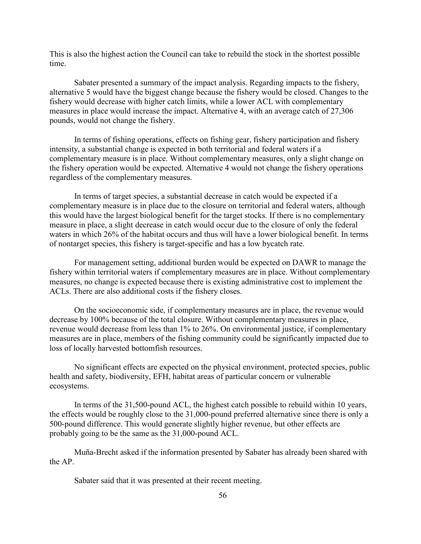This is also the highest action the Council can take to rebuild the stock in the shortest possible time.

Sabater presented a summary of the impact analysis. Regarding impacts to the fishery, alternative 5 would have the biggest change because the fishery would be closed. Changes to the fishery would decrease with higher catch limits, while a lower ACL with complementary measures in place would increase the impact. Alternative 4, with an average catch of 27,306 pounds, would not change the fishery.

In terms of fishing operations, effects on fishing gear, fishery participation and fishery intensity, a substantial change is expected in both territorial and federal waters if a complementary measure is in place. Without complementary measures, only a slight change on the fishery operation would be expected. Alternative 4 would not change the fishery operations regardless of the complementary measures.

In terms of target species, a substantial decrease in catch would be expected if a complementary measure is in place due to the closure on territorial and federal waters, although this would have the largest biological benefit for the target stocks. If there is no complementary measure in place, a slight decrease in catch would occur due to the closure of only the federal waters in which 26% of the habitat occurs and thus will have a lower biological benefit. In terms of nontarget species, this fishery is target-specific and has a low bycatch rate.

For management setting, additional burden would be expected on DAWR to manage the fishery within territorial waters if complementary measures are in place. Without complementary measures, no change is expected because there is existing administrative cost to implement the ACLs. There are also additional costs if the fishery closes.

On the socioeconomic side, if complementary measures are in place, the revenue would decrease by 100% because of the total closure. Without complementary measures in place, revenue would decrease from less than 1% to 26%. On environmental justice, if complementary measures are in place, members of the fishing community could be significantly impacted due to loss of locally harvested bottomfish resources.

No significant effects are expected on the physical environment, protected species, public health and safety, biodiversity, EFH, habitat areas of particular concern or vulnerable ecosystems.

In terms of the 31,500-pound ACL, the highest catch possible to rebuild within 10 years, the effects would be roughly close to the 31,000-pound preferred alternative since there is only a 500-pound difference. This would generate slightly higher revenue, but other effects are probably going to be the same as the 31,000-pound ACL.

Muña-Brecht asked if the information presented by Sabater has already been shared with the AP.

Sabater said that it was presented at their recent meeting.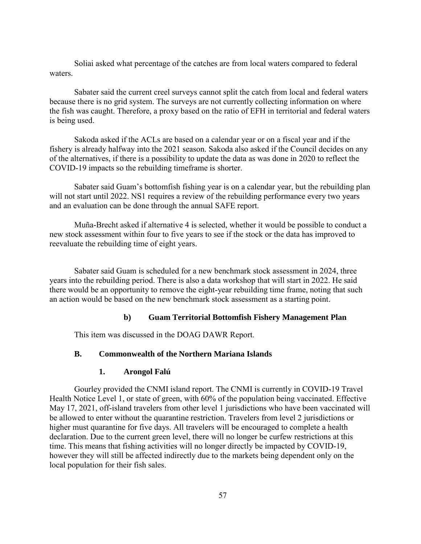Soliai asked what percentage of the catches are from local waters compared to federal waters.

Sabater said the current creel surveys cannot split the catch from local and federal waters because there is no grid system. The surveys are not currently collecting information on where the fish was caught. Therefore, a proxy based on the ratio of EFH in territorial and federal waters is being used.

Sakoda asked if the ACLs are based on a calendar year or on a fiscal year and if the fishery is already halfway into the 2021 season. Sakoda also asked if the Council decides on any of the alternatives, if there is a possibility to update the data as was done in 2020 to reflect the COVID-19 impacts so the rebuilding timeframe is shorter.

Sabater said Guam's bottomfish fishing year is on a calendar year, but the rebuilding plan will not start until 2022. NS1 requires a review of the rebuilding performance every two years and an evaluation can be done through the annual SAFE report.

Muña-Brecht asked if alternative 4 is selected, whether it would be possible to conduct a new stock assessment within four to five years to see if the stock or the data has improved to reevaluate the rebuilding time of eight years.

Sabater said Guam is scheduled for a new benchmark stock assessment in 2024, three years into the rebuilding period. There is also a data workshop that will start in 2022. He said there would be an opportunity to remove the eight-year rebuilding time frame, noting that such an action would be based on the new benchmark stock assessment as a starting point.

#### **b) Guam Territorial Bottomfish Fishery Management Plan**

This item was discussed in the DOAG DAWR Report.

# **B. Commonwealth of the Northern Mariana Islands**

#### **1. Arongol Falú**

Gourley provided the CNMI island report. The CNMI is currently in COVID-19 Travel Health Notice Level 1, or state of green, with 60% of the population being vaccinated. Effective May 17, 2021, off-island travelers from other level 1 jurisdictions who have been vaccinated will be allowed to enter without the quarantine restriction. Travelers from level 2 jurisdictions or higher must quarantine for five days. All travelers will be encouraged to complete a health declaration. Due to the current green level, there will no longer be curfew restrictions at this time. This means that fishing activities will no longer directly be impacted by COVID-19, however they will still be affected indirectly due to the markets being dependent only on the local population for their fish sales.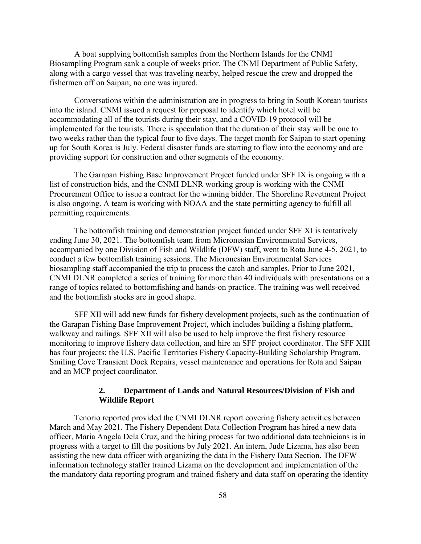A boat supplying bottomfish samples from the Northern Islands for the CNMI Biosampling Program sank a couple of weeks prior. The CNMI Department of Public Safety, along with a cargo vessel that was traveling nearby, helped rescue the crew and dropped the fishermen off on Saipan; no one was injured.

Conversations within the administration are in progress to bring in South Korean tourists into the island. CNMI issued a request for proposal to identify which hotel will be accommodating all of the tourists during their stay, and a COVID-19 protocol will be implemented for the tourists. There is speculation that the duration of their stay will be one to two weeks rather than the typical four to five days. The target month for Saipan to start opening up for South Korea is July. Federal disaster funds are starting to flow into the economy and are providing support for construction and other segments of the economy.

The Garapan Fishing Base Improvement Project funded under SFF IX is ongoing with a list of construction bids, and the CNMI DLNR working group is working with the CNMI Procurement Office to issue a contract for the winning bidder. The Shoreline Revetment Project is also ongoing. A team is working with NOAA and the state permitting agency to fulfill all permitting requirements.

The bottomfish training and demonstration project funded under SFF XI is tentatively ending June 30, 2021. The bottomfish team from Micronesian Environmental Services, accompanied by one Division of Fish and Wildlife (DFW) staff, went to Rota June 4-5, 2021, to conduct a few bottomfish training sessions. The Micronesian Environmental Services biosampling staff accompanied the trip to process the catch and samples. Prior to June 2021, CNMI DLNR completed a series of training for more than 40 individuals with presentations on a range of topics related to bottomfishing and hands-on practice. The training was well received and the bottomfish stocks are in good shape.

SFF XII will add new funds for fishery development projects, such as the continuation of the Garapan Fishing Base Improvement Project, which includes building a fishing platform, walkway and railings. SFF XII will also be used to help improve the first fishery resource monitoring to improve fishery data collection, and hire an SFF project coordinator. The SFF XIII has four projects: the U.S. Pacific Territories Fishery Capacity-Building Scholarship Program, Smiling Cove Transient Dock Repairs, vessel maintenance and operations for Rota and Saipan and an MCP project coordinator.

### **2. Department of Lands and Natural Resources/Division of Fish and Wildlife Report**

Tenorio reported provided the CNMI DLNR report covering fishery activities between March and May 2021. The Fishery Dependent Data Collection Program has hired a new data officer, Maria Angela Dela Cruz, and the hiring process for two additional data technicians is in progress with a target to fill the positions by July 2021. An intern, Jude Lizama, has also been assisting the new data officer with organizing the data in the Fishery Data Section. The DFW information technology staffer trained Lizama on the development and implementation of the the mandatory data reporting program and trained fishery and data staff on operating the identity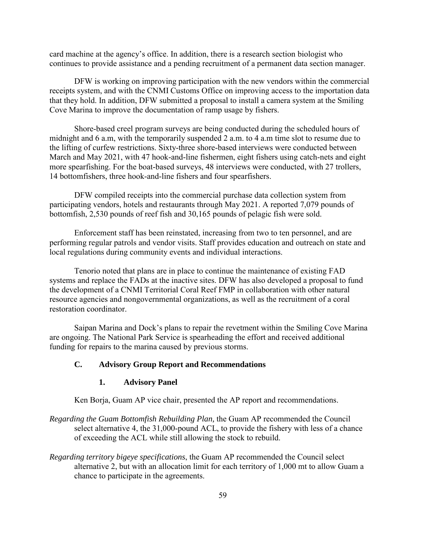card machine at the agency's office. In addition, there is a research section biologist who continues to provide assistance and a pending recruitment of a permanent data section manager.

 DFW is working on improving participation with the new vendors within the commercial receipts system, and with the CNMI Customs Office on improving access to the importation data that they hold. In addition, DFW submitted a proposal to install a camera system at the Smiling Cove Marina to improve the documentation of ramp usage by fishers.

 Shore-based creel program surveys are being conducted during the scheduled hours of midnight and 6 a.m, with the temporarily suspended 2 a.m. to 4 a.m time slot to resume due to the lifting of curfew restrictions. Sixty-three shore-based interviews were conducted between March and May 2021, with 47 hook-and-line fishermen, eight fishers using catch-nets and eight more spearfishing. For the boat-based surveys, 48 interviews were conducted, with 27 trollers, 14 bottomfishers, three hook-and-line fishers and four spearfishers.

 DFW compiled receipts into the commercial purchase data collection system from participating vendors, hotels and restaurants through May 2021. A reported 7,079 pounds of bottomfish, 2,530 pounds of reef fish and 30,165 pounds of pelagic fish were sold.

Enforcement staff has been reinstated, increasing from two to ten personnel, and are performing regular patrols and vendor visits. Staff provides education and outreach on state and local regulations during community events and individual interactions.

 Tenorio noted that plans are in place to continue the maintenance of existing FAD systems and replace the FADs at the inactive sites. DFW has also developed a proposal to fund the development of a CNMI Territorial Coral Reef FMP in collaboration with other natural resource agencies and nongovernmental organizations, as well as the recruitment of a coral restoration coordinator.

Saipan Marina and Dock's plans to repair the revetment within the Smiling Cove Marina are ongoing. The National Park Service is spearheading the effort and received additional funding for repairs to the marina caused by previous storms.

#### **C. Advisory Group Report and Recommendations**

#### **1. Advisory Panel**

Ken Borja, Guam AP vice chair, presented the AP report and recommendations.

- *Regarding the Guam Bottomfish Rebuilding Plan,* the Guam AP recommended the Council select alternative 4, the 31,000-pound ACL, to provide the fishery with less of a chance of exceeding the ACL while still allowing the stock to rebuild.
- *Regarding territory bigeye specifications*, the Guam AP recommended the Council select alternative 2, but with an allocation limit for each territory of 1,000 mt to allow Guam a chance to participate in the agreements.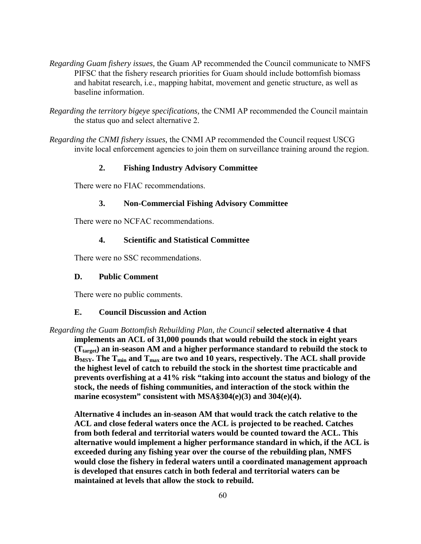- *Regarding Guam fishery issues,* the Guam AP recommended the Council communicate to NMFS PIFSC that the fishery research priorities for Guam should include bottomfish biomass and habitat research, i.e., mapping habitat, movement and genetic structure, as well as baseline information.
- *Regarding the territory bigeye specifications,* the CNMI AP recommended the Council maintain the status quo and select alternative 2.
- *Regarding the CNMI fishery issues,* the CNMI AP recommended the Council request USCG invite local enforcement agencies to join them on surveillance training around the region.

# **2. Fishing Industry Advisory Committee**

There were no FIAC recommendations.

#### **3. Non-Commercial Fishing Advisory Committee**

There were no NCFAC recommendations.

#### **4. Scientific and Statistical Committee**

There were no SSC recommendations.

#### **D. Public Comment**

There were no public comments.

## **E. Council Discussion and Action**

*Regarding the Guam Bottomfish Rebuilding Plan, the Council* **selected alternative 4 that implements an ACL of 31,000 pounds that would rebuild the stock in eight years (Ttarget) an in-season AM and a higher performance standard to rebuild the stock to**  B<sub>MSY</sub>. The T<sub>min</sub> and T<sub>max</sub> are two and 10 years, respectively. The ACL shall provide **the highest level of catch to rebuild the stock in the shortest time practicable and prevents overfishing at a 41% risk "taking into account the status and biology of the stock, the needs of fishing communities, and interaction of the stock within the marine ecosystem" consistent with MSA§304(e)(3) and 304(e)(4).**

**Alternative 4 includes an in-season AM that would track the catch relative to the ACL and close federal waters once the ACL is projected to be reached. Catches from both federal and territorial waters would be counted toward the ACL. This alternative would implement a higher performance standard in which, if the ACL is exceeded during any fishing year over the course of the rebuilding plan, NMFS would close the fishery in federal waters until a coordinated management approach is developed that ensures catch in both federal and territorial waters can be maintained at levels that allow the stock to rebuild.**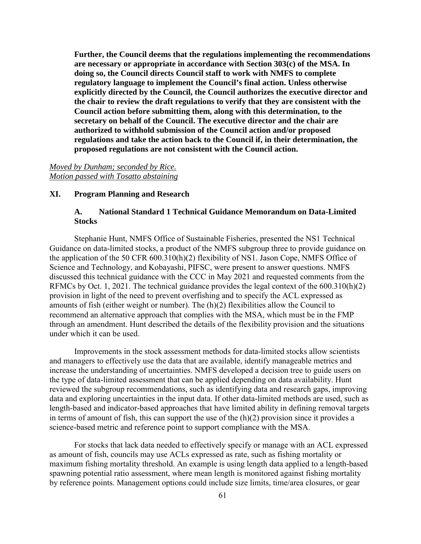**Further, the Council deems that the regulations implementing the recommendations are necessary or appropriate in accordance with Section 303(c) of the MSA. In doing so, the Council directs Council staff to work with NMFS to complete regulatory language to implement the Council's final action. Unless otherwise explicitly directed by the Council, the Council authorizes the executive director and the chair to review the draft regulations to verify that they are consistent with the Council action before submitting them, along with this determination, to the secretary on behalf of the Council. The executive director and the chair are authorized to withhold submission of the Council action and/or proposed regulations and take the action back to the Council if, in their determination, the proposed regulations are not consistent with the Council action.** 

## *Moved by Dunham; seconded by Rice. Motion passed with Tosatto abstaining*

## **XI. Program Planning and Research**

# **A. National Standard 1 Technical Guidance Memorandum on Data-Limited Stocks**

Stephanie Hunt, NMFS Office of Sustainable Fisheries, presented the NS1 Technical Guidance on data-limited stocks, a product of the NMFS subgroup three to provide guidance on the application of the 50 CFR 600.310(h)(2) flexibility of NS1. Jason Cope, NMFS Office of Science and Technology, and Kobayashi, PIFSC, were present to answer questions. NMFS discussed this technical guidance with the CCC in May 2021 and requested comments from the RFMCs by Oct. 1, 2021. The technical guidance provides the legal context of the 600.310(h)(2) provision in light of the need to prevent overfishing and to specify the ACL expressed as amounts of fish (either weight or number). The (h)(2) flexibilities allow the Council to recommend an alternative approach that complies with the MSA, which must be in the FMP through an amendment. Hunt described the details of the flexibility provision and the situations under which it can be used.

Improvements in the stock assessment methods for data-limited stocks allow scientists and managers to effectively use the data that are available, identify manageable metrics and increase the understanding of uncertainties. NMFS developed a decision tree to guide users on the type of data-limited assessment that can be applied depending on data availability. Hunt reviewed the subgroup recommendations, such as identifying data and research gaps, improving data and exploring uncertainties in the input data. If other data-limited methods are used, such as length-based and indicator-based approaches that have limited ability in defining removal targets in terms of amount of fish, this can support the use of the (h)(2) provision since it provides a science-based metric and reference point to support compliance with the MSA.

For stocks that lack data needed to effectively specify or manage with an ACL expressed as amount of fish, councils may use ACLs expressed as rate, such as fishing mortality or maximum fishing mortality threshold. An example is using length data applied to a length-based spawning potential ratio assessment, where mean length is monitored against fishing mortality by reference points. Management options could include size limits, time/area closures, or gear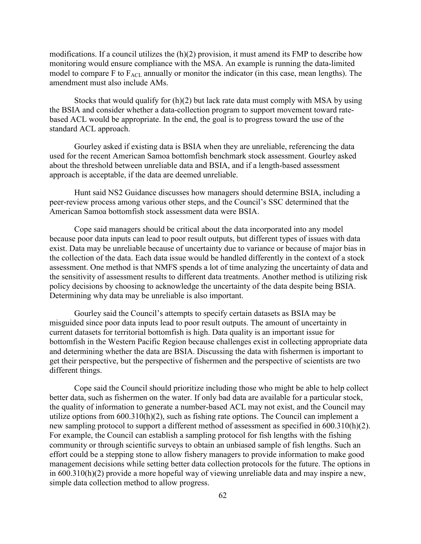modifications. If a council utilizes the  $(h)(2)$  provision, it must amend its FMP to describe how monitoring would ensure compliance with the MSA. An example is running the data-limited model to compare F to  $F_{\text{ACL}}$  annually or monitor the indicator (in this case, mean lengths). The amendment must also include AMs.

Stocks that would qualify for (h)(2) but lack rate data must comply with MSA by using the BSIA and consider whether a data-collection program to support movement toward ratebased ACL would be appropriate. In the end, the goal is to progress toward the use of the standard ACL approach.

Gourley asked if existing data is BSIA when they are unreliable, referencing the data used for the recent American Samoa bottomfish benchmark stock assessment. Gourley asked about the threshold between unreliable data and BSIA, and if a length-based assessment approach is acceptable, if the data are deemed unreliable.

Hunt said NS2 Guidance discusses how managers should determine BSIA, including a peer-review process among various other steps, and the Council's SSC determined that the American Samoa bottomfish stock assessment data were BSIA.

Cope said managers should be critical about the data incorporated into any model because poor data inputs can lead to poor result outputs, but different types of issues with data exist. Data may be unreliable because of uncertainty due to variance or because of major bias in the collection of the data. Each data issue would be handled differently in the context of a stock assessment. One method is that NMFS spends a lot of time analyzing the uncertainty of data and the sensitivity of assessment results to different data treatments. Another method is utilizing risk policy decisions by choosing to acknowledge the uncertainty of the data despite being BSIA. Determining why data may be unreliable is also important.

Gourley said the Council's attempts to specify certain datasets as BSIA may be misguided since poor data inputs lead to poor result outputs. The amount of uncertainty in current datasets for territorial bottomfish is high. Data quality is an important issue for bottomfish in the Western Pacific Region because challenges exist in collecting appropriate data and determining whether the data are BSIA. Discussing the data with fishermen is important to get their perspective, but the perspective of fishermen and the perspective of scientists are two different things.

Cope said the Council should prioritize including those who might be able to help collect better data, such as fishermen on the water. If only bad data are available for a particular stock, the quality of information to generate a number-based ACL may not exist, and the Council may utilize options from 600.310(h)(2), such as fishing rate options. The Council can implement a new sampling protocol to support a different method of assessment as specified in 600.310(h)(2). For example, the Council can establish a sampling protocol for fish lengths with the fishing community or through scientific surveys to obtain an unbiased sample of fish lengths. Such an effort could be a stepping stone to allow fishery managers to provide information to make good management decisions while setting better data collection protocols for the future. The options in in 600.310(h)(2) provide a more hopeful way of viewing unreliable data and may inspire a new, simple data collection method to allow progress.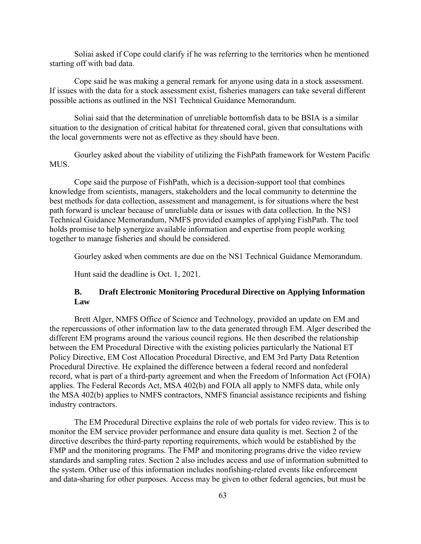Soliai asked if Cope could clarify if he was referring to the territories when he mentioned starting off with bad data.

Cope said he was making a general remark for anyone using data in a stock assessment. If issues with the data for a stock assessment exist, fisheries managers can take several different possible actions as outlined in the NS1 Technical Guidance Memorandum.

Soliai said that the determination of unreliable bottomfish data to be BSIA is a similar situation to the designation of critical habitat for threatened coral, given that consultations with the local governments were not as effective as they should have been.

Gourley asked about the viability of utilizing the FishPath framework for Western Pacific MUS.

Cope said the purpose of FishPath, which is a decision-support tool that combines knowledge from scientists, managers, stakeholders and the local community to determine the best methods for data collection, assessment and management, is for situations where the best path forward is unclear because of unreliable data or issues with data collection. In the NS1 Technical Guidance Memorandum, NMFS provided examples of applying FishPath. The tool holds promise to help synergize available information and expertise from people working together to manage fisheries and should be considered.

Gourley asked when comments are due on the NS1 Technical Guidance Memorandum.

Hunt said the deadline is Oct. 1, 2021.

## **B. Draft Electronic Monitoring Procedural Directive on Applying Information Law**

Brett Alger, NMFS Office of Science and Technology, provided an update on EM and the repercussions of other information law to the data generated through EM. Alger described the different EM programs around the various council regions. He then described the relationship between the EM Procedural Directive with the existing policies particularly the National ET Policy Directive, EM Cost Allocation Procedural Directive, and EM 3rd Party Data Retention Procedural Directive. He explained the difference between a federal record and nonfederal record, what is part of a third-party agreement and when the Freedom of Information Act (FOIA) applies. The Federal Records Act, MSA 402(b) and FOIA all apply to NMFS data, while only the MSA 402(b) applies to NMFS contractors, NMFS financial assistance recipients and fishing industry contractors.

The EM Procedural Directive explains the role of web portals for video review. This is to monitor the EM service provider performance and ensure data quality is met. Section 2 of the directive describes the third-party reporting requirements, which would be established by the FMP and the monitoring programs. The FMP and monitoring programs drive the video review standards and sampling rates. Section 2 also includes access and use of information submitted to the system. Other use of this information includes nonfishing-related events like enforcement and data-sharing for other purposes. Access may be given to other federal agencies, but must be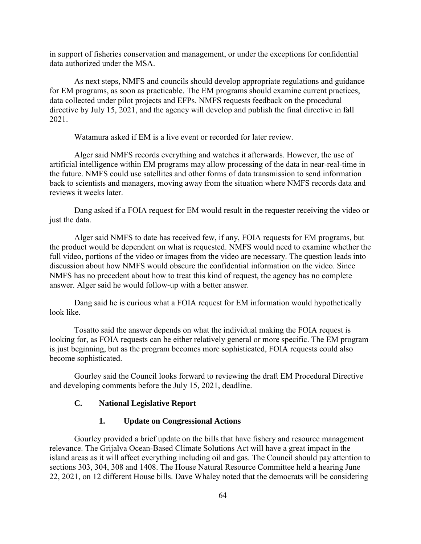in support of fisheries conservation and management, or under the exceptions for confidential data authorized under the MSA.

As next steps, NMFS and councils should develop appropriate regulations and guidance for EM programs, as soon as practicable. The EM programs should examine current practices, data collected under pilot projects and EFPs. NMFS requests feedback on the procedural directive by July 15, 2021, and the agency will develop and publish the final directive in fall 2021.

Watamura asked if EM is a live event or recorded for later review.

Alger said NMFS records everything and watches it afterwards. However, the use of artificial intelligence within EM programs may allow processing of the data in near-real-time in the future. NMFS could use satellites and other forms of data transmission to send information back to scientists and managers, moving away from the situation where NMFS records data and reviews it weeks later.

Dang asked if a FOIA request for EM would result in the requester receiving the video or just the data.

Alger said NMFS to date has received few, if any, FOIA requests for EM programs, but the product would be dependent on what is requested. NMFS would need to examine whether the full video, portions of the video or images from the video are necessary. The question leads into discussion about how NMFS would obscure the confidential information on the video. Since NMFS has no precedent about how to treat this kind of request, the agency has no complete answer. Alger said he would follow-up with a better answer.

Dang said he is curious what a FOIA request for EM information would hypothetically look like.

Tosatto said the answer depends on what the individual making the FOIA request is looking for, as FOIA requests can be either relatively general or more specific. The EM program is just beginning, but as the program becomes more sophisticated, FOIA requests could also become sophisticated.

Gourley said the Council looks forward to reviewing the draft EM Procedural Directive and developing comments before the July 15, 2021, deadline.

## **C. National Legislative Report**

## **1. Update on Congressional Actions**

Gourley provided a brief update on the bills that have fishery and resource management relevance. The Grijalva Ocean-Based Climate Solutions Act will have a great impact in the island areas as it will affect everything including oil and gas. The Council should pay attention to sections 303, 304, 308 and 1408. The House Natural Resource Committee held a hearing June 22, 2021, on 12 different House bills. Dave Whaley noted that the democrats will be considering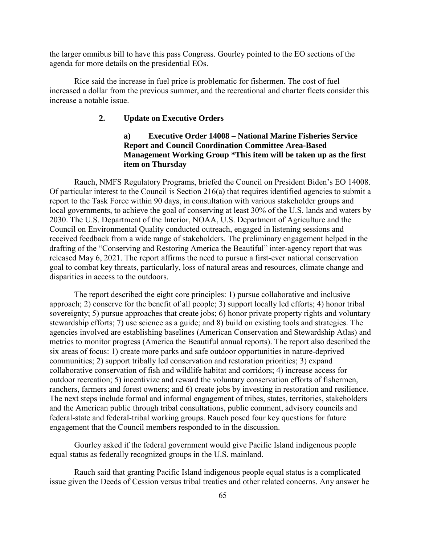the larger omnibus bill to have this pass Congress. Gourley pointed to the EO sections of the agenda for more details on the presidential EOs.

Rice said the increase in fuel price is problematic for fishermen. The cost of fuel increased a dollar from the previous summer, and the recreational and charter fleets consider this increase a notable issue.

# **2. Update on Executive Orders**

# **a) Executive Order 14008 – National Marine Fisheries Service Report and Council Coordination Committee Area-Based Management Working Group \*This item will be taken up as the first item on Thursday**

Rauch, NMFS Regulatory Programs, briefed the Council on President Biden's EO 14008. Of particular interest to the Council is Section 216(a) that requires identified agencies to submit a report to the Task Force within 90 days, in consultation with various stakeholder groups and local governments, to achieve the goal of conserving at least 30% of the U.S. lands and waters by 2030. The U.S. Department of the Interior, NOAA, U.S. Department of Agriculture and the Council on Environmental Quality conducted outreach, engaged in listening sessions and received feedback from a wide range of stakeholders. The preliminary engagement helped in the drafting of the "Conserving and Restoring America the Beautiful" inter-agency report that was released May 6, 2021. The report affirms the need to pursue a first-ever national conservation goal to combat key threats, particularly, loss of natural areas and resources, climate change and disparities in access to the outdoors.

The report described the eight core principles: 1) pursue collaborative and inclusive approach; 2) conserve for the benefit of all people; 3) support locally led efforts; 4) honor tribal sovereignty; 5) pursue approaches that create jobs; 6) honor private property rights and voluntary stewardship efforts; 7) use science as a guide; and 8) build on existing tools and strategies. The agencies involved are establishing baselines (American Conservation and Stewardship Atlas) and metrics to monitor progress (America the Beautiful annual reports). The report also described the six areas of focus: 1) create more parks and safe outdoor opportunities in nature-deprived communities; 2) support tribally led conservation and restoration priorities; 3) expand collaborative conservation of fish and wildlife habitat and corridors; 4) increase access for outdoor recreation; 5) incentivize and reward the voluntary conservation efforts of fishermen, ranchers, farmers and forest owners; and 6) create jobs by investing in restoration and resilience. The next steps include formal and informal engagement of tribes, states, territories, stakeholders and the American public through tribal consultations, public comment, advisory councils and federal-state and federal-tribal working groups. Rauch posed four key questions for future engagement that the Council members responded to in the discussion.

Gourley asked if the federal government would give Pacific Island indigenous people equal status as federally recognized groups in the U.S. mainland.

Rauch said that granting Pacific Island indigenous people equal status is a complicated issue given the Deeds of Cession versus tribal treaties and other related concerns. Any answer he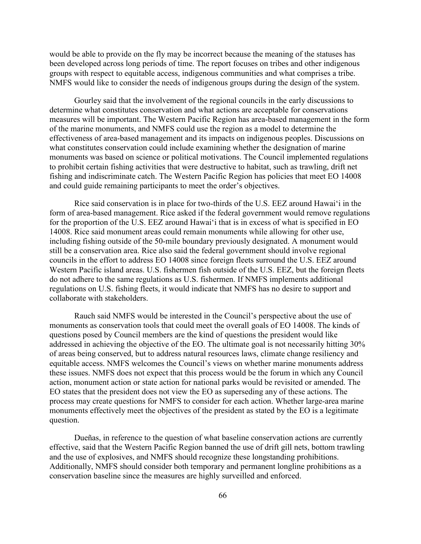would be able to provide on the fly may be incorrect because the meaning of the statuses has been developed across long periods of time. The report focuses on tribes and other indigenous groups with respect to equitable access, indigenous communities and what comprises a tribe. NMFS would like to consider the needs of indigenous groups during the design of the system.

Gourley said that the involvement of the regional councils in the early discussions to determine what constitutes conservation and what actions are acceptable for conservations measures will be important. The Western Pacific Region has area-based management in the form of the marine monuments, and NMFS could use the region as a model to determine the effectiveness of area-based management and its impacts on indigenous peoples. Discussions on what constitutes conservation could include examining whether the designation of marine monuments was based on science or political motivations. The Council implemented regulations to prohibit certain fishing activities that were destructive to habitat, such as trawling, drift net fishing and indiscriminate catch. The Western Pacific Region has policies that meet EO 14008 and could guide remaining participants to meet the order's objectives.

Rice said conservation is in place for two-thirds of the U.S. EEZ around Hawaiʻi in the form of area-based management. Rice asked if the federal government would remove regulations for the proportion of the U.S. EEZ around Hawaiʻi that is in excess of what is specified in EO 14008. Rice said monument areas could remain monuments while allowing for other use, including fishing outside of the 50-mile boundary previously designated. A monument would still be a conservation area. Rice also said the federal government should involve regional councils in the effort to address EO 14008 since foreign fleets surround the U.S. EEZ around Western Pacific island areas. U.S. fishermen fish outside of the U.S. EEZ, but the foreign fleets do not adhere to the same regulations as U.S. fishermen. If NMFS implements additional regulations on U.S. fishing fleets, it would indicate that NMFS has no desire to support and collaborate with stakeholders.

Rauch said NMFS would be interested in the Council's perspective about the use of monuments as conservation tools that could meet the overall goals of EO 14008. The kinds of questions posed by Council members are the kind of questions the president would like addressed in achieving the objective of the EO. The ultimate goal is not necessarily hitting 30% of areas being conserved, but to address natural resources laws, climate change resiliency and equitable access. NMFS welcomes the Council's views on whether marine monuments address these issues. NMFS does not expect that this process would be the forum in which any Council action, monument action or state action for national parks would be revisited or amended. The EO states that the president does not view the EO as superseding any of these actions. The process may create questions for NMFS to consider for each action. Whether large-area marine monuments effectively meet the objectives of the president as stated by the EO is a legitimate question.

Dueñas, in reference to the question of what baseline conservation actions are currently effective, said that the Western Pacific Region banned the use of drift gill nets, bottom trawling and the use of explosives, and NMFS should recognize these longstanding prohibitions. Additionally, NMFS should consider both temporary and permanent longline prohibitions as a conservation baseline since the measures are highly surveilled and enforced.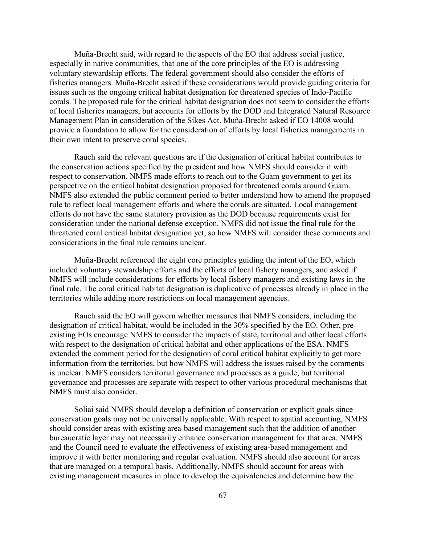Muña-Brecht said, with regard to the aspects of the EO that address social justice, especially in native communities, that one of the core principles of the EO is addressing voluntary stewardship efforts. The federal government should also consider the efforts of fisheries managers. Muña-Brecht asked if these considerations would provide guiding criteria for issues such as the ongoing critical habitat designation for threatened species of Indo-Pacific corals. The proposed rule for the critical habitat designation does not seem to consider the efforts of local fisheries managers, but accounts for efforts by the DOD and Integrated Natural Resource Management Plan in consideration of the Sikes Act. Muña-Brecht asked if EO 14008 would provide a foundation to allow for the consideration of efforts by local fisheries managements in their own intent to preserve coral species.

Rauch said the relevant questions are if the designation of critical habitat contributes to the conservation actions specified by the president and how NMFS should consider it with respect to conservation. NMFS made efforts to reach out to the Guam government to get its perspective on the critical habitat designation proposed for threatened corals around Guam. NMFS also extended the public comment period to better understand how to amend the proposed rule to reflect local management efforts and where the corals are situated. Local management efforts do not have the same statutory provision as the DOD because requirements exist for consideration under the national defense exception. NMFS did not issue the final rule for the threatened coral critical habitat designation yet, so how NMFS will consider these comments and considerations in the final rule remains unclear.

Muña-Brecht referenced the eight core principles guiding the intent of the EO, which included voluntary stewardship efforts and the efforts of local fishery managers, and asked if NMFS will include considerations for efforts by local fishery managers and existing laws in the final rule. The coral critical habitat designation is duplicative of processes already in place in the territories while adding more restrictions on local management agencies.

Rauch said the EO will govern whether measures that NMFS considers, including the designation of critical habitat, would be included in the 30% specified by the EO. Other, preexisting EOs encourage NMFS to consider the impacts of state, territorial and other local efforts with respect to the designation of critical habitat and other applications of the ESA. NMFS extended the comment period for the designation of coral critical habitat explicitly to get more information from the territories, but how NMFS will address the issues raised by the comments is unclear. NMFS considers territorial governance and processes as a guide, but territorial governance and processes are separate with respect to other various procedural mechanisms that NMFS must also consider.

Soliai said NMFS should develop a definition of conservation or explicit goals since conservation goals may not be universally applicable. With respect to spatial accounting, NMFS should consider areas with existing area-based management such that the addition of another bureaucratic layer may not necessarily enhance conservation management for that area. NMFS and the Council need to evaluate the effectiveness of existing area-based management and improve it with better monitoring and regular evaluation. NMFS should also account for areas that are managed on a temporal basis. Additionally, NMFS should account for areas with existing management measures in place to develop the equivalencies and determine how the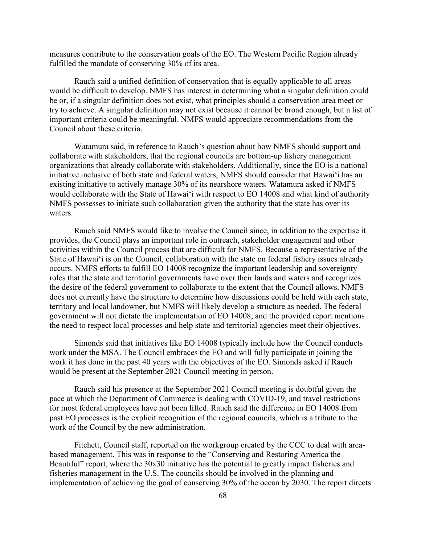measures contribute to the conservation goals of the EO. The Western Pacific Region already fulfilled the mandate of conserving 30% of its area.

Rauch said a unified definition of conservation that is equally applicable to all areas would be difficult to develop. NMFS has interest in determining what a singular definition could be or, if a singular definition does not exist, what principles should a conservation area meet or try to achieve. A singular definition may not exist because it cannot be broad enough, but a list of important criteria could be meaningful. NMFS would appreciate recommendations from the Council about these criteria.

Watamura said, in reference to Rauch's question about how NMFS should support and collaborate with stakeholders, that the regional councils are bottom-up fishery management organizations that already collaborate with stakeholders. Additionally, since the EO is a national initiative inclusive of both state and federal waters, NMFS should consider that Hawaiʻi has an existing initiative to actively manage 30% of its nearshore waters. Watamura asked if NMFS would collaborate with the State of Hawaiʻi with respect to EO 14008 and what kind of authority NMFS possesses to initiate such collaboration given the authority that the state has over its waters.

Rauch said NMFS would like to involve the Council since, in addition to the expertise it provides, the Council plays an important role in outreach, stakeholder engagement and other activities within the Council process that are difficult for NMFS. Because a representative of the State of Hawaiʻi is on the Council, collaboration with the state on federal fishery issues already occurs. NMFS efforts to fulfill EO 14008 recognize the important leadership and sovereignty roles that the state and territorial governments have over their lands and waters and recognizes the desire of the federal government to collaborate to the extent that the Council allows. NMFS does not currently have the structure to determine how discussions could be held with each state, territory and local landowner, but NMFS will likely develop a structure as needed. The federal government will not dictate the implementation of EO 14008, and the provided report mentions the need to respect local processes and help state and territorial agencies meet their objectives.

Simonds said that initiatives like EO 14008 typically include how the Council conducts work under the MSA. The Council embraces the EO and will fully participate in joining the work it has done in the past 40 years with the objectives of the EO. Simonds asked if Rauch would be present at the September 2021 Council meeting in person.

Rauch said his presence at the September 2021 Council meeting is doubtful given the pace at which the Department of Commerce is dealing with COVID-19, and travel restrictions for most federal employees have not been lifted. Rauch said the difference in EO 14008 from past EO processes is the explicit recognition of the regional councils, which is a tribute to the work of the Council by the new administration.

Fitchett, Council staff, reported on the workgroup created by the CCC to deal with areabased management. This was in response to the "Conserving and Restoring America the Beautiful" report, where the 30x30 initiative has the potential to greatly impact fisheries and fisheries management in the U.S. The councils should be involved in the planning and implementation of achieving the goal of conserving 30% of the ocean by 2030. The report directs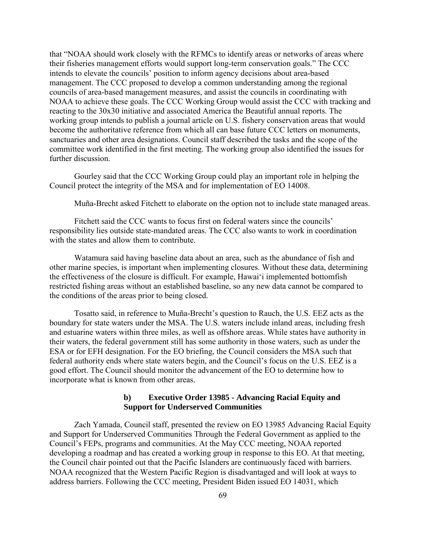that "NOAA should work closely with the RFMCs to identify areas or networks of areas where their fisheries management efforts would support long-term conservation goals." The CCC intends to elevate the councils' position to inform agency decisions about area-based management. The CCC proposed to develop a common understanding among the regional councils of area-based management measures, and assist the councils in coordinating with NOAA to achieve these goals. The CCC Working Group would assist the CCC with tracking and reacting to the 30x30 initiative and associated America the Beautiful annual reports. The working group intends to publish a journal article on U.S. fishery conservation areas that would become the authoritative reference from which all can base future CCC letters on monuments, sanctuaries and other area designations. Council staff described the tasks and the scope of the committee work identified in the first meeting. The working group also identified the issues for further discussion.

Gourley said that the CCC Working Group could play an important role in helping the Council protect the integrity of the MSA and for implementation of EO 14008.

Muña-Brecht asked Fitchett to elaborate on the option not to include state managed areas.

Fitchett said the CCC wants to focus first on federal waters since the councils' responsibility lies outside state-mandated areas. The CCC also wants to work in coordination with the states and allow them to contribute.

Watamura said having baseline data about an area, such as the abundance of fish and other marine species, is important when implementing closures. Without these data, determining the effectiveness of the closure is difficult. For example, Hawaiʻi implemented bottomfish restricted fishing areas without an established baseline, so any new data cannot be compared to the conditions of the areas prior to being closed.

Tosatto said, in reference to Muña-Brecht's question to Rauch, the U.S. EEZ acts as the boundary for state waters under the MSA. The U.S. waters include inland areas, including fresh and estuarine waters within three miles, as well as offshore areas. While states have authority in their waters, the federal government still has some authority in those waters, such as under the ESA or for EFH designation. For the EO briefing, the Council considers the MSA such that federal authority ends where state waters begin, and the Council's focus on the U.S. EEZ is a good effort. The Council should monitor the advancement of the EO to determine how to incorporate what is known from other areas.

### **b) Executive Order 13985 - Advancing Racial Equity and Support for Underserved Communities**

Zach Yamada, Council staff, presented the review on EO 13985 Advancing Racial Equity and Support for Underserved Communities Through the Federal Government as applied to the Council's FEPs, programs and communities. At the May CCC meeting, NOAA reported developing a roadmap and has created a working group in response to this EO. At that meeting, the Council chair pointed out that the Pacific Islanders are continuously faced with barriers. NOAA recognized that the Western Pacific Region is disadvantaged and will look at ways to address barriers. Following the CCC meeting, President Biden issued EO 14031, which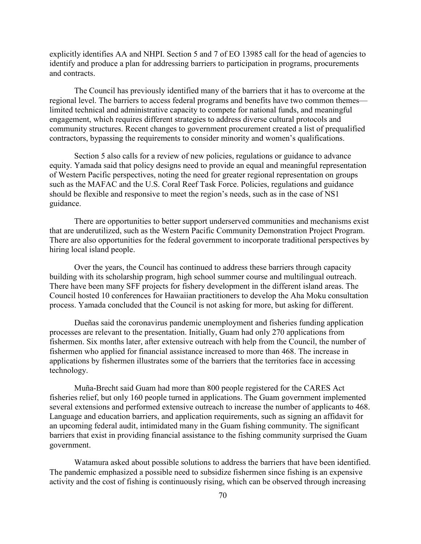explicitly identifies AA and NHPI. Section 5 and 7 of EO 13985 call for the head of agencies to identify and produce a plan for addressing barriers to participation in programs, procurements and contracts.

The Council has previously identified many of the barriers that it has to overcome at the regional level. The barriers to access federal programs and benefits have two common themes limited technical and administrative capacity to compete for national funds, and meaningful engagement, which requires different strategies to address diverse cultural protocols and community structures. Recent changes to government procurement created a list of prequalified contractors, bypassing the requirements to consider minority and women's qualifications.

Section 5 also calls for a review of new policies, regulations or guidance to advance equity. Yamada said that policy designs need to provide an equal and meaningful representation of Western Pacific perspectives, noting the need for greater regional representation on groups such as the MAFAC and the U.S. Coral Reef Task Force. Policies, regulations and guidance should be flexible and responsive to meet the region's needs, such as in the case of NS1 guidance.

There are opportunities to better support underserved communities and mechanisms exist that are underutilized, such as the Western Pacific Community Demonstration Project Program. There are also opportunities for the federal government to incorporate traditional perspectives by hiring local island people.

Over the years, the Council has continued to address these barriers through capacity building with its scholarship program, high school summer course and multilingual outreach. There have been many SFF projects for fishery development in the different island areas. The Council hosted 10 conferences for Hawaiian practitioners to develop the Aha Moku consultation process. Yamada concluded that the Council is not asking for more, but asking for different.

Dueñas said the coronavirus pandemic unemployment and fisheries funding application processes are relevant to the presentation. Initially, Guam had only 270 applications from fishermen. Six months later, after extensive outreach with help from the Council, the number of fishermen who applied for financial assistance increased to more than 468. The increase in applications by fishermen illustrates some of the barriers that the territories face in accessing technology.

Muña-Brecht said Guam had more than 800 people registered for the CARES Act fisheries relief, but only 160 people turned in applications. The Guam government implemented several extensions and performed extensive outreach to increase the number of applicants to 468. Language and education barriers, and application requirements, such as signing an affidavit for an upcoming federal audit, intimidated many in the Guam fishing community. The significant barriers that exist in providing financial assistance to the fishing community surprised the Guam government.

Watamura asked about possible solutions to address the barriers that have been identified. The pandemic emphasized a possible need to subsidize fishermen since fishing is an expensive activity and the cost of fishing is continuously rising, which can be observed through increasing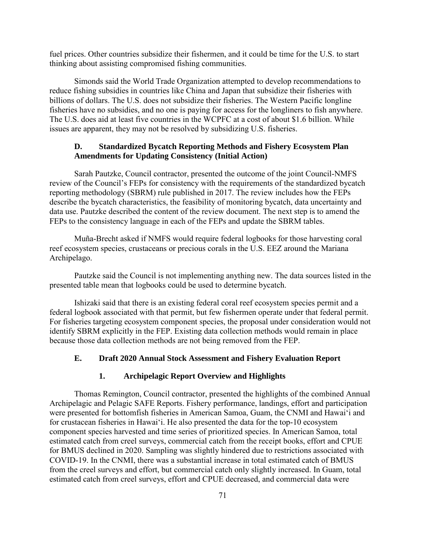fuel prices. Other countries subsidize their fishermen, and it could be time for the U.S. to start thinking about assisting compromised fishing communities.

Simonds said the World Trade Organization attempted to develop recommendations to reduce fishing subsidies in countries like China and Japan that subsidize their fisheries with billions of dollars. The U.S. does not subsidize their fisheries. The Western Pacific longline fisheries have no subsidies, and no one is paying for access for the longliners to fish anywhere. The U.S. does aid at least five countries in the WCPFC at a cost of about \$1.6 billion. While issues are apparent, they may not be resolved by subsidizing U.S. fisheries.

## **D. Standardized Bycatch Reporting Methods and Fishery Ecosystem Plan Amendments for Updating Consistency (Initial Action)**

Sarah Pautzke, Council contractor, presented the outcome of the joint Council-NMFS review of the Council's FEPs for consistency with the requirements of the standardized bycatch reporting methodology (SBRM) rule published in 2017. The review includes how the FEPs describe the bycatch characteristics, the feasibility of monitoring bycatch, data uncertainty and data use. Pautzke described the content of the review document. The next step is to amend the FEPs to the consistency language in each of the FEPs and update the SBRM tables.

Muña-Brecht asked if NMFS would require federal logbooks for those harvesting coral reef ecosystem species, crustaceans or precious corals in the U.S. EEZ around the Mariana Archipelago.

Pautzke said the Council is not implementing anything new. The data sources listed in the presented table mean that logbooks could be used to determine bycatch.

Ishizaki said that there is an existing federal coral reef ecosystem species permit and a federal logbook associated with that permit, but few fishermen operate under that federal permit. For fisheries targeting ecosystem component species, the proposal under consideration would not identify SBRM explicitly in the FEP. Existing data collection methods would remain in place because those data collection methods are not being removed from the FEP.

#### **E. Draft 2020 Annual Stock Assessment and Fishery Evaluation Report**

#### **1. Archipelagic Report Overview and Highlights**

Thomas Remington, Council contractor, presented the highlights of the combined Annual Archipelagic and Pelagic SAFE Reports. Fishery performance, landings, effort and participation were presented for bottomfish fisheries in American Samoa, Guam, the CNMI and Hawaiʻi and for crustacean fisheries in Hawaiʻi. He also presented the data for the top-10 ecosystem component species harvested and time series of prioritized species. In American Samoa, total estimated catch from creel surveys, commercial catch from the receipt books, effort and CPUE for BMUS declined in 2020. Sampling was slightly hindered due to restrictions associated with COVID-19. In the CNMI, there was a substantial increase in total estimated catch of BMUS from the creel surveys and effort, but commercial catch only slightly increased. In Guam, total estimated catch from creel surveys, effort and CPUE decreased, and commercial data were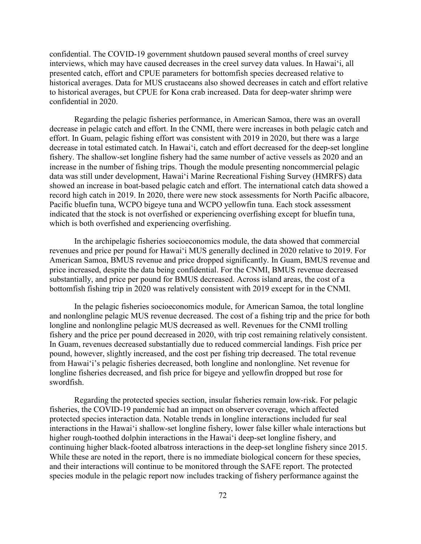confidential. The COVID-19 government shutdown paused several months of creel survey interviews, which may have caused decreases in the creel survey data values. In Hawaiʻi, all presented catch, effort and CPUE parameters for bottomfish species decreased relative to historical averages. Data for MUS crustaceans also showed decreases in catch and effort relative to historical averages, but CPUE for Kona crab increased. Data for deep-water shrimp were confidential in 2020.

Regarding the pelagic fisheries performance, in American Samoa, there was an overall decrease in pelagic catch and effort. In the CNMI, there were increases in both pelagic catch and effort. In Guam, pelagic fishing effort was consistent with 2019 in 2020, but there was a large decrease in total estimated catch. In Hawaiʻi, catch and effort decreased for the deep-set longline fishery. The shallow-set longline fishery had the same number of active vessels as 2020 and an increase in the number of fishing trips. Though the module presenting noncommercial pelagic data was still under development, Hawaiʻi Marine Recreational Fishing Survey (HMRFS) data showed an increase in boat-based pelagic catch and effort. The international catch data showed a record high catch in 2019. In 2020, there were new stock assessments for North Pacific albacore, Pacific bluefin tuna, WCPO bigeye tuna and WCPO yellowfin tuna. Each stock assessment indicated that the stock is not overfished or experiencing overfishing except for bluefin tuna, which is both overfished and experiencing overfishing.

In the archipelagic fisheries socioeconomics module, the data showed that commercial revenues and price per pound for Hawaiʻi MUS generally declined in 2020 relative to 2019. For American Samoa, BMUS revenue and price dropped significantly. In Guam, BMUS revenue and price increased, despite the data being confidential. For the CNMI, BMUS revenue decreased substantially, and price per pound for BMUS decreased. Across island areas, the cost of a bottomfish fishing trip in 2020 was relatively consistent with 2019 except for in the CNMI.

In the pelagic fisheries socioeconomics module, for American Samoa, the total longline and nonlongline pelagic MUS revenue decreased. The cost of a fishing trip and the price for both longline and nonlongline pelagic MUS decreased as well. Revenues for the CNMI trolling fishery and the price per pound decreased in 2020, with trip cost remaining relatively consistent. In Guam, revenues decreased substantially due to reduced commercial landings. Fish price per pound, however, slightly increased, and the cost per fishing trip decreased. The total revenue from Hawaiʻi's pelagic fisheries decreased, both longline and nonlongline. Net revenue for longline fisheries decreased, and fish price for bigeye and yellowfin dropped but rose for swordfish.

Regarding the protected species section, insular fisheries remain low-risk. For pelagic fisheries, the COVID-19 pandemic had an impact on observer coverage, which affected protected species interaction data. Notable trends in longline interactions included fur seal interactions in the Hawaiʻi shallow-set longline fishery, lower false killer whale interactions but higher rough-toothed dolphin interactions in the Hawaiʻi deep-set longline fishery, and continuing higher black-footed albatross interactions in the deep-set longline fishery since 2015. While these are noted in the report, there is no immediate biological concern for these species, and their interactions will continue to be monitored through the SAFE report. The protected species module in the pelagic report now includes tracking of fishery performance against the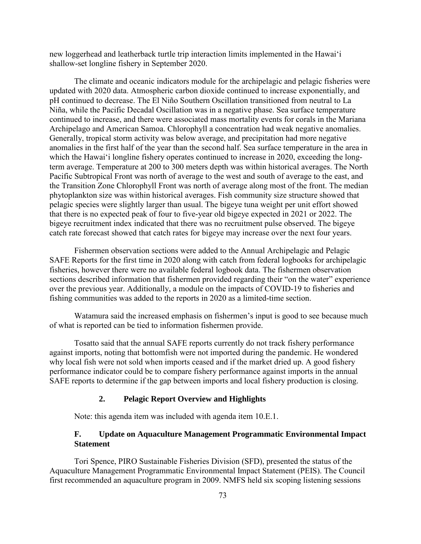new loggerhead and leatherback turtle trip interaction limits implemented in the Hawaiʻi shallow-set longline fishery in September 2020.

The climate and oceanic indicators module for the archipelagic and pelagic fisheries were updated with 2020 data. Atmospheric carbon dioxide continued to increase exponentially, and pH continued to decrease. The El Niño Southern Oscillation transitioned from neutral to La Niña, while the Pacific Decadal Oscillation was in a negative phase. Sea surface temperature continued to increase, and there were associated mass mortality events for corals in the Mariana Archipelago and American Samoa. Chlorophyll a concentration had weak negative anomalies. Generally, tropical storm activity was below average, and precipitation had more negative anomalies in the first half of the year than the second half. Sea surface temperature in the area in which the Hawaiʻi longline fishery operates continued to increase in 2020, exceeding the longterm average. Temperature at 200 to 300 meters depth was within historical averages. The North Pacific Subtropical Front was north of average to the west and south of average to the east, and the Transition Zone Chlorophyll Front was north of average along most of the front. The median phytoplankton size was within historical averages. Fish community size structure showed that pelagic species were slightly larger than usual. The bigeye tuna weight per unit effort showed that there is no expected peak of four to five-year old bigeye expected in 2021 or 2022. The bigeye recruitment index indicated that there was no recruitment pulse observed. The bigeye catch rate forecast showed that catch rates for bigeye may increase over the next four years.

Fishermen observation sections were added to the Annual Archipelagic and Pelagic SAFE Reports for the first time in 2020 along with catch from federal logbooks for archipelagic fisheries, however there were no available federal logbook data. The fishermen observation sections described information that fishermen provided regarding their "on the water" experience over the previous year. Additionally, a module on the impacts of COVID-19 to fisheries and fishing communities was added to the reports in 2020 as a limited-time section.

Watamura said the increased emphasis on fishermen's input is good to see because much of what is reported can be tied to information fishermen provide.

Tosatto said that the annual SAFE reports currently do not track fishery performance against imports, noting that bottomfish were not imported during the pandemic. He wondered why local fish were not sold when imports ceased and if the market dried up. A good fishery performance indicator could be to compare fishery performance against imports in the annual SAFE reports to determine if the gap between imports and local fishery production is closing.

### **2. Pelagic Report Overview and Highlights**

Note: this agenda item was included with agenda item 10.E.1.

## **F. Update on Aquaculture Management Programmatic Environmental Impact Statement**

Tori Spence, PIRO Sustainable Fisheries Division (SFD), presented the status of the Aquaculture Management Programmatic Environmental Impact Statement (PEIS). The Council first recommended an aquaculture program in 2009. NMFS held six scoping listening sessions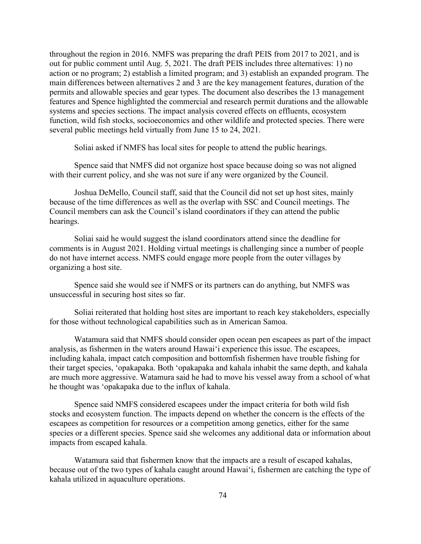throughout the region in 2016. NMFS was preparing the draft PEIS from 2017 to 2021, and is out for public comment until Aug. 5, 2021. The draft PEIS includes three alternatives: 1) no action or no program; 2) establish a limited program; and 3) establish an expanded program. The main differences between alternatives 2 and 3 are the key management features, duration of the permits and allowable species and gear types. The document also describes the 13 management features and Spence highlighted the commercial and research permit durations and the allowable systems and species sections. The impact analysis covered effects on effluents, ecosystem function, wild fish stocks, socioeconomics and other wildlife and protected species. There were several public meetings held virtually from June 15 to 24, 2021.

Soliai asked if NMFS has local sites for people to attend the public hearings.

Spence said that NMFS did not organize host space because doing so was not aligned with their current policy, and she was not sure if any were organized by the Council.

Joshua DeMello, Council staff, said that the Council did not set up host sites, mainly because of the time differences as well as the overlap with SSC and Council meetings. The Council members can ask the Council's island coordinators if they can attend the public hearings.

Soliai said he would suggest the island coordinators attend since the deadline for comments is in August 2021. Holding virtual meetings is challenging since a number of people do not have internet access. NMFS could engage more people from the outer villages by organizing a host site.

Spence said she would see if NMFS or its partners can do anything, but NMFS was unsuccessful in securing host sites so far.

Soliai reiterated that holding host sites are important to reach key stakeholders, especially for those without technological capabilities such as in American Samoa.

Watamura said that NMFS should consider open ocean pen escapees as part of the impact analysis, as fishermen in the waters around Hawaiʻi experience this issue. The escapees, including kahala, impact catch composition and bottomfish fishermen have trouble fishing for their target species, 'opakapaka. Both 'opakapaka and kahala inhabit the same depth, and kahala are much more aggressive. Watamura said he had to move his vessel away from a school of what he thought was 'opakapaka due to the influx of kahala.

Spence said NMFS considered escapees under the impact criteria for both wild fish stocks and ecosystem function. The impacts depend on whether the concern is the effects of the escapees as competition for resources or a competition among genetics, either for the same species or a different species. Spence said she welcomes any additional data or information about impacts from escaped kahala.

Watamura said that fishermen know that the impacts are a result of escaped kahalas, because out of the two types of kahala caught around Hawaiʻi, fishermen are catching the type of kahala utilized in aquaculture operations.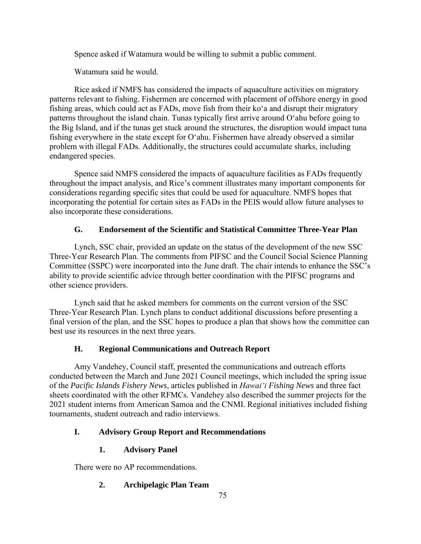Spence asked if Watamura would be willing to submit a public comment.

Watamura said he would.

Rice asked if NMFS has considered the impacts of aquaculture activities on migratory patterns relevant to fishing. Fishermen are concerned with placement of offshore energy in good fishing areas, which could act as FADs, move fish from their ko'a and disrupt their migratory patterns throughout the island chain. Tunas typically first arrive around O'ahu before going to the Big Island, and if the tunas get stuck around the structures, the disruption would impact tuna fishing everywhere in the state except for O'ahu. Fishermen have already observed a similar problem with illegal FADs. Additionally, the structures could accumulate sharks, including endangered species.

Spence said NMFS considered the impacts of aquaculture facilities as FADs frequently throughout the impact analysis, and Rice's comment illustrates many important components for considerations regarding specific sites that could be used for aquaculture. NMFS hopes that incorporating the potential for certain sites as FADs in the PEIS would allow future analyses to also incorporate these considerations.

# **G. Endorsement of the Scientific and Statistical Committee Three-Year Plan**

Lynch, SSC chair, provided an update on the status of the development of the new SSC Three-Year Research Plan. The comments from PIFSC and the Council Social Science Planning Committee (SSPC) were incorporated into the June draft. The chair intends to enhance the SSC's ability to provide scientific advice through better coordination with the PIFSC programs and other science providers.

Lynch said that he asked members for comments on the current version of the SSC Three-Year Research Plan. Lynch plans to conduct additional discussions before presenting a final version of the plan, and the SSC hopes to produce a plan that shows how the committee can best use its resources in the next three years.

# **H. Regional Communications and Outreach Report**

Amy Vandehey, Council staff, presented the communications and outreach efforts conducted between the March and June 2021 Council meetings, which included the spring issue of the *Pacific Islands Fishery News*, articles published in *Hawaiʻi Fishing News* and three fact sheets coordinated with the other RFMCs. Vandehey also described the summer projects for the 2021 student interns from American Samoa and the CNMI. Regional initiatives included fishing tournaments, student outreach and radio interviews.

# **I. Advisory Group Report and Recommendations**

# **1. Advisory Panel**

There were no AP recommendations.

# **2. Archipelagic Plan Team**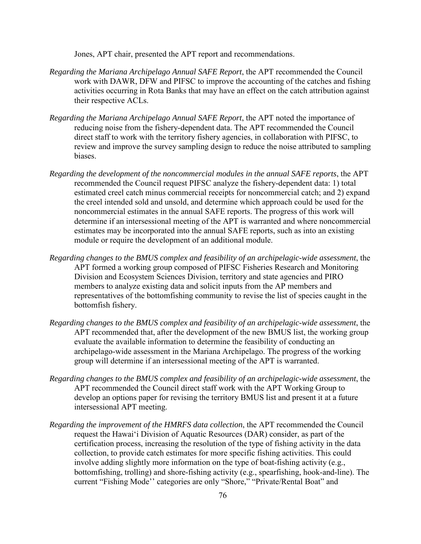Jones, APT chair, presented the APT report and recommendations.

- *Regarding the Mariana Archipelago Annual SAFE Report*, the APT recommended the Council work with DAWR, DFW and PIFSC to improve the accounting of the catches and fishing activities occurring in Rota Banks that may have an effect on the catch attribution against their respective ACLs.
- *Regarding the Mariana Archipelago Annual SAFE Report*, the APT noted the importance of reducing noise from the fishery-dependent data. The APT recommended the Council direct staff to work with the territory fishery agencies, in collaboration with PIFSC, to review and improve the survey sampling design to reduce the noise attributed to sampling biases.
- *Regarding the development of the noncommercial modules in the annual SAFE reports*, the APT recommended the Council request PIFSC analyze the fishery-dependent data: 1) total estimated creel catch minus commercial receipts for noncommercial catch; and 2) expand the creel intended sold and unsold, and determine which approach could be used for the noncommercial estimates in the annual SAFE reports. The progress of this work will determine if an intersessional meeting of the APT is warranted and where noncommercial estimates may be incorporated into the annual SAFE reports, such as into an existing module or require the development of an additional module.
- *Regarding changes to the BMUS complex and feasibility of an archipelagic-wide assessment*, the APT formed a working group composed of PIFSC Fisheries Research and Monitoring Division and Ecosystem Sciences Division, territory and state agencies and PIRO members to analyze existing data and solicit inputs from the AP members and representatives of the bottomfishing community to revise the list of species caught in the bottomfish fishery.
- *Regarding changes to the BMUS complex and feasibility of an archipelagic-wide assessment*, the APT recommended that, after the development of the new BMUS list, the working group evaluate the available information to determine the feasibility of conducting an archipelago-wide assessment in the Mariana Archipelago. The progress of the working group will determine if an intersessional meeting of the APT is warranted.
- *Regarding changes to the BMUS complex and feasibility of an archipelagic-wide assessment*, the APT recommended the Council direct staff work with the APT Working Group to develop an options paper for revising the territory BMUS list and present it at a future intersessional APT meeting.
- *Regarding the improvement of the HMRFS data collection*, the APT recommended the Council request the Hawaiʻi Division of Aquatic Resources (DAR) consider, as part of the certification process, increasing the resolution of the type of fishing activity in the data collection, to provide catch estimates for more specific fishing activities. This could involve adding slightly more information on the type of boat-fishing activity (e.g., bottomfishing, trolling) and shore-fishing activity (e.g., spearfishing, hook-and-line). The current "Fishing Mode'' categories are only "Shore," "Private/Rental Boat" and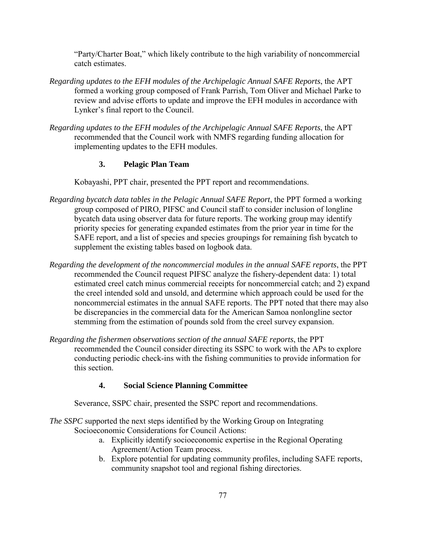"Party/Charter Boat," which likely contribute to the high variability of noncommercial catch estimates.

- *Regarding updates to the EFH modules of the Archipelagic Annual SAFE Reports*, the APT formed a working group composed of Frank Parrish, Tom Oliver and Michael Parke to review and advise efforts to update and improve the EFH modules in accordance with Lynker's final report to the Council.
- *Regarding updates to the EFH modules of the Archipelagic Annual SAFE Reports*, the APT recommended that the Council work with NMFS regarding funding allocation for implementing updates to the EFH modules.

## **3. Pelagic Plan Team**

Kobayashi, PPT chair, presented the PPT report and recommendations.

- *Regarding bycatch data tables in the Pelagic Annual SAFE Report*, the PPT formed a working group composed of PIRO, PIFSC and Council staff to consider inclusion of longline bycatch data using observer data for future reports. The working group may identify priority species for generating expanded estimates from the prior year in time for the SAFE report, and a list of species and species groupings for remaining fish bycatch to supplement the existing tables based on logbook data.
- *Regarding the development of the noncommercial modules in the annual SAFE reports*, the PPT recommended the Council request PIFSC analyze the fishery-dependent data: 1) total estimated creel catch minus commercial receipts for noncommercial catch; and 2) expand the creel intended sold and unsold, and determine which approach could be used for the noncommercial estimates in the annual SAFE reports. The PPT noted that there may also be discrepancies in the commercial data for the American Samoa nonlongline sector stemming from the estimation of pounds sold from the creel survey expansion.
- *Regarding the fishermen observations section of the annual SAFE reports*, the PPT recommended the Council consider directing its SSPC to work with the APs to explore conducting periodic check-ins with the fishing communities to provide information for this section.

## **4. Social Science Planning Committee**

Severance, SSPC chair, presented the SSPC report and recommendations.

*The SSPC* supported the next steps identified by the Working Group on Integrating Socioeconomic Considerations for Council Actions:

- a. Explicitly identify socioeconomic expertise in the Regional Operating Agreement/Action Team process.
- b. Explore potential for updating community profiles, including SAFE reports, community snapshot tool and regional fishing directories.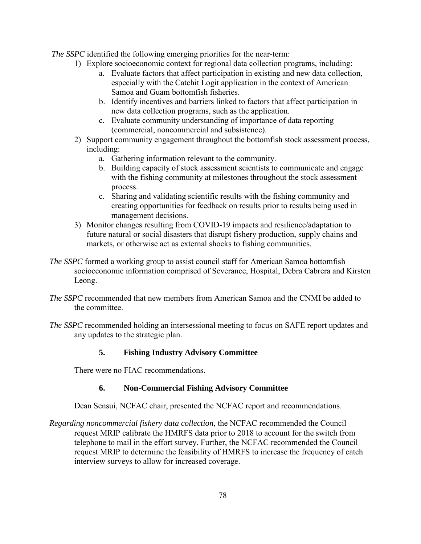*The SSPC* identified the following emerging priorities for the near-term:

- 1) Explore socioeconomic context for regional data collection programs, including:
	- a. Evaluate factors that affect participation in existing and new data collection, especially with the Catchit Logit application in the context of American Samoa and Guam bottomfish fisheries.
	- b. Identify incentives and barriers linked to factors that affect participation in new data collection programs, such as the application.
	- c. Evaluate community understanding of importance of data reporting (commercial, noncommercial and subsistence).
- 2) Support community engagement throughout the bottomfish stock assessment process, including:
	- a. Gathering information relevant to the community.
	- b. Building capacity of stock assessment scientists to communicate and engage with the fishing community at milestones throughout the stock assessment process.
	- c. Sharing and validating scientific results with the fishing community and creating opportunities for feedback on results prior to results being used in management decisions.
- 3) Monitor changes resulting from COVID-19 impacts and resilience/adaptation to future natural or social disasters that disrupt fishery production, supply chains and markets, or otherwise act as external shocks to fishing communities.
- *The SSPC* formed a working group to assist council staff for American Samoa bottomfish socioeconomic information comprised of Severance, Hospital, Debra Cabrera and Kirsten Leong.
- *The SSPC* recommended that new members from American Samoa and the CNMI be added to the committee.
- *The SSPC* recommended holding an intersessional meeting to focus on SAFE report updates and any updates to the strategic plan.

## **5. Fishing Industry Advisory Committee**

There were no FIAC recommendations.

## **6. Non-Commercial Fishing Advisory Committee**

Dean Sensui, NCFAC chair, presented the NCFAC report and recommendations.

*Regarding noncommercial fishery data collection*, the NCFAC recommended the Council request MRIP calibrate the HMRFS data prior to 2018 to account for the switch from telephone to mail in the effort survey. Further, the NCFAC recommended the Council request MRIP to determine the feasibility of HMRFS to increase the frequency of catch interview surveys to allow for increased coverage.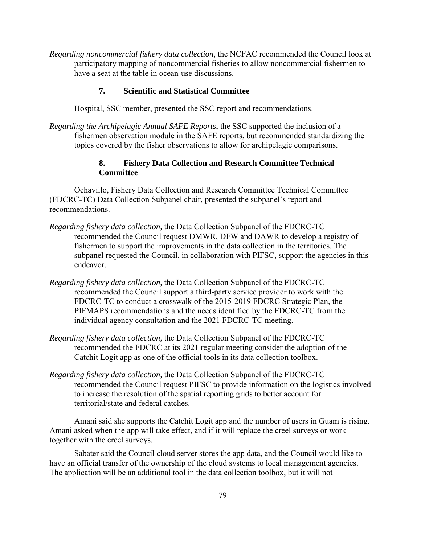*Regarding noncommercial fishery data collection*, the NCFAC recommended the Council look at participatory mapping of noncommercial fisheries to allow noncommercial fishermen to have a seat at the table in ocean-use discussions.

## **7. Scientific and Statistical Committee**

Hospital, SSC member, presented the SSC report and recommendations.

*Regarding the Archipelagic Annual SAFE Reports*, the SSC supported the inclusion of a fishermen observation module in the SAFE reports, but recommended standardizing the topics covered by the fisher observations to allow for archipelagic comparisons.

### **8. Fishery Data Collection and Research Committee Technical Committee**

Ochavillo, Fishery Data Collection and Research Committee Technical Committee (FDCRC-TC) Data Collection Subpanel chair, presented the subpanel's report and recommendations.

- *Regarding fishery data collection,* the Data Collection Subpanel of the FDCRC-TC recommended the Council request DMWR, DFW and DAWR to develop a registry of fishermen to support the improvements in the data collection in the territories. The subpanel requested the Council, in collaboration with PIFSC, support the agencies in this endeavor.
- *Regarding fishery data collection,* the Data Collection Subpanel of the FDCRC-TC recommended the Council support a third-party service provider to work with the FDCRC-TC to conduct a crosswalk of the 2015-2019 FDCRC Strategic Plan, the PIFMAPS recommendations and the needs identified by the FDCRC-TC from the individual agency consultation and the 2021 FDCRC-TC meeting.
- *Regarding fishery data collection,* the Data Collection Subpanel of the FDCRC-TC recommended the FDCRC at its 2021 regular meeting consider the adoption of the Catchit Logit app as one of the official tools in its data collection toolbox.
- *Regarding fishery data collection,* the Data Collection Subpanel of the FDCRC-TC recommended the Council request PIFSC to provide information on the logistics involved to increase the resolution of the spatial reporting grids to better account for territorial/state and federal catches.

Amani said she supports the Catchit Logit app and the number of users in Guam is rising. Amani asked when the app will take effect, and if it will replace the creel surveys or work together with the creel surveys.

Sabater said the Council cloud server stores the app data, and the Council would like to have an official transfer of the ownership of the cloud systems to local management agencies. The application will be an additional tool in the data collection toolbox, but it will not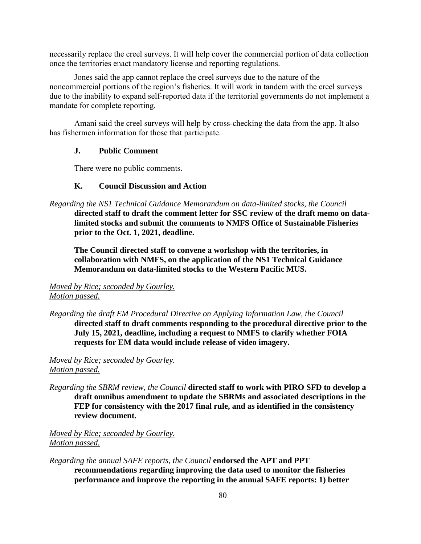necessarily replace the creel surveys. It will help cover the commercial portion of data collection once the territories enact mandatory license and reporting regulations.

Jones said the app cannot replace the creel surveys due to the nature of the noncommercial portions of the region's fisheries. It will work in tandem with the creel surveys due to the inability to expand self-reported data if the territorial governments do not implement a mandate for complete reporting.

Amani said the creel surveys will help by cross-checking the data from the app. It also has fishermen information for those that participate.

#### **J. Public Comment**

There were no public comments.

#### **K. Council Discussion and Action**

*Regarding the NS1 Technical Guidance Memorandum on data-limited stocks, the Council* 

**directed staff to draft the comment letter for SSC review of the draft memo on datalimited stocks and submit the comments to NMFS Office of Sustainable Fisheries prior to the Oct. 1, 2021, deadline.** 

**The Council directed staff to convene a workshop with the territories, in collaboration with NMFS, on the application of the NS1 Technical Guidance Memorandum on data-limited stocks to the Western Pacific MUS.** 

### *Moved by Rice; seconded by Gourley. Motion passed.*

*Regarding the draft EM Procedural Directive on Applying Information Law, the Council*  **directed staff to draft comments responding to the procedural directive prior to the July 15, 2021, deadline, including a request to NMFS to clarify whether FOIA requests for EM data would include release of video imagery.**

*Moved by Rice; seconded by Gourley. Motion passed.* 

*Regarding the SBRM review, the Council* **directed staff to work with PIRO SFD to develop a draft omnibus amendment to update the SBRMs and associated descriptions in the FEP for consistency with the 2017 final rule, and as identified in the consistency review document.** 

*Moved by Rice; seconded by Gourley. Motion passed.* 

*Regarding the annual SAFE reports, the Council* **endorsed the APT and PPT recommendations regarding improving the data used to monitor the fisheries performance and improve the reporting in the annual SAFE reports: 1) better**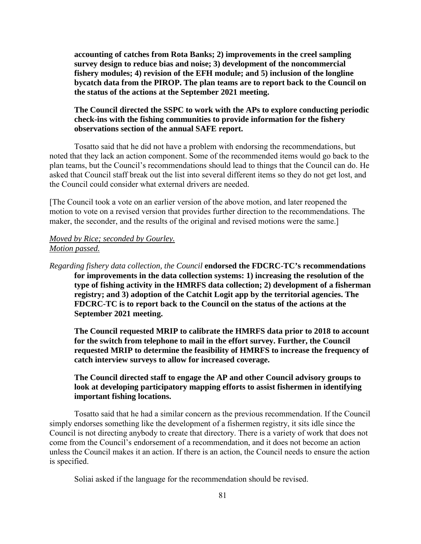**accounting of catches from Rota Banks; 2) improvements in the creel sampling survey design to reduce bias and noise; 3) development of the noncommercial fishery modules; 4) revision of the EFH module; and 5) inclusion of the longline bycatch data from the PIROP. The plan teams are to report back to the Council on the status of the actions at the September 2021 meeting.** 

## **The Council directed the SSPC to work with the APs to explore conducting periodic check-ins with the fishing communities to provide information for the fishery observations section of the annual SAFE report.**

Tosatto said that he did not have a problem with endorsing the recommendations, but noted that they lack an action component. Some of the recommended items would go back to the plan teams, but the Council's recommendations should lead to things that the Council can do. He asked that Council staff break out the list into several different items so they do not get lost, and the Council could consider what external drivers are needed.

[The Council took a vote on an earlier version of the above motion, and later reopened the motion to vote on a revised version that provides further direction to the recommendations. The maker, the seconder, and the results of the original and revised motions were the same.]

## *Moved by Rice; seconded by Gourley. Motion passed.*

*Regarding fishery data collection, the Council* **endorsed the FDCRC-TC's recommendations for improvements in the data collection systems: 1) increasing the resolution of the type of fishing activity in the HMRFS data collection; 2) development of a fisherman registry; and 3) adoption of the Catchit Logit app by the territorial agencies. The FDCRC-TC is to report back to the Council on the status of the actions at the September 2021 meeting.** 

**The Council requested MRIP to calibrate the HMRFS data prior to 2018 to account for the switch from telephone to mail in the effort survey. Further, the Council requested MRIP to determine the feasibility of HMRFS to increase the frequency of catch interview surveys to allow for increased coverage.** 

## **The Council directed staff to engage the AP and other Council advisory groups to look at developing participatory mapping efforts to assist fishermen in identifying important fishing locations.**

Tosatto said that he had a similar concern as the previous recommendation. If the Council simply endorses something like the development of a fishermen registry, it sits idle since the Council is not directing anybody to create that directory. There is a variety of work that does not come from the Council's endorsement of a recommendation, and it does not become an action unless the Council makes it an action. If there is an action, the Council needs to ensure the action is specified.

Soliai asked if the language for the recommendation should be revised.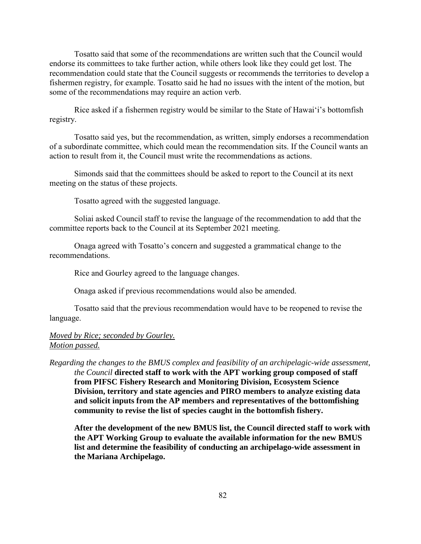Tosatto said that some of the recommendations are written such that the Council would endorse its committees to take further action, while others look like they could get lost. The recommendation could state that the Council suggests or recommends the territories to develop a fishermen registry, for example. Tosatto said he had no issues with the intent of the motion, but some of the recommendations may require an action verb.

Rice asked if a fishermen registry would be similar to the State of Hawaiʻi's bottomfish registry.

 Tosatto said yes, but the recommendation, as written, simply endorses a recommendation of a subordinate committee, which could mean the recommendation sits. If the Council wants an action to result from it, the Council must write the recommendations as actions.

 Simonds said that the committees should be asked to report to the Council at its next meeting on the status of these projects.

Tosatto agreed with the suggested language.

 Soliai asked Council staff to revise the language of the recommendation to add that the committee reports back to the Council at its September 2021 meeting.

 Onaga agreed with Tosatto's concern and suggested a grammatical change to the recommendations.

Rice and Gourley agreed to the language changes.

Onaga asked if previous recommendations would also be amended.

 Tosatto said that the previous recommendation would have to be reopened to revise the language.

## *Moved by Rice; seconded by Gourley. Motion passed.*

*Regarding the changes to the BMUS complex and feasibility of an archipelagic-wide assessment, the Council* **directed staff to work with the APT working group composed of staff from PIFSC Fishery Research and Monitoring Division, Ecosystem Science Division, territory and state agencies and PIRO members to analyze existing data and solicit inputs from the AP members and representatives of the bottomfishing community to revise the list of species caught in the bottomfish fishery.** 

**After the development of the new BMUS list, the Council directed staff to work with the APT Working Group to evaluate the available information for the new BMUS list and determine the feasibility of conducting an archipelago-wide assessment in the Mariana Archipelago.**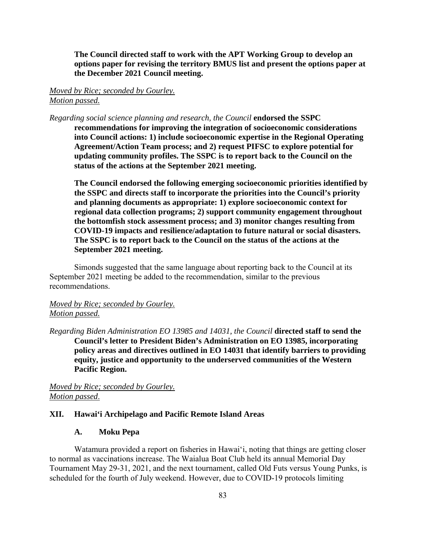**The Council directed staff to work with the APT Working Group to develop an options paper for revising the territory BMUS list and present the options paper at the December 2021 Council meeting.** 

### *Moved by Rice; seconded by Gourley. Motion passed.*

*Regarding social science planning and research, the Council* **endorsed the SSPC** 

**recommendations for improving the integration of socioeconomic considerations into Council actions: 1) include socioeconomic expertise in the Regional Operating Agreement/Action Team process; and 2) request PIFSC to explore potential for updating community profiles. The SSPC is to report back to the Council on the status of the actions at the September 2021 meeting.** 

**The Council endorsed the following emerging socioeconomic priorities identified by the SSPC and directs staff to incorporate the priorities into the Council's priority and planning documents as appropriate: 1) explore socioeconomic context for regional data collection programs; 2) support community engagement throughout the bottomfish stock assessment process; and 3) monitor changes resulting from COVID-19 impacts and resilience/adaptation to future natural or social disasters. The SSPC is to report back to the Council on the status of the actions at the September 2021 meeting.** 

Simonds suggested that the same language about reporting back to the Council at its September 2021 meeting be added to the recommendation, similar to the previous recommendations.

## *Moved by Rice; seconded by Gourley. Motion passed.*

*Regarding Biden Administration EO 13985 and 14031, the Council* **directed staff to send the Council's letter to President Biden's Administration on EO 13985, incorporating policy areas and directives outlined in EO 14031 that identify barriers to providing equity, justice and opportunity to the underserved communities of the Western Pacific Region.** 

*Moved by Rice; seconded by Gourley. Motion passed*.

#### **XII. Hawai'i Archipelago and Pacific Remote Island Areas**

### **A. Moku Pepa**

Watamura provided a report on fisheries in Hawaiʻi, noting that things are getting closer to normal as vaccinations increase. The Waialua Boat Club held its annual Memorial Day Tournament May 29-31, 2021, and the next tournament, called Old Futs versus Young Punks, is scheduled for the fourth of July weekend. However, due to COVID-19 protocols limiting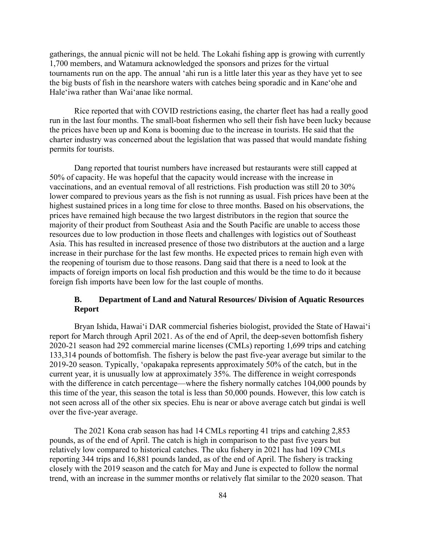gatherings, the annual picnic will not be held. The Lokahi fishing app is growing with currently 1,700 members, and Watamura acknowledged the sponsors and prizes for the virtual tournaments run on the app. The annual 'ahi run is a little later this year as they have yet to see the big busts of fish in the nearshore waters with catches being sporadic and in Kane'ohe and Hale'iwa rather than Wai'anae like normal.

Rice reported that with COVID restrictions easing, the charter fleet has had a really good run in the last four months. The small-boat fishermen who sell their fish have been lucky because the prices have been up and Kona is booming due to the increase in tourists. He said that the charter industry was concerned about the legislation that was passed that would mandate fishing permits for tourists.

Dang reported that tourist numbers have increased but restaurants were still capped at 50% of capacity. He was hopeful that the capacity would increase with the increase in vaccinations, and an eventual removal of all restrictions. Fish production was still 20 to 30% lower compared to previous years as the fish is not running as usual. Fish prices have been at the highest sustained prices in a long time for close to three months. Based on his observations, the prices have remained high because the two largest distributors in the region that source the majority of their product from Southeast Asia and the South Pacific are unable to access those resources due to low production in those fleets and challenges with logistics out of Southeast Asia. This has resulted in increased presence of those two distributors at the auction and a large increase in their purchase for the last few months. He expected prices to remain high even with the reopening of tourism due to those reasons. Dang said that there is a need to look at the impacts of foreign imports on local fish production and this would be the time to do it because foreign fish imports have been low for the last couple of months.

## **B. Department of Land and Natural Resources/ Division of Aquatic Resources Report**

Bryan Ishida, Hawaiʻi DAR commercial fisheries biologist, provided the State of Hawaiʻi report for March through April 2021. As of the end of April, the deep-seven bottomfish fishery 2020-21 season had 292 commercial marine licenses (CMLs) reporting 1,699 trips and catching 133,314 pounds of bottomfish. The fishery is below the past five-year average but similar to the 2019-20 season. Typically, 'opakapaka represents approximately 50% of the catch, but in the current year, it is unusually low at approximately 35%. The difference in weight corresponds with the difference in catch percentage—where the fishery normally catches 104,000 pounds by this time of the year, this season the total is less than 50,000 pounds. However, this low catch is not seen across all of the other six species. Ehu is near or above average catch but gindai is well over the five-year average.

The 2021 Kona crab season has had 14 CMLs reporting 41 trips and catching 2,853 pounds, as of the end of April. The catch is high in comparison to the past five years but relatively low compared to historical catches. The uku fishery in 2021 has had 109 CMLs reporting 344 trips and 16,881 pounds landed, as of the end of April. The fishery is tracking closely with the 2019 season and the catch for May and June is expected to follow the normal trend, with an increase in the summer months or relatively flat similar to the 2020 season. That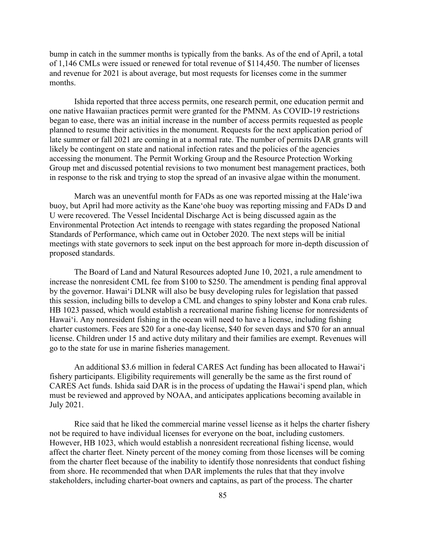bump in catch in the summer months is typically from the banks. As of the end of April, a total of 1,146 CMLs were issued or renewed for total revenue of \$114,450. The number of licenses and revenue for 2021 is about average, but most requests for licenses come in the summer months.

Ishida reported that three access permits, one research permit, one education permit and one native Hawaiian practices permit were granted for the PMNM. As COVID-19 restrictions began to ease, there was an initial increase in the number of access permits requested as people planned to resume their activities in the monument. Requests for the next application period of late summer or fall 2021 are coming in at a normal rate. The number of permits DAR grants will likely be contingent on state and national infection rates and the policies of the agencies accessing the monument. The Permit Working Group and the Resource Protection Working Group met and discussed potential revisions to two monument best management practices, both in response to the risk and trying to stop the spread of an invasive algae within the monument.

March was an uneventful month for FADs as one was reported missing at the Hale'iwa buoy, but April had more activity as the Kane'ohe buoy was reporting missing and FADs D and U were recovered. The Vessel Incidental Discharge Act is being discussed again as the Environmental Protection Act intends to reengage with states regarding the proposed National Standards of Performance, which came out in October 2020. The next steps will be initial meetings with state governors to seek input on the best approach for more in-depth discussion of proposed standards.

The Board of Land and Natural Resources adopted June 10, 2021, a rule amendment to increase the nonresident CML fee from \$100 to \$250. The amendment is pending final approval by the governor. Hawaiʻi DLNR will also be busy developing rules for legislation that passed this session, including bills to develop a CML and changes to spiny lobster and Kona crab rules. HB 1023 passed, which would establish a recreational marine fishing license for nonresidents of Hawaiʻi. Any nonresident fishing in the ocean will need to have a license, including fishing charter customers. Fees are \$20 for a one-day license, \$40 for seven days and \$70 for an annual license. Children under 15 and active duty military and their families are exempt. Revenues will go to the state for use in marine fisheries management.

An additional \$3.6 million in federal CARES Act funding has been allocated to Hawaiʻi fishery participants. Eligibility requirements will generally be the same as the first round of CARES Act funds. Ishida said DAR is in the process of updating the Hawaiʻi spend plan, which must be reviewed and approved by NOAA, and anticipates applications becoming available in July 2021.

Rice said that he liked the commercial marine vessel license as it helps the charter fishery not be required to have individual licenses for everyone on the boat, including customers. However, HB 1023, which would establish a nonresident recreational fishing license, would affect the charter fleet. Ninety percent of the money coming from those licenses will be coming from the charter fleet because of the inability to identify those nonresidents that conduct fishing from shore. He recommended that when DAR implements the rules that that they involve stakeholders, including charter-boat owners and captains, as part of the process. The charter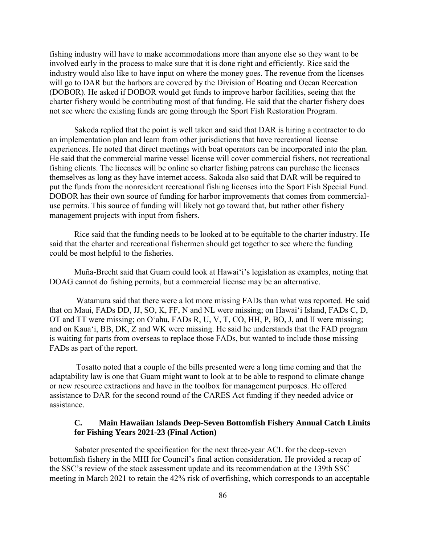fishing industry will have to make accommodations more than anyone else so they want to be involved early in the process to make sure that it is done right and efficiently. Rice said the industry would also like to have input on where the money goes. The revenue from the licenses will go to DAR but the harbors are covered by the Division of Boating and Ocean Recreation (DOBOR). He asked if DOBOR would get funds to improve harbor facilities, seeing that the charter fishery would be contributing most of that funding. He said that the charter fishery does not see where the existing funds are going through the Sport Fish Restoration Program.

Sakoda replied that the point is well taken and said that DAR is hiring a contractor to do an implementation plan and learn from other jurisdictions that have recreational license experiences. He noted that direct meetings with boat operators can be incorporated into the plan. He said that the commercial marine vessel license will cover commercial fishers, not recreational fishing clients. The licenses will be online so charter fishing patrons can purchase the licenses themselves as long as they have internet access. Sakoda also said that DAR will be required to put the funds from the nonresident recreational fishing licenses into the Sport Fish Special Fund. DOBOR has their own source of funding for harbor improvements that comes from commercialuse permits. This source of funding will likely not go toward that, but rather other fishery management projects with input from fishers.

Rice said that the funding needs to be looked at to be equitable to the charter industry. He said that the charter and recreational fishermen should get together to see where the funding could be most helpful to the fisheries.

Muña-Brecht said that Guam could look at Hawaiʻi's legislation as examples, noting that DOAG cannot do fishing permits, but a commercial license may be an alternative.

Watamura said that there were a lot more missing FADs than what was reported. He said that on Maui, FADs DD, JJ, SO, K, FF, N and NL were missing; on Hawaiʻi Island, FADs C, D, OT and TT were missing; on O'ahu, FADs R, U, V, T, CO, HH, P, BO, J, and II were missing; and on Kaua'i, BB, DK, Z and WK were missing. He said he understands that the FAD program is waiting for parts from overseas to replace those FADs, but wanted to include those missing FADs as part of the report.

 Tosatto noted that a couple of the bills presented were a long time coming and that the adaptability law is one that Guam might want to look at to be able to respond to climate change or new resource extractions and have in the toolbox for management purposes. He offered assistance to DAR for the second round of the CARES Act funding if they needed advice or assistance.

#### **C. Main Hawaiian Islands Deep-Seven Bottomfish Fishery Annual Catch Limits for Fishing Years 2021-23 (Final Action)**

Sabater presented the specification for the next three-year ACL for the deep-seven bottomfish fishery in the MHI for Council's final action consideration. He provided a recap of the SSC's review of the stock assessment update and its recommendation at the 139th SSC meeting in March 2021 to retain the 42% risk of overfishing, which corresponds to an acceptable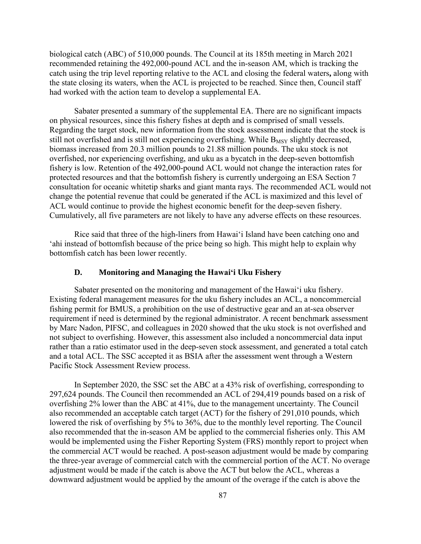biological catch (ABC) of 510,000 pounds. The Council at its 185th meeting in March 2021 recommended retaining the 492,000-pound ACL and the in-season AM, which is tracking the catch using the trip level reporting relative to the ACL and closing the federal waters**,** along with the state closing its waters, when the ACL is projected to be reached. Since then, Council staff had worked with the action team to develop a supplemental EA.

Sabater presented a summary of the supplemental EA. There are no significant impacts on physical resources, since this fishery fishes at depth and is comprised of small vessels. Regarding the target stock, new information from the stock assessment indicate that the stock is still not overfished and is still not experiencing overfishing. While  $B_{MSY}$  slightly decreased, biomass increased from 20.3 million pounds to 21.88 million pounds. The uku stock is not overfished, nor experiencing overfishing, and uku as a bycatch in the deep-seven bottomfish fishery is low. Retention of the 492,000-pound ACL would not change the interaction rates for protected resources and that the bottomfish fishery is currently undergoing an ESA Section 7 consultation for oceanic whitetip sharks and giant manta rays. The recommended ACL would not change the potential revenue that could be generated if the ACL is maximized and this level of ACL would continue to provide the highest economic benefit for the deep-seven fishery. Cumulatively, all five parameters are not likely to have any adverse effects on these resources.

Rice said that three of the high-liners from Hawai'i Island have been catching ono and 'ahi instead of bottomfish because of the price being so high. This might help to explain why bottomfish catch has been lower recently.

### **D. Monitoring and Managing the Hawaiʻi Uku Fishery**

Sabater presented on the monitoring and management of the Hawaiʻi uku fishery. Existing federal management measures for the uku fishery includes an ACL, a noncommercial fishing permit for BMUS, a prohibition on the use of destructive gear and an at-sea observer requirement if need is determined by the regional administrator. A recent benchmark assessment by Marc Nadon, PIFSC, and colleagues in 2020 showed that the uku stock is not overfished and not subject to overfishing. However, this assessment also included a noncommercial data input rather than a ratio estimator used in the deep-seven stock assessment, and generated a total catch and a total ACL. The SSC accepted it as BSIA after the assessment went through a Western Pacific Stock Assessment Review process.

In September 2020, the SSC set the ABC at a 43% risk of overfishing, corresponding to 297,624 pounds. The Council then recommended an ACL of 294,419 pounds based on a risk of overfishing 2% lower than the ABC at 41%, due to the management uncertainty. The Council also recommended an acceptable catch target (ACT) for the fishery of 291,010 pounds, which lowered the risk of overfishing by 5% to 36%, due to the monthly level reporting. The Council also recommended that the in-season AM be applied to the commercial fisheries only. This AM would be implemented using the Fisher Reporting System (FRS) monthly report to project when the commercial ACT would be reached. A post-season adjustment would be made by comparing the three-year average of commercial catch with the commercial portion of the ACT. No overage adjustment would be made if the catch is above the ACT but below the ACL, whereas a downward adjustment would be applied by the amount of the overage if the catch is above the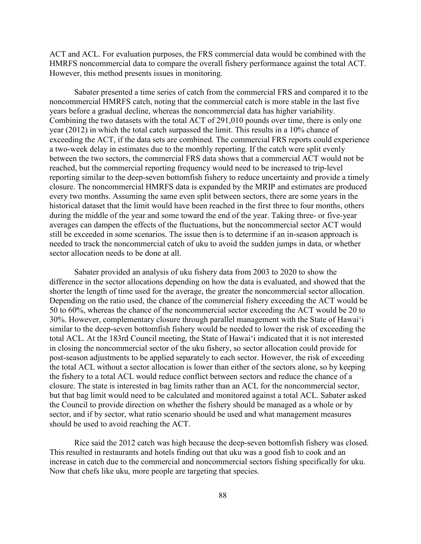ACT and ACL. For evaluation purposes, the FRS commercial data would be combined with the HMRFS noncommercial data to compare the overall fishery performance against the total ACT. However, this method presents issues in monitoring.

Sabater presented a time series of catch from the commercial FRS and compared it to the noncommercial HMRFS catch, noting that the commercial catch is more stable in the last five years before a gradual decline, whereas the noncommercial data has higher variability. Combining the two datasets with the total ACT of 291,010 pounds over time, there is only one year (2012) in which the total catch surpassed the limit. This results in a 10% chance of exceeding the ACT, if the data sets are combined. The commercial FRS reports could experience a two-week delay in estimates due to the monthly reporting. If the catch were split evenly between the two sectors, the commercial FRS data shows that a commercial ACT would not be reached, but the commercial reporting frequency would need to be increased to trip-level reporting similar to the deep-seven bottomfish fishery to reduce uncertainty and provide a timely closure. The noncommercial HMRFS data is expanded by the MRIP and estimates are produced every two months. Assuming the same even split between sectors, there are some years in the historical dataset that the limit would have been reached in the first three to four months, others during the middle of the year and some toward the end of the year. Taking three- or five-year averages can dampen the effects of the fluctuations, but the noncommercial sector ACT would still be exceeded in some scenarios. The issue then is to determine if an in-season approach is needed to track the noncommercial catch of uku to avoid the sudden jumps in data, or whether sector allocation needs to be done at all.

Sabater provided an analysis of uku fishery data from 2003 to 2020 to show the difference in the sector allocations depending on how the data is evaluated, and showed that the shorter the length of time used for the average, the greater the noncommercial sector allocation. Depending on the ratio used, the chance of the commercial fishery exceeding the ACT would be 50 to 60%, whereas the chance of the noncommercial sector exceeding the ACT would be 20 to 30%. However, complementary closure through parallel management with the State of Hawaiʻi similar to the deep-seven bottomfish fishery would be needed to lower the risk of exceeding the total ACL. At the 183rd Council meeting, the State of Hawaiʻi indicated that it is not interested in closing the noncommercial sector of the uku fishery, so sector allocation could provide for post-season adjustments to be applied separately to each sector. However, the risk of exceeding the total ACL without a sector allocation is lower than either of the sectors alone, so by keeping the fishery to a total ACL would reduce conflict between sectors and reduce the chance of a closure. The state is interested in bag limits rather than an ACL for the noncommercial sector, but that bag limit would need to be calculated and monitored against a total ACL. Sabater asked the Council to provide direction on whether the fishery should be managed as a whole or by sector, and if by sector, what ratio scenario should be used and what management measures should be used to avoid reaching the ACT.

Rice said the 2012 catch was high because the deep-seven bottomfish fishery was closed. This resulted in restaurants and hotels finding out that uku was a good fish to cook and an increase in catch due to the commercial and noncommercial sectors fishing specifically for uku. Now that chefs like uku, more people are targeting that species.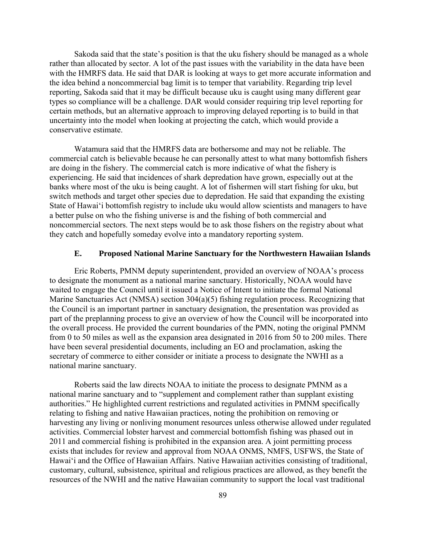Sakoda said that the state's position is that the uku fishery should be managed as a whole rather than allocated by sector. A lot of the past issues with the variability in the data have been with the HMRFS data. He said that DAR is looking at ways to get more accurate information and the idea behind a noncommercial bag limit is to temper that variability. Regarding trip level reporting, Sakoda said that it may be difficult because uku is caught using many different gear types so compliance will be a challenge. DAR would consider requiring trip level reporting for certain methods, but an alternative approach to improving delayed reporting is to build in that uncertainty into the model when looking at projecting the catch, which would provide a conservative estimate.

Watamura said that the HMRFS data are bothersome and may not be reliable. The commercial catch is believable because he can personally attest to what many bottomfish fishers are doing in the fishery. The commercial catch is more indicative of what the fishery is experiencing. He said that incidences of shark depredation have grown, especially out at the banks where most of the uku is being caught. A lot of fishermen will start fishing for uku, but switch methods and target other species due to depredation. He said that expanding the existing State of Hawaiʻi bottomfish registry to include uku would allow scientists and managers to have a better pulse on who the fishing universe is and the fishing of both commercial and noncommercial sectors. The next steps would be to ask those fishers on the registry about what they catch and hopefully someday evolve into a mandatory reporting system.

#### **E. Proposed National Marine Sanctuary for the Northwestern Hawaiian Islands**

Eric Roberts, PMNM deputy superintendent, provided an overview of NOAA's process to designate the monument as a national marine sanctuary. Historically, NOAA would have waited to engage the Council until it issued a Notice of Intent to initiate the formal National Marine Sanctuaries Act (NMSA) section 304(a)(5) fishing regulation process. Recognizing that the Council is an important partner in sanctuary designation, the presentation was provided as part of the preplanning process to give an overview of how the Council will be incorporated into the overall process. He provided the current boundaries of the PMN, noting the original PMNM from 0 to 50 miles as well as the expansion area designated in 2016 from 50 to 200 miles. There have been several presidential documents, including an EO and proclamation, asking the secretary of commerce to either consider or initiate a process to designate the NWHI as a national marine sanctuary.

Roberts said the law directs NOAA to initiate the process to designate PMNM as a national marine sanctuary and to "supplement and complement rather than supplant existing authorities." He highlighted current restrictions and regulated activities in PMNM specifically relating to fishing and native Hawaiian practices, noting the prohibition on removing or harvesting any living or nonliving monument resources unless otherwise allowed under regulated activities. Commercial lobster harvest and commercial bottomfish fishing was phased out in 2011 and commercial fishing is prohibited in the expansion area. A joint permitting process exists that includes for review and approval from NOAA ONMS, NMFS, USFWS, the State of Hawaiʻi and the Office of Hawaiian Affairs. Native Hawaiian activities consisting of traditional, customary, cultural, subsistence, spiritual and religious practices are allowed, as they benefit the resources of the NWHI and the native Hawaiian community to support the local vast traditional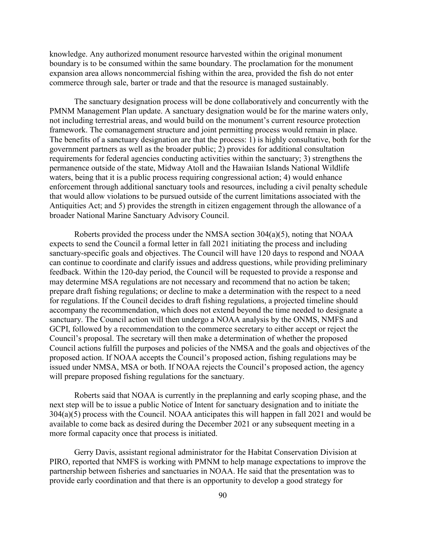knowledge. Any authorized monument resource harvested within the original monument boundary is to be consumed within the same boundary. The proclamation for the monument expansion area allows noncommercial fishing within the area, provided the fish do not enter commerce through sale, barter or trade and that the resource is managed sustainably.

The sanctuary designation process will be done collaboratively and concurrently with the PMNM Management Plan update. A sanctuary designation would be for the marine waters only, not including terrestrial areas, and would build on the monument's current resource protection framework. The comanagement structure and joint permitting process would remain in place. The benefits of a sanctuary designation are that the process: 1) is highly consultative, both for the government partners as well as the broader public; 2) provides for additional consultation requirements for federal agencies conducting activities within the sanctuary; 3) strengthens the permanence outside of the state, Midway Atoll and the Hawaiian Islands National Wildlife waters, being that it is a public process requiring congressional action; 4) would enhance enforcement through additional sanctuary tools and resources, including a civil penalty schedule that would allow violations to be pursued outside of the current limitations associated with the Antiquities Act; and 5) provides the strength in citizen engagement through the allowance of a broader National Marine Sanctuary Advisory Council.

Roberts provided the process under the NMSA section 304(a)(5), noting that NOAA expects to send the Council a formal letter in fall 2021 initiating the process and including sanctuary-specific goals and objectives. The Council will have 120 days to respond and NOAA can continue to coordinate and clarify issues and address questions, while providing preliminary feedback. Within the 120-day period, the Council will be requested to provide a response and may determine MSA regulations are not necessary and recommend that no action be taken; prepare draft fishing regulations; or decline to make a determination with the respect to a need for regulations. If the Council decides to draft fishing regulations, a projected timeline should accompany the recommendation, which does not extend beyond the time needed to designate a sanctuary. The Council action will then undergo a NOAA analysis by the ONMS, NMFS and GCPI, followed by a recommendation to the commerce secretary to either accept or reject the Council's proposal. The secretary will then make a determination of whether the proposed Council actions fulfill the purposes and policies of the NMSA and the goals and objectives of the proposed action. If NOAA accepts the Council's proposed action, fishing regulations may be issued under NMSA, MSA or both. If NOAA rejects the Council's proposed action, the agency will prepare proposed fishing regulations for the sanctuary.

Roberts said that NOAA is currently in the preplanning and early scoping phase, and the next step will be to issue a public Notice of Intent for sanctuary designation and to initiate the 304(a)(5) process with the Council. NOAA anticipates this will happen in fall 2021 and would be available to come back as desired during the December 2021 or any subsequent meeting in a more formal capacity once that process is initiated.

Gerry Davis, assistant regional administrator for the Habitat Conservation Division at PIRO, reported that NMFS is working with PMNM to help manage expectations to improve the partnership between fisheries and sanctuaries in NOAA. He said that the presentation was to provide early coordination and that there is an opportunity to develop a good strategy for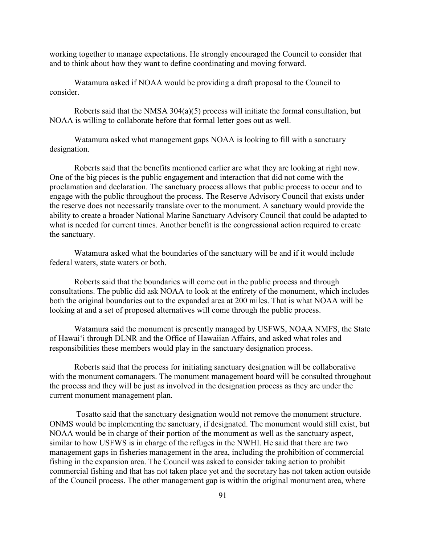working together to manage expectations. He strongly encouraged the Council to consider that and to think about how they want to define coordinating and moving forward.

Watamura asked if NOAA would be providing a draft proposal to the Council to consider.

Roberts said that the NMSA 304(a)(5) process will initiate the formal consultation, but NOAA is willing to collaborate before that formal letter goes out as well.

Watamura asked what management gaps NOAA is looking to fill with a sanctuary designation.

Roberts said that the benefits mentioned earlier are what they are looking at right now. One of the big pieces is the public engagement and interaction that did not come with the proclamation and declaration. The sanctuary process allows that public process to occur and to engage with the public throughout the process. The Reserve Advisory Council that exists under the reserve does not necessarily translate over to the monument. A sanctuary would provide the ability to create a broader National Marine Sanctuary Advisory Council that could be adapted to what is needed for current times. Another benefit is the congressional action required to create the sanctuary.

Watamura asked what the boundaries of the sanctuary will be and if it would include federal waters, state waters or both.

Roberts said that the boundaries will come out in the public process and through consultations. The public did ask NOAA to look at the entirety of the monument, which includes both the original boundaries out to the expanded area at 200 miles. That is what NOAA will be looking at and a set of proposed alternatives will come through the public process.

Watamura said the monument is presently managed by USFWS, NOAA NMFS, the State of Hawaiʻi through DLNR and the Office of Hawaiian Affairs, and asked what roles and responsibilities these members would play in the sanctuary designation process.

Roberts said that the process for initiating sanctuary designation will be collaborative with the monument comanagers. The monument management board will be consulted throughout the process and they will be just as involved in the designation process as they are under the current monument management plan.

Tosatto said that the sanctuary designation would not remove the monument structure. ONMS would be implementing the sanctuary, if designated. The monument would still exist, but NOAA would be in charge of their portion of the monument as well as the sanctuary aspect, similar to how USFWS is in charge of the refuges in the NWHI. He said that there are two management gaps in fisheries management in the area, including the prohibition of commercial fishing in the expansion area. The Council was asked to consider taking action to prohibit commercial fishing and that has not taken place yet and the secretary has not taken action outside of the Council process. The other management gap is within the original monument area, where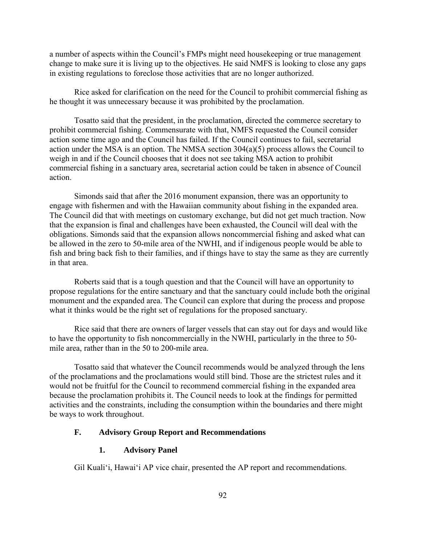a number of aspects within the Council's FMPs might need housekeeping or true management change to make sure it is living up to the objectives. He said NMFS is looking to close any gaps in existing regulations to foreclose those activities that are no longer authorized.

Rice asked for clarification on the need for the Council to prohibit commercial fishing as he thought it was unnecessary because it was prohibited by the proclamation.

Tosatto said that the president, in the proclamation, directed the commerce secretary to prohibit commercial fishing. Commensurate with that, NMFS requested the Council consider action some time ago and the Council has failed. If the Council continues to fail, secretarial action under the MSA is an option. The NMSA section  $304(a)(5)$  process allows the Council to weigh in and if the Council chooses that it does not see taking MSA action to prohibit commercial fishing in a sanctuary area, secretarial action could be taken in absence of Council action.

Simonds said that after the 2016 monument expansion, there was an opportunity to engage with fishermen and with the Hawaiian community about fishing in the expanded area. The Council did that with meetings on customary exchange, but did not get much traction. Now that the expansion is final and challenges have been exhausted, the Council will deal with the obligations. Simonds said that the expansion allows noncommercial fishing and asked what can be allowed in the zero to 50-mile area of the NWHI, and if indigenous people would be able to fish and bring back fish to their families, and if things have to stay the same as they are currently in that area.

Roberts said that is a tough question and that the Council will have an opportunity to propose regulations for the entire sanctuary and that the sanctuary could include both the original monument and the expanded area. The Council can explore that during the process and propose what it thinks would be the right set of regulations for the proposed sanctuary.

Rice said that there are owners of larger vessels that can stay out for days and would like to have the opportunity to fish noncommercially in the NWHI, particularly in the three to 50 mile area, rather than in the 50 to 200-mile area.

Tosatto said that whatever the Council recommends would be analyzed through the lens of the proclamations and the proclamations would still bind. Those are the strictest rules and it would not be fruitful for the Council to recommend commercial fishing in the expanded area because the proclamation prohibits it. The Council needs to look at the findings for permitted activities and the constraints, including the consumption within the boundaries and there might be ways to work throughout.

## **F. Advisory Group Report and Recommendations**

### **1. Advisory Panel**

Gil Kuali'i, Hawaiʻi AP vice chair, presented the AP report and recommendations.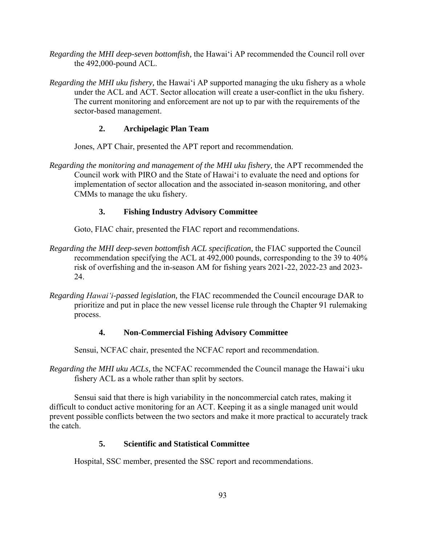- *Regarding the MHI deep-seven bottomfish,* the Hawaiʻi AP recommended the Council roll over the 492,000-pound ACL.
- *Regarding the MHI uku fishery,* the Hawaiʻi AP supported managing the uku fishery as a whole under the ACL and ACT. Sector allocation will create a user-conflict in the uku fishery. The current monitoring and enforcement are not up to par with the requirements of the sector-based management.

## **2. Archipelagic Plan Team**

Jones, APT Chair, presented the APT report and recommendation.

*Regarding the monitoring and management of the MHI uku fishery,* the APT recommended the Council work with PIRO and the State of Hawaiʻi to evaluate the need and options for implementation of sector allocation and the associated in-season monitoring, and other CMMs to manage the uku fishery.

## **3. Fishing Industry Advisory Committee**

Goto, FIAC chair, presented the FIAC report and recommendations.

- *Regarding the MHI deep-seven bottomfish ACL specification,* the FIAC supported the Council recommendation specifying the ACL at 492,000 pounds, corresponding to the 39 to 40% risk of overfishing and the in-season AM for fishing years 2021-22, 2022-23 and 2023- 24.
- *Regarding Hawaiʻi-passed legislation,* the FIAC recommended the Council encourage DAR to prioritize and put in place the new vessel license rule through the Chapter 91 rulemaking process.

## **4. Non-Commercial Fishing Advisory Committee**

Sensui, NCFAC chair, presented the NCFAC report and recommendation.

*Regarding the MHI uku ACLs,* the NCFAC recommended the Council manage the Hawaiʻi uku fishery ACL as a whole rather than split by sectors.

Sensui said that there is high variability in the noncommercial catch rates, making it difficult to conduct active monitoring for an ACT. Keeping it as a single managed unit would prevent possible conflicts between the two sectors and make it more practical to accurately track the catch.

## **5. Scientific and Statistical Committee**

Hospital, SSC member, presented the SSC report and recommendations.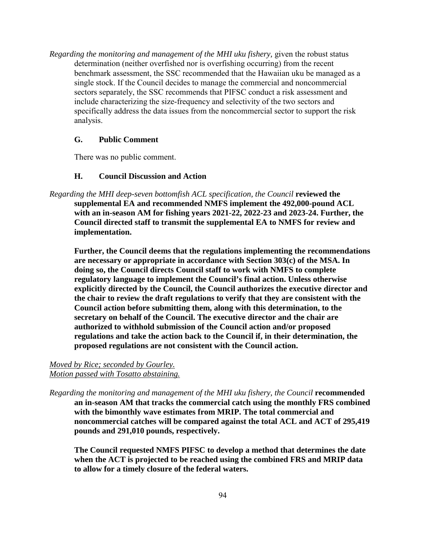*Regarding the monitoring and management of the MHI uku fishery,* given the robust status determination (neither overfished nor is overfishing occurring) from the recent benchmark assessment, the SSC recommended that the Hawaiian uku be managed as a single stock. If the Council decides to manage the commercial and noncommercial sectors separately, the SSC recommends that PIFSC conduct a risk assessment and include characterizing the size-frequency and selectivity of the two sectors and specifically address the data issues from the noncommercial sector to support the risk analysis.

#### **G. Public Comment**

There was no public comment.

#### **H. Council Discussion and Action**

*Regarding the MHI deep-seven bottomfish ACL specification, the Council* **reviewed the supplemental EA and recommended NMFS implement the 492,000-pound ACL with an in-season AM for fishing years 2021-22, 2022-23 and 2023-24. Further, the Council directed staff to transmit the supplemental EA to NMFS for review and implementation.** 

**Further, the Council deems that the regulations implementing the recommendations are necessary or appropriate in accordance with Section 303(c) of the MSA. In doing so, the Council directs Council staff to work with NMFS to complete regulatory language to implement the Council's final action. Unless otherwise explicitly directed by the Council, the Council authorizes the executive director and the chair to review the draft regulations to verify that they are consistent with the Council action before submitting them, along with this determination, to the secretary on behalf of the Council. The executive director and the chair are authorized to withhold submission of the Council action and/or proposed regulations and take the action back to the Council if, in their determination, the proposed regulations are not consistent with the Council action.**

#### *Moved by Rice; seconded by Gourley. Motion passed with Tosatto abstaining.*

*Regarding the monitoring and management of the MHI uku fishery, the Council* **recommended an in-season AM that tracks the commercial catch using the monthly FRS combined with the bimonthly wave estimates from MRIP. The total commercial and noncommercial catches will be compared against the total ACL and ACT of 295,419 pounds and 291,010 pounds, respectively.**

**The Council requested NMFS PIFSC to develop a method that determines the date when the ACT is projected to be reached using the combined FRS and MRIP data to allow for a timely closure of the federal waters.**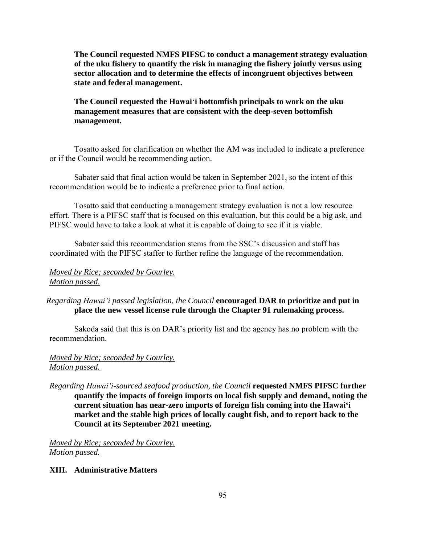**The Council requested NMFS PIFSC to conduct a management strategy evaluation of the uku fishery to quantify the risk in managing the fishery jointly versus using sector allocation and to determine the effects of incongruent objectives between state and federal management.** 

## **The Council requested the Hawaiʻi bottomfish principals to work on the uku management measures that are consistent with the deep-seven bottomfish management.**

Tosatto asked for clarification on whether the AM was included to indicate a preference or if the Council would be recommending action.

Sabater said that final action would be taken in September 2021, so the intent of this recommendation would be to indicate a preference prior to final action.

Tosatto said that conducting a management strategy evaluation is not a low resource effort. There is a PIFSC staff that is focused on this evaluation, but this could be a big ask, and PIFSC would have to take a look at what it is capable of doing to see if it is viable.

Sabater said this recommendation stems from the SSC's discussion and staff has coordinated with the PIFSC staffer to further refine the language of the recommendation.

## *Moved by Rice; seconded by Gourley. Motion passed.*

## *Regarding Hawaiʻi passed legislation, the Council* **encouraged DAR to prioritize and put in place the new vessel license rule through the Chapter 91 rulemaking process.**

Sakoda said that this is on DAR's priority list and the agency has no problem with the recommendation.

## *Moved by Rice; seconded by Gourley. Motion passed.*

*Regarding Hawaiʻi-sourced seafood production, the Council* **requested NMFS PIFSC further quantify the impacts of foreign imports on local fish supply and demand, noting the current situation has near-zero imports of foreign fish coming into the Hawaiʻi market and the stable high prices of locally caught fish, and to report back to the Council at its September 2021 meeting.** 

*Moved by Rice; seconded by Gourley. Motion passed.*

## **XIII. Administrative Matters**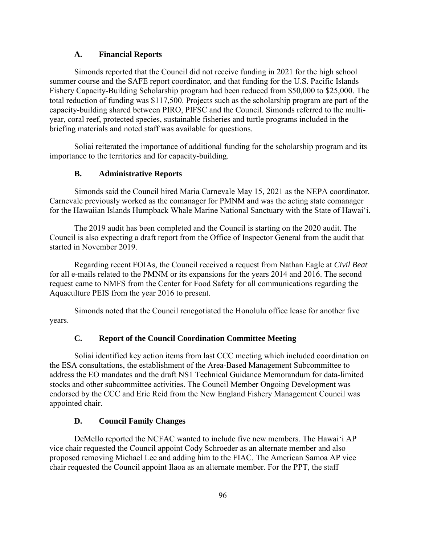### **A. Financial Reports**

Simonds reported that the Council did not receive funding in 2021 for the high school summer course and the SAFE report coordinator, and that funding for the U.S. Pacific Islands Fishery Capacity-Building Scholarship program had been reduced from \$50,000 to \$25,000. The total reduction of funding was \$117,500. Projects such as the scholarship program are part of the capacity-building shared between PIRO, PIFSC and the Council. Simonds referred to the multiyear, coral reef, protected species, sustainable fisheries and turtle programs included in the briefing materials and noted staff was available for questions.

Soliai reiterated the importance of additional funding for the scholarship program and its importance to the territories and for capacity-building.

## **B. Administrative Reports**

Simonds said the Council hired Maria Carnevale May 15, 2021 as the NEPA coordinator. Carnevale previously worked as the comanager for PMNM and was the acting state comanager for the Hawaiian Islands Humpback Whale Marine National Sanctuary with the State of Hawaiʻi.

The 2019 audit has been completed and the Council is starting on the 2020 audit. The Council is also expecting a draft report from the Office of Inspector General from the audit that started in November 2019.

Regarding recent FOIAs, the Council received a request from Nathan Eagle at *Civil Beat* for all e-mails related to the PMNM or its expansions for the years 2014 and 2016. The second request came to NMFS from the Center for Food Safety for all communications regarding the Aquaculture PEIS from the year 2016 to present.

Simonds noted that the Council renegotiated the Honolulu office lease for another five years.

## **C. Report of the Council Coordination Committee Meeting**

Soliai identified key action items from last CCC meeting which included coordination on the ESA consultations, the establishment of the Area-Based Management Subcommittee to address the EO mandates and the draft NS1 Technical Guidance Memorandum for data-limited stocks and other subcommittee activities. The Council Member Ongoing Development was endorsed by the CCC and Eric Reid from the New England Fishery Management Council was appointed chair.

#### **D. Council Family Changes**

DeMello reported the NCFAC wanted to include five new members. The Hawaiʻi AP vice chair requested the Council appoint Cody Schroeder as an alternate member and also proposed removing Michael Lee and adding him to the FIAC. The American Samoa AP vice chair requested the Council appoint Ilaoa as an alternate member. For the PPT, the staff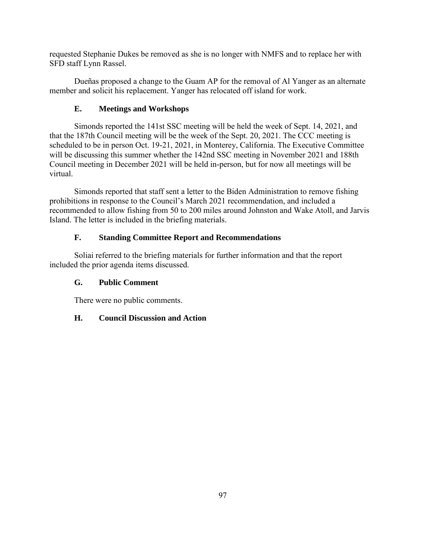requested Stephanie Dukes be removed as she is no longer with NMFS and to replace her with SFD staff Lynn Rassel.

Dueñas proposed a change to the Guam AP for the removal of Al Yanger as an alternate member and solicit his replacement. Yanger has relocated off island for work.

# **E. Meetings and Workshops**

Simonds reported the 141st SSC meeting will be held the week of Sept. 14, 2021, and that the 187th Council meeting will be the week of the Sept. 20, 2021. The CCC meeting is scheduled to be in person Oct. 19-21, 2021, in Monterey, California. The Executive Committee will be discussing this summer whether the 142nd SSC meeting in November 2021 and 188th Council meeting in December 2021 will be held in-person, but for now all meetings will be virtual.

Simonds reported that staff sent a letter to the Biden Administration to remove fishing prohibitions in response to the Council's March 2021 recommendation, and included a recommended to allow fishing from 50 to 200 miles around Johnston and Wake Atoll, and Jarvis Island. The letter is included in the briefing materials.

# **F. Standing Committee Report and Recommendations**

Soliai referred to the briefing materials for further information and that the report included the prior agenda items discussed.

# **G. Public Comment**

There were no public comments.

## **H. Council Discussion and Action**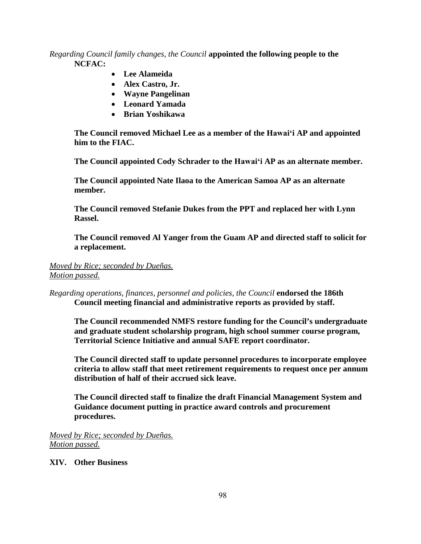## *Regarding Council family changes, the Council* **appointed the following people to the NCFAC:**

- **Lee Alameida**
- **Alex Castro, Jr.**
- **Wayne Pangelinan**
- **Leonard Yamada**
- **Brian Yoshikawa**

**The Council removed Michael Lee as a member of the Hawaiʻi AP and appointed him to the FIAC.** 

**The Council appointed Cody Schrader to the Hawaiʻi AP as an alternate member.** 

**The Council appointed Nate Ilaoa to the American Samoa AP as an alternate member.** 

**The Council removed Stefanie Dukes from the PPT and replaced her with Lynn Rassel.** 

**The Council removed Al Yanger from the Guam AP and directed staff to solicit for a replacement.** 

# *Moved by Rice; seconded by Dueñas.*

*Motion passed.*

*Regarding operations, finances, personnel and policies, the Council* **endorsed the 186th Council meeting financial and administrative reports as provided by staff.** 

**The Council recommended NMFS restore funding for the Council's undergraduate and graduate student scholarship program, high school summer course program, Territorial Science Initiative and annual SAFE report coordinator.** 

**The Council directed staff to update personnel procedures to incorporate employee criteria to allow staff that meet retirement requirements to request once per annum distribution of half of their accrued sick leave.**

**The Council directed staff to finalize the draft Financial Management System and Guidance document putting in practice award controls and procurement procedures.** 

*Moved by Rice; seconded by Dueñas. Motion passed.*

## **XIV. Other Business**